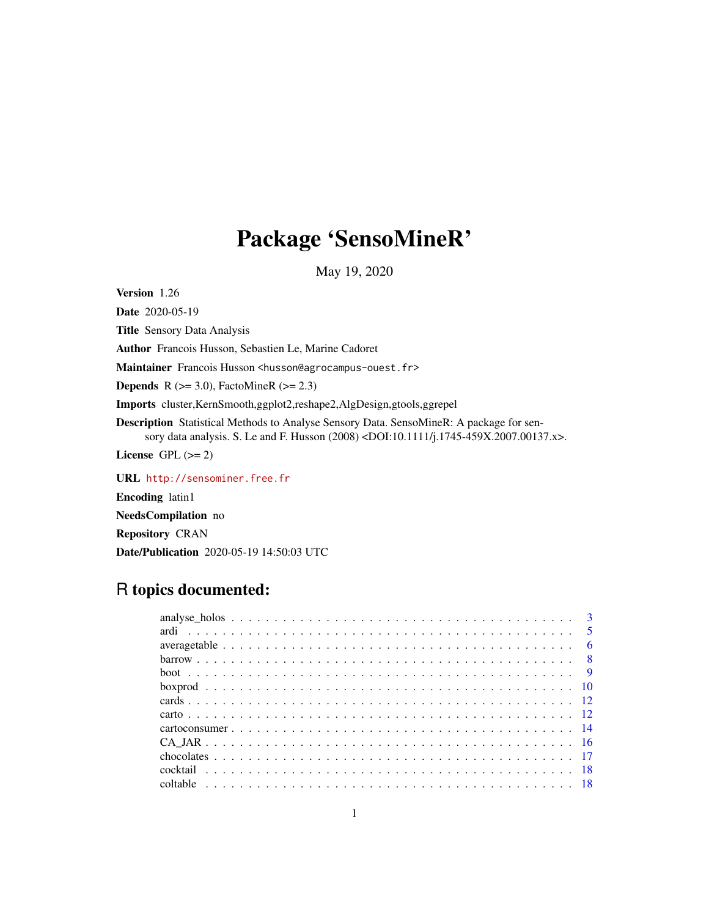# Package 'SensoMineR'

May 19, 2020

<span id="page-0-0"></span>Version 1.26

Date 2020-05-19 Title Sensory Data Analysis Author Francois Husson, Sebastien Le, Marine Cadoret Maintainer Francois Husson <husson@agrocampus-ouest.fr> **Depends** R ( $>= 3.0$ ), FactoMineR ( $>= 2.3$ ) Imports cluster,KernSmooth,ggplot2,reshape2,AlgDesign,gtools,ggrepel Description Statistical Methods to Analyse Sensory Data. SensoMineR: A package for sensory data analysis. S. Le and F. Husson (2008) <DOI:10.1111/j.1745-459X.2007.00137.x>. License GPL  $(>= 2)$ 

URL <http://sensominer.free.fr>

Encoding latin1

NeedsCompilation no

Repository CRAN

Date/Publication 2020-05-19 14:50:03 UTC

## R topics documented: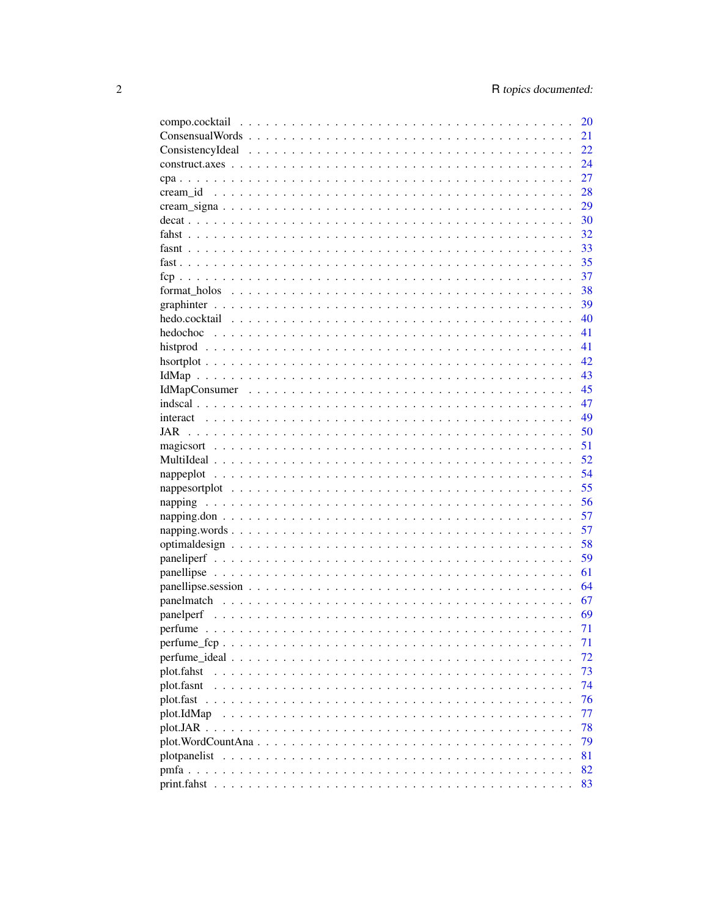|             | 20   |
|-------------|------|
|             | 21   |
|             | 22   |
|             | 24   |
|             | 27   |
|             | 28   |
|             | 29   |
|             | 30   |
|             | 32   |
|             | 33   |
|             | 35   |
|             | 37   |
|             | 38   |
|             | 39   |
|             | 40   |
|             | 41   |
|             | 41   |
|             | 42   |
|             | - 43 |
|             | -45  |
|             | 47   |
|             | 49   |
|             |      |
| JAR         | 50   |
|             | 51   |
|             | 52   |
|             | 54   |
|             | 55   |
|             | 56   |
|             | 57   |
|             | 57   |
|             | 58   |
|             | 59   |
|             | 61   |
|             |      |
|             |      |
|             |      |
|             | 71   |
|             | 71   |
|             | 72   |
| plot.fahst  | 73   |
| plot.fasnt  | 74   |
| plot.fast   | 76   |
| plot.IdMap  | 77   |
|             | 78   |
|             | 79   |
|             | 81   |
|             | 82   |
|             |      |
| print.fahst | 83   |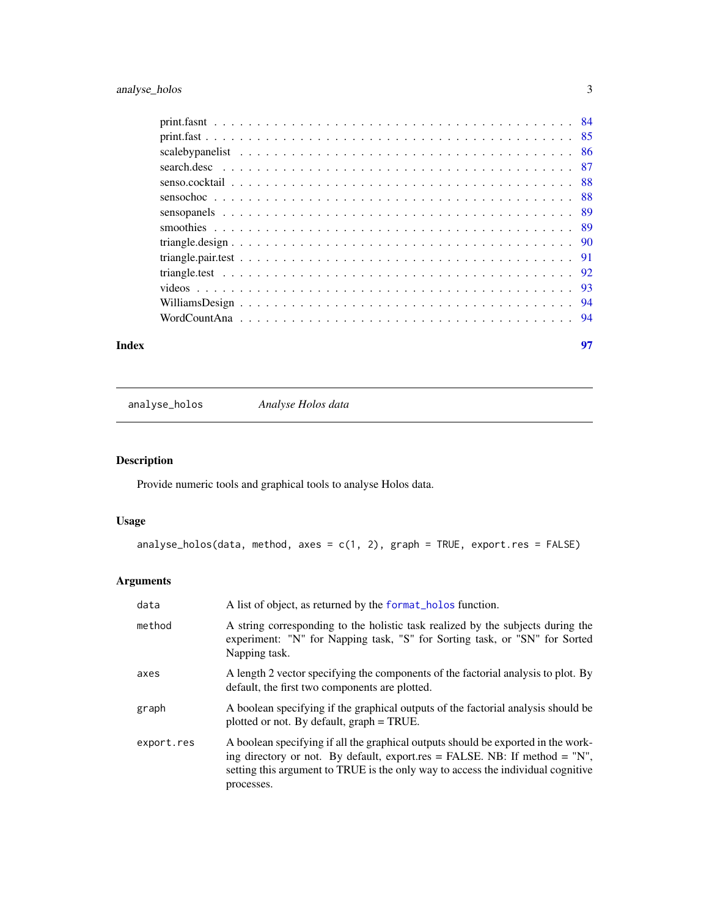<span id="page-2-0"></span>

| Index |                                                                 | 97 |
|-------|-----------------------------------------------------------------|----|
|       | WordCountAna experience in the contract of the contract of $94$ |    |
|       |                                                                 |    |
|       |                                                                 |    |
|       |                                                                 |    |
|       |                                                                 |    |
|       |                                                                 |    |
|       |                                                                 |    |
|       |                                                                 |    |
|       |                                                                 |    |
|       |                                                                 |    |
|       |                                                                 |    |
|       |                                                                 |    |
|       |                                                                 |    |
|       |                                                                 |    |

analyse\_holos *Analyse Holos data*

## Description

Provide numeric tools and graphical tools to analyse Holos data.

## Usage

```
analyse_holos(data, method, axes = c(1, 2), graph = TRUE, export.res = FALSE)
```

| data       | A list of object, as returned by the format_holos function.                                                                                                                                                                                                          |
|------------|----------------------------------------------------------------------------------------------------------------------------------------------------------------------------------------------------------------------------------------------------------------------|
| method     | A string corresponding to the holistic task realized by the subjects during the<br>experiment: "N" for Napping task, "S" for Sorting task, or "SN" for Sorted<br>Napping task.                                                                                       |
| axes       | A length 2 vector specifying the components of the factorial analysis to plot. By<br>default, the first two components are plotted.                                                                                                                                  |
| graph      | A boolean specifying if the graphical outputs of the factorial analysis should be<br>plotted or not. By default, graph = TRUE.                                                                                                                                       |
| export.res | A boolean specifying if all the graphical outputs should be exported in the work-<br>ing directory or not. By default, export.res = FALSE. NB: If method = $"N"$ ,<br>setting this argument to TRUE is the only way to access the individual cognitive<br>processes. |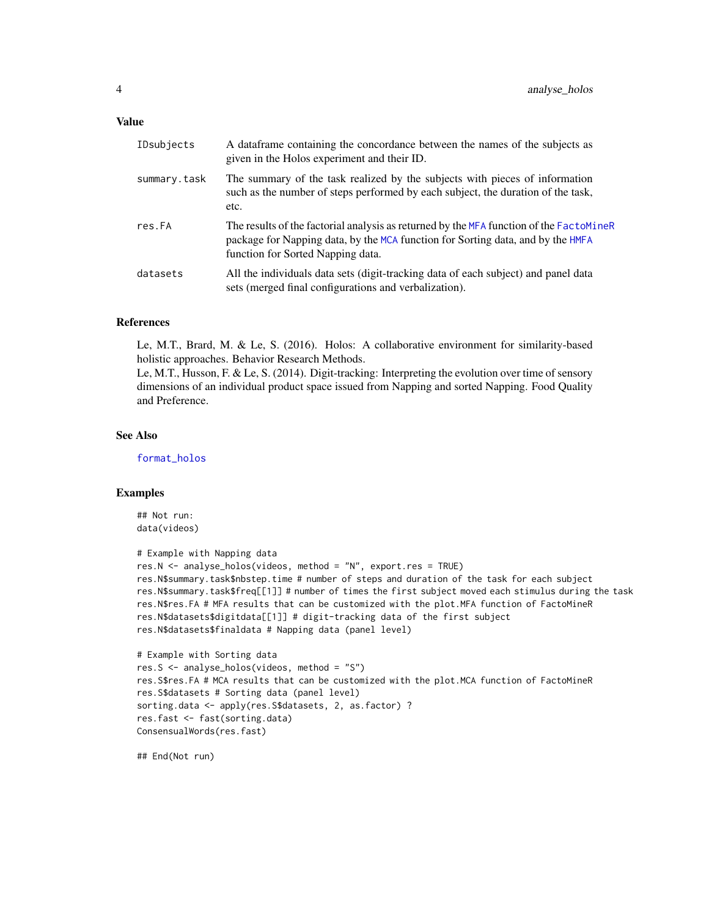#### Value

| IDsubjects   | A data frame containing the concordance between the names of the subjects as<br>given in the Holos experiment and their ID.                                                                                     |
|--------------|-----------------------------------------------------------------------------------------------------------------------------------------------------------------------------------------------------------------|
| summary.task | The summary of the task realized by the subjects with pieces of information<br>such as the number of steps performed by each subject, the duration of the task,<br>etc.                                         |
| res.FA       | The results of the factorial analysis as returned by the MFA function of the FactoMineR<br>package for Napping data, by the MCA function for Sorting data, and by the HMFA<br>function for Sorted Napping data. |
| datasets     | All the individuals data sets (digit-tracking data of each subject) and panel data<br>sets (merged final configurations and verbalization).                                                                     |

#### References

Le, M.T., Brard, M. & Le, S. (2016). Holos: A collaborative environment for similarity-based holistic approaches. Behavior Research Methods.

Le, M.T., Husson, F. & Le, S. (2014). Digit-tracking: Interpreting the evolution over time of sensory dimensions of an individual product space issued from Napping and sorted Napping. Food Quality and Preference.

## See Also

[format\\_holos](#page-37-1)

#### Examples

```
## Not run:
data(videos)
```

```
# Example with Napping data
res.N <- analyse_holos(videos, method = "N", export.res = TRUE)
res.N$summary.task$nbstep.time # number of steps and duration of the task for each subject
res.N$summary.task$freq[[1]] # number of times the first subject moved each stimulus during the task
res.N$res.FA # MFA results that can be customized with the plot.MFA function of FactoMineR
res.N$datasets$digitdata[[1]] # digit-tracking data of the first subject
res.N$datasets$finaldata # Napping data (panel level)
```

```
# Example with Sorting data
res.S <- analyse_holos(videos, method = "S")
res.S$res.FA # MCA results that can be customized with the plot.MCA function of FactoMineR
res.S$datasets # Sorting data (panel level)
sorting.data <- apply(res.S$datasets, 2, as.factor) ?
res.fast <- fast(sorting.data)
ConsensualWords(res.fast)
```
## End(Not run)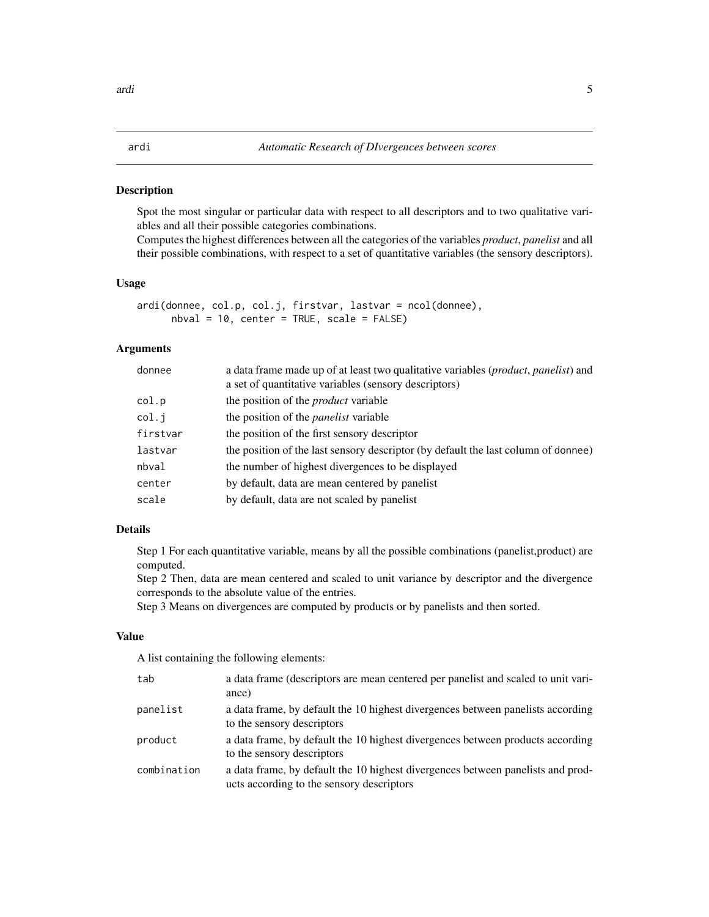#### <span id="page-4-0"></span>Description

Spot the most singular or particular data with respect to all descriptors and to two qualitative variables and all their possible categories combinations.

Computes the highest differences between all the categories of the variables *product*, *panelist* and all their possible combinations, with respect to a set of quantitative variables (the sensory descriptors).

#### Usage

ardi(donnee, col.p, col.j, firstvar, lastvar = ncol(donnee), nbval = 10, center = TRUE, scale = FALSE)

#### Arguments

| donnee   | a data frame made up of at least two qualitative variables ( <i>product, panelist</i> ) and<br>a set of quantitative variables (sensory descriptors) |
|----------|------------------------------------------------------------------------------------------------------------------------------------------------------|
| col.p    | the position of the <i>product</i> variable                                                                                                          |
| col.j    | the position of the <i>panelist</i> variable                                                                                                         |
| firstvar | the position of the first sensory descriptor                                                                                                         |
| lastvar  | the position of the last sensory descriptor (by default the last column of donnee)                                                                   |
| nbval    | the number of highest divergences to be displayed                                                                                                    |
| center   | by default, data are mean centered by panelist                                                                                                       |
| scale    | by default, data are not scaled by panelist                                                                                                          |
|          |                                                                                                                                                      |

## Details

Step 1 For each quantitative variable, means by all the possible combinations (panelist,product) are computed.

Step 2 Then, data are mean centered and scaled to unit variance by descriptor and the divergence corresponds to the absolute value of the entries.

Step 3 Means on divergences are computed by products or by panelists and then sorted.

## Value

A list containing the following elements:

| tab         | a data frame (descriptors are mean centered per panelist and scaled to unit vari-<br>ance)                                   |
|-------------|------------------------------------------------------------------------------------------------------------------------------|
| panelist    | a data frame, by default the 10 highest divergences between panelists according<br>to the sensory descriptors                |
| product     | a data frame, by default the 10 highest divergences between products according<br>to the sensory descriptors                 |
| combination | a data frame, by default the 10 highest divergences between panelists and prod-<br>ucts according to the sensory descriptors |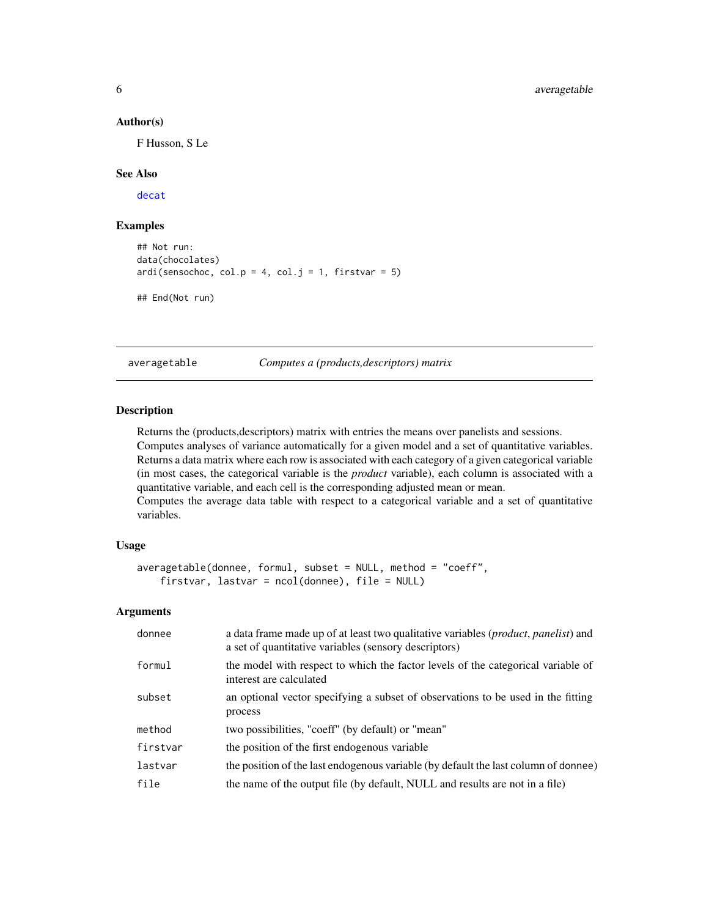#### Author(s)

F Husson, S Le

#### See Also

[decat](#page-29-1)

## Examples

```
## Not run:
data(chocolates)
ardi(sensochoc, col.p = 4, col.j = 1, firstvar = 5)## End(Not run)
```
averagetable *Computes a (products,descriptors) matrix*

## Description

Returns the (products,descriptors) matrix with entries the means over panelists and sessions. Computes analyses of variance automatically for a given model and a set of quantitative variables. Returns a data matrix where each row is associated with each category of a given categorical variable (in most cases, the categorical variable is the *product* variable), each column is associated with a quantitative variable, and each cell is the corresponding adjusted mean or mean. Computes the average data table with respect to a categorical variable and a set of quantitative

variables.

#### Usage

```
averagetable(donnee, formul, subset = NULL, method = "coeff",
    firstvar, lastvar = ncol(donnee), file = NULL)
```

| donnee   | a data frame made up of at least two qualitative variables ( <i>product, panelist</i> ) and<br>a set of quantitative variables (sensory descriptors) |
|----------|------------------------------------------------------------------------------------------------------------------------------------------------------|
| formul   | the model with respect to which the factor levels of the categorical variable of<br>interest are calculated                                          |
| subset   | an optional vector specifying a subset of observations to be used in the fitting<br>process                                                          |
| method   | two possibilities, "coeff" (by default) or "mean"                                                                                                    |
| firstvar | the position of the first endogenous variable                                                                                                        |
| lastvar  | the position of the last endogenous variable (by default the last column of donnee)                                                                  |
| file     | the name of the output file (by default, NULL and results are not in a file)                                                                         |
|          |                                                                                                                                                      |

<span id="page-5-0"></span>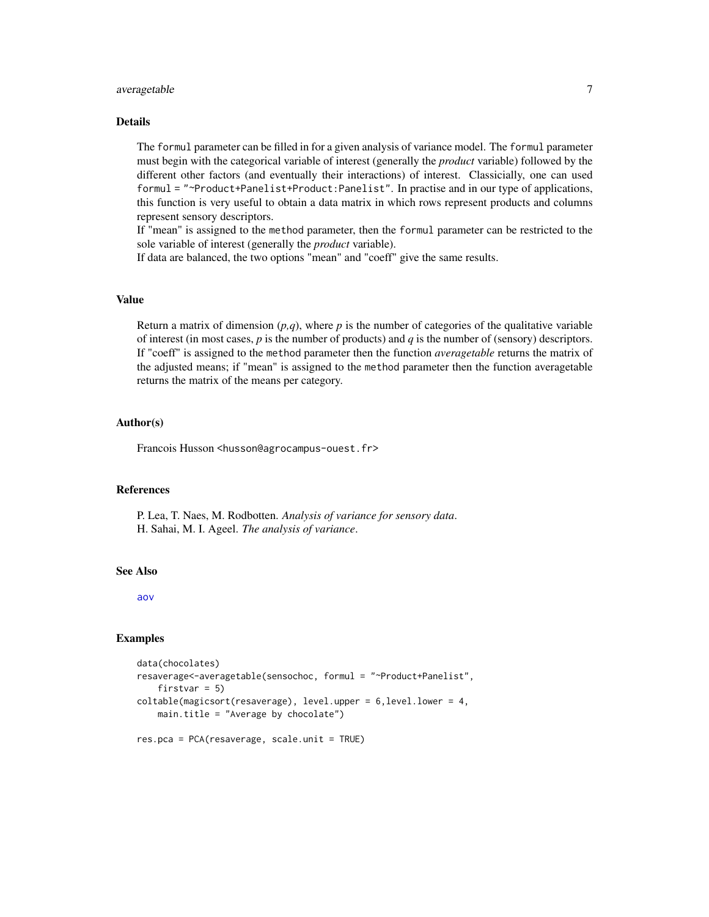#### averagetable 7

#### Details

The formul parameter can be filled in for a given analysis of variance model. The formul parameter must begin with the categorical variable of interest (generally the *product* variable) followed by the different other factors (and eventually their interactions) of interest. Classicially, one can used formul = "~Product+Panelist+Product:Panelist". In practise and in our type of applications, this function is very useful to obtain a data matrix in which rows represent products and columns represent sensory descriptors.

If "mean" is assigned to the method parameter, then the formul parameter can be restricted to the sole variable of interest (generally the *product* variable).

If data are balanced, the two options "mean" and "coeff" give the same results.

## Value

Return a matrix of dimension  $(p,q)$ , where  $p$  is the number of categories of the qualitative variable of interest (in most cases,  $p$  is the number of products) and  $q$  is the number of (sensory) descriptors. If "coeff" is assigned to the method parameter then the function *averagetable* returns the matrix of the adjusted means; if "mean" is assigned to the method parameter then the function averagetable returns the matrix of the means per category.

#### Author(s)

Francois Husson <husson@agrocampus-ouest.fr>

## References

P. Lea, T. Naes, M. Rodbotten. *Analysis of variance for sensory data*. H. Sahai, M. I. Ageel. *The analysis of variance*.

#### See Also

[aov](#page-0-0)

#### Examples

```
data(chocolates)
resaverage<-averagetable(sensochoc, formul = "~Product+Panelist",
    firstvar = 5)
coltable(magicsort(resaverage), level.upper = 6,level.lower = 4,
    main.title = "Average by chocolate")
```
res.pca = PCA(resaverage, scale.unit = TRUE)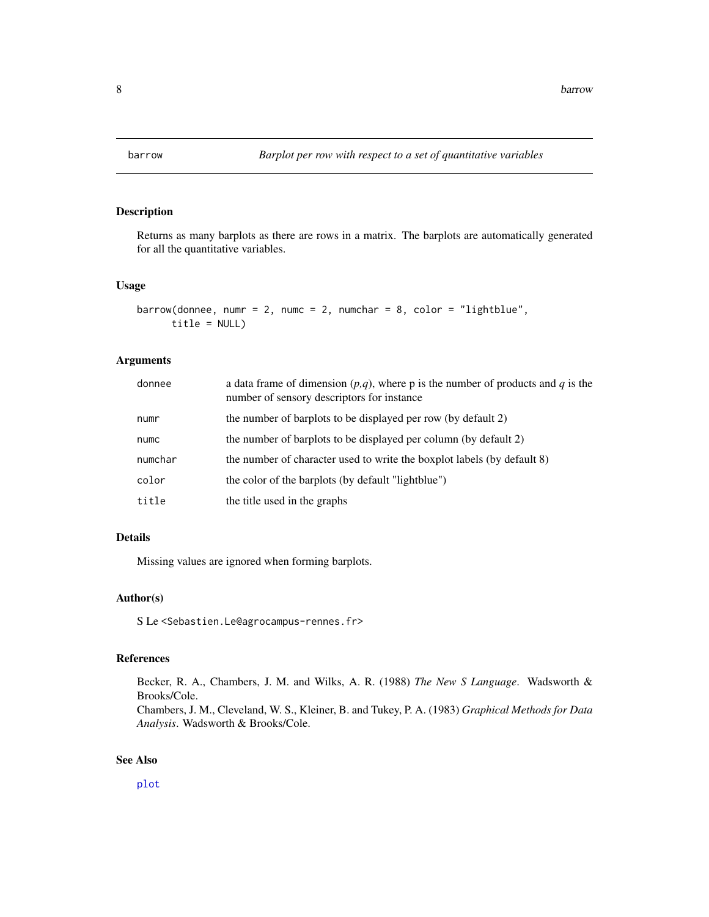<span id="page-7-0"></span>

## Description

Returns as many barplots as there are rows in a matrix. The barplots are automatically generated for all the quantitative variables.

#### Usage

```
barrow(donnee, numr = 2, numc = 2, numchar = 8, color = "lightblue",
      title = NULL)
```
#### Arguments

| donnee  | a data frame of dimension $(p,q)$ , where p is the number of products and q is the<br>number of sensory descriptors for instance |
|---------|----------------------------------------------------------------------------------------------------------------------------------|
| numr    | the number of barplots to be displayed per row (by default 2)                                                                    |
| numc    | the number of barplots to be displayed per column (by default 2)                                                                 |
| numchar | the number of character used to write the boxplot labels (by default 8)                                                          |
| color   | the color of the barplots (by default "lightblue")                                                                               |
| title   | the title used in the graphs                                                                                                     |

## Details

Missing values are ignored when forming barplots.

## Author(s)

S Le <Sebastien.Le@agrocampus-rennes.fr>

#### References

Becker, R. A., Chambers, J. M. and Wilks, A. R. (1988) *The New S Language*. Wadsworth & Brooks/Cole.

Chambers, J. M., Cleveland, W. S., Kleiner, B. and Tukey, P. A. (1983) *Graphical Methods for Data Analysis*. Wadsworth & Brooks/Cole.

#### See Also

[plot](#page-0-0)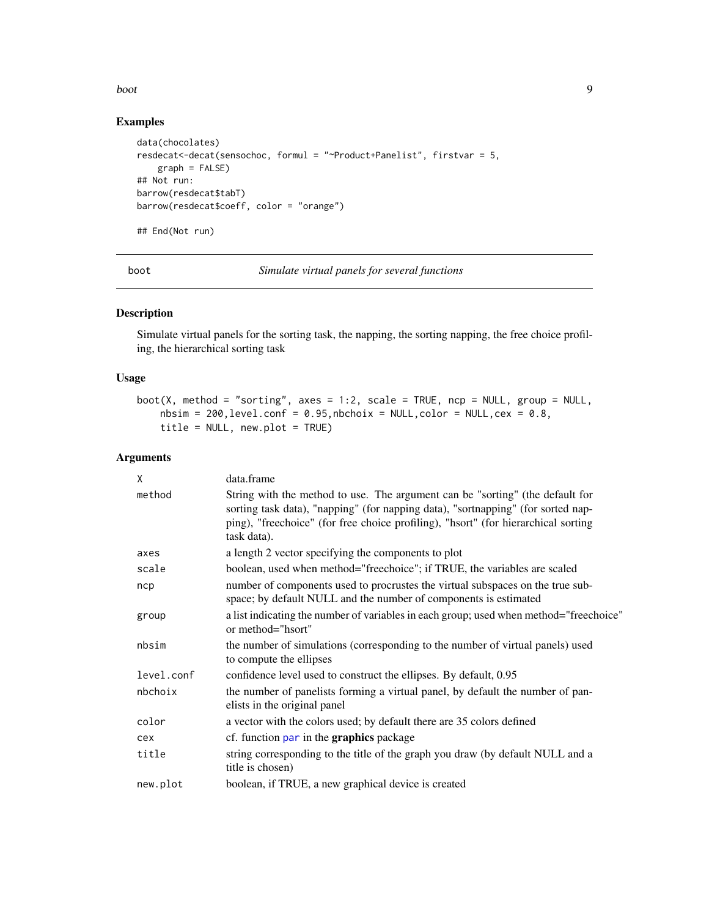#### <span id="page-8-0"></span>boot 9 and 9 and 9 and 9 and 9 and 9 and 9 and 9 and 9 and 9 and 9 and 9 and 9 and 9 and 9 and 9 and 9 and 9 and 9 and 9 and 9 and 9 and 9 and 9 and 9 and 9 and 9 and 9 and 9 and 9 and 9 and 9 and 9 and 9 and 9 and 9 and 9

## Examples

```
data(chocolates)
resdecat<-decat(sensochoc, formul = "~Product+Panelist", firstvar = 5,
   graph = FALSE)
## Not run:
barrow(resdecat$tabT)
barrow(resdecat$coeff, color = "orange")
## End(Not run)
```
boot *Simulate virtual panels for several functions*

## Description

Simulate virtual panels for the sorting task, the napping, the sorting napping, the free choice profiling, the hierarchical sorting task

## Usage

```
boot(X, method = "sorting", axes = 1:2, scale = TRUE, ncp = NULL, group = NULL,
    nbsim = 200, level.config = 0.95, nbohoix = NULL, color = NULL, cex = 0.8,title = NULL, new.plot = TRUE)
```

| X          | data.frame                                                                                                                                                                                                                                                             |
|------------|------------------------------------------------------------------------------------------------------------------------------------------------------------------------------------------------------------------------------------------------------------------------|
| method     | String with the method to use. The argument can be "sorting" (the default for<br>sorting task data), "napping" (for napping data), "sortnapping" (for sorted nap-<br>ping), "freechoice" (for free choice profiling), "hsort" (for hierarchical sorting<br>task data). |
| axes       | a length 2 vector specifying the components to plot                                                                                                                                                                                                                    |
| scale      | boolean, used when method="freechoice"; if TRUE, the variables are scaled                                                                                                                                                                                              |
| ncp        | number of components used to procrustes the virtual subspaces on the true sub-<br>space; by default NULL and the number of components is estimated                                                                                                                     |
| group      | a list indicating the number of variables in each group; used when method="freechoice"<br>or method="hsort"                                                                                                                                                            |
| nbsim      | the number of simulations (corresponding to the number of virtual panels) used<br>to compute the ellipses                                                                                                                                                              |
| level.conf | confidence level used to construct the ellipses. By default, 0.95                                                                                                                                                                                                      |
| nbchoix    | the number of panelists forming a virtual panel, by default the number of pan-<br>elists in the original panel                                                                                                                                                         |
| color      | a vector with the colors used; by default there are 35 colors defined                                                                                                                                                                                                  |
| cex        | cf. function par in the <b>graphics</b> package                                                                                                                                                                                                                        |
| title      | string corresponding to the title of the graph you draw (by default NULL and a<br>title is chosen)                                                                                                                                                                     |
| new.plot   | boolean, if TRUE, a new graphical device is created                                                                                                                                                                                                                    |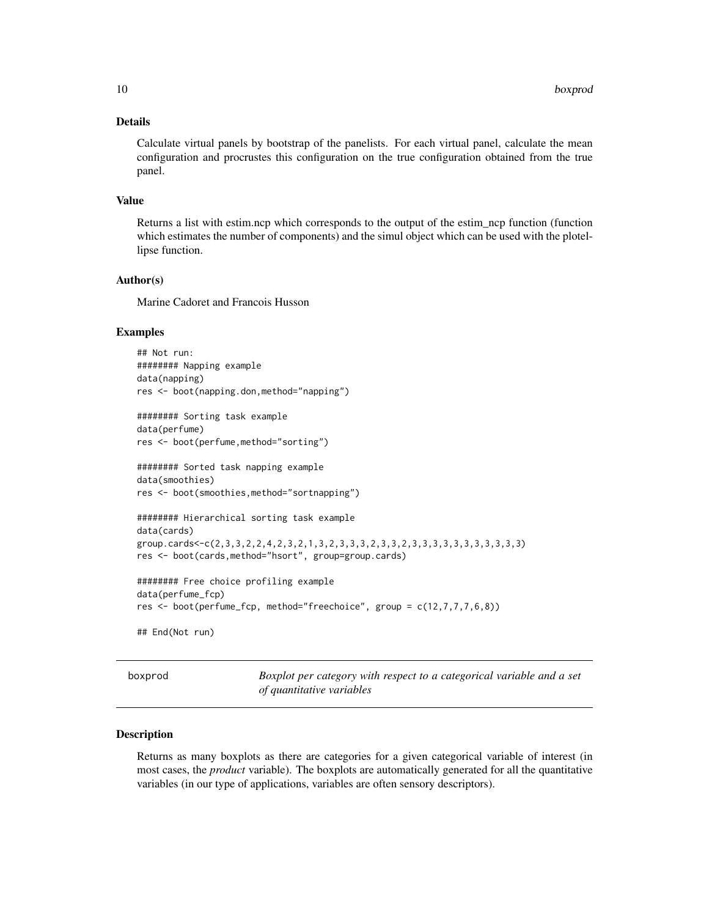## <span id="page-9-0"></span>Details

Calculate virtual panels by bootstrap of the panelists. For each virtual panel, calculate the mean configuration and procrustes this configuration on the true configuration obtained from the true panel.

#### Value

Returns a list with estim.ncp which corresponds to the output of the estim\_ncp function (function which estimates the number of components) and the simul object which can be used with the plotellipse function.

### Author(s)

Marine Cadoret and Francois Husson

#### Examples

```
## Not run:
######## Napping example
data(napping)
res <- boot(napping.don,method="napping")
```
######## Sorting task example data(perfume) res <- boot(perfume,method="sorting")

```
######## Sorted task napping example
data(smoothies)
res <- boot(smoothies,method="sortnapping")
```

```
######## Hierarchical sorting task example
data(cards)
group.cards<-c(2,3,3,2,2,4,2,3,2,1,3,2,3,3,3,2,3,3,2,3,3,3,3,3,3,3,3,3,3,3)
res <- boot(cards,method="hsort", group=group.cards)
```

```
######## Free choice profiling example
data(perfume_fcp)
res <- boot(perfume_fcp, method="freechoice", group = c(12,7,7,7,6,8))
```
## End(Not run)

boxprod *Boxplot per category with respect to a categorical variable and a set of quantitative variables*

## Description

Returns as many boxplots as there are categories for a given categorical variable of interest (in most cases, the *product* variable). The boxplots are automatically generated for all the quantitative variables (in our type of applications, variables are often sensory descriptors).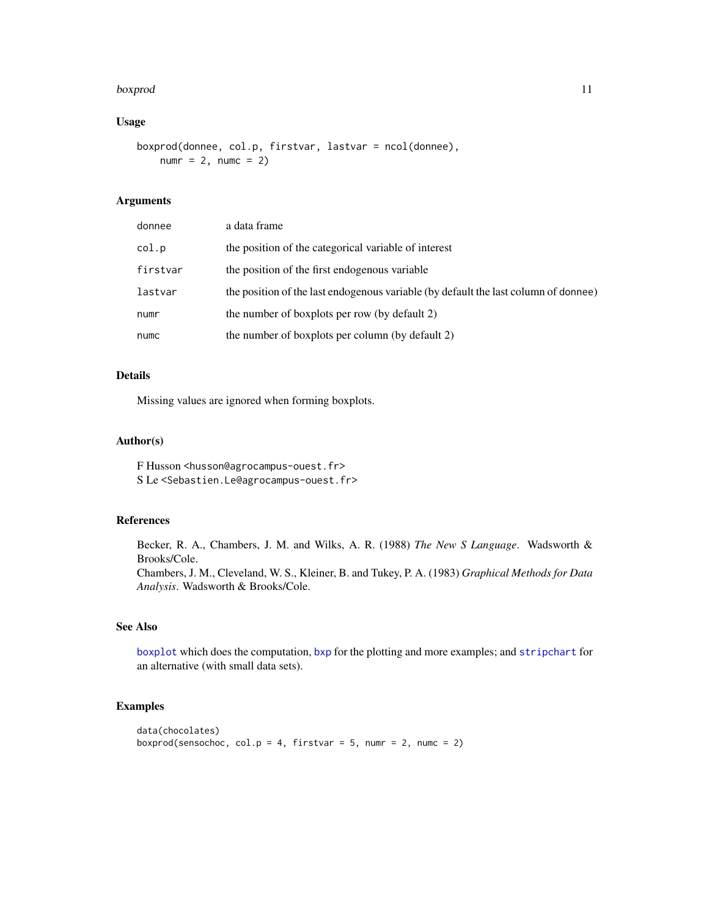#### boxprod 11

## Usage

```
boxprod(donnee, col.p, firstvar, lastvar = ncol(donnee),
   numr = 2, numc = 2
```
## Arguments

| donnee   | a data frame                                                                        |
|----------|-------------------------------------------------------------------------------------|
| col.p    | the position of the categorical variable of interest                                |
| firstvar | the position of the first endogenous variable                                       |
| lastvar  | the position of the last endogenous variable (by default the last column of donnee) |
| numr     | the number of boxplots per row (by default 2)                                       |
| numc     | the number of boxplots per column (by default 2)                                    |

## Details

Missing values are ignored when forming boxplots.

## Author(s)

F Husson <husson@agrocampus-ouest.fr> S Le <Sebastien.Le@agrocampus-ouest.fr>

#### References

Becker, R. A., Chambers, J. M. and Wilks, A. R. (1988) *The New S Language*. Wadsworth & Brooks/Cole. Chambers, J. M., Cleveland, W. S., Kleiner, B. and Tukey, P. A. (1983) *Graphical Methods for Data Analysis*. Wadsworth & Brooks/Cole.

#### See Also

[boxplot](#page-0-0) which does the computation, [bxp](#page-0-0) for the plotting and more examples; and [stripchart](#page-0-0) for an alternative (with small data sets).

## Examples

```
data(chocolates)
boxprod(sensochoc, col.p = 4, firstvar = 5, numr = 2, numc = 2)
```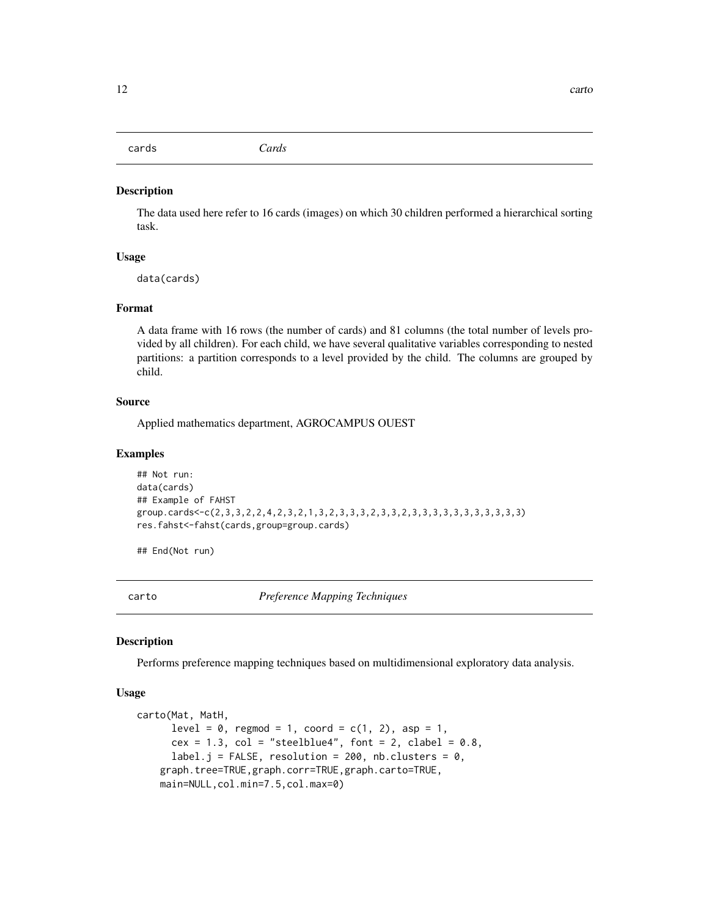<span id="page-11-0"></span>cards *Cards*

#### Description

The data used here refer to 16 cards (images) on which 30 children performed a hierarchical sorting task.

#### Usage

data(cards)

#### Format

A data frame with 16 rows (the number of cards) and 81 columns (the total number of levels provided by all children). For each child, we have several qualitative variables corresponding to nested partitions: a partition corresponds to a level provided by the child. The columns are grouped by child.

#### Source

Applied mathematics department, AGROCAMPUS OUEST

#### Examples

```
## Not run:
data(cards)
## Example of FAHST
group.cards<-c(2,3,3,2,2,4,2,3,2,1,3,2,3,3,3,2,3,3,2,3,3,3,3,3,3,3,3,3,3,3)
res.fahst<-fahst(cards,group=group.cards)
```
## End(Not run)

<span id="page-11-1"></span>carto *Preference Mapping Techniques*

#### **Description**

Performs preference mapping techniques based on multidimensional exploratory data analysis.

#### Usage

```
carto(Mat, MatH,
     level = 0, regmod = 1, coord = c(1, 2), asp = 1,
     cex = 1.3, col = "steelblue4", font = 2, clabel = 0.8,
     label.j = FALSE, resolution = 200, nb.clusters = 0,
    graph.tree=TRUE,graph.corr=TRUE,graph.carto=TRUE,
   main=NULL,col.min=7.5,col.max=0)
```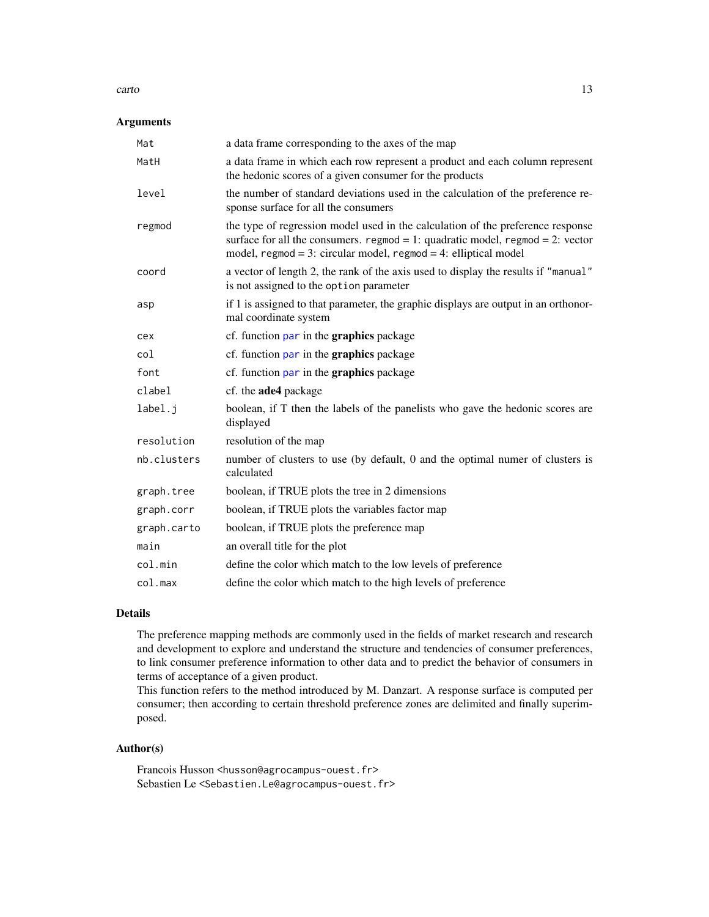#### carto the contract of the contract of the contract of the contract of the contract of the contract of the contract of the contract of the contract of the contract of the contract of the contract of the contract of the cont

## Arguments

| Mat         | a data frame corresponding to the axes of the map                                                                                                                                                                                          |
|-------------|--------------------------------------------------------------------------------------------------------------------------------------------------------------------------------------------------------------------------------------------|
| MatH        | a data frame in which each row represent a product and each column represent<br>the hedonic scores of a given consumer for the products                                                                                                    |
| level       | the number of standard deviations used in the calculation of the preference re-<br>sponse surface for all the consumers                                                                                                                    |
| regmod      | the type of regression model used in the calculation of the preference response<br>surface for all the consumers. regmod = 1: quadratic model, regmod = 2: vector<br>model, $regmod = 3$ : circular model, $regmod = 4$ : elliptical model |
| coord       | a vector of length 2, the rank of the axis used to display the results if "manual"<br>is not assigned to the option parameter                                                                                                              |
| asp         | if 1 is assigned to that parameter, the graphic displays are output in an orthonor-<br>mal coordinate system                                                                                                                               |
| cex         | cf. function par in the graphics package                                                                                                                                                                                                   |
| col         | cf. function par in the graphics package                                                                                                                                                                                                   |
| font        | cf. function par in the graphics package                                                                                                                                                                                                   |
| clabel      | cf. the ade4 package                                                                                                                                                                                                                       |
| label.j     | boolean, if T then the labels of the panelists who gave the hedonic scores are<br>displayed                                                                                                                                                |
| resolution  | resolution of the map                                                                                                                                                                                                                      |
| nb.clusters | number of clusters to use (by default, 0 and the optimal numer of clusters is<br>calculated                                                                                                                                                |
| graph.tree  | boolean, if TRUE plots the tree in 2 dimensions                                                                                                                                                                                            |
| graph.corr  | boolean, if TRUE plots the variables factor map                                                                                                                                                                                            |
| graph.carto | boolean, if TRUE plots the preference map                                                                                                                                                                                                  |
| main        | an overall title for the plot                                                                                                                                                                                                              |
| col.min     | define the color which match to the low levels of preference                                                                                                                                                                               |
| col.max     | define the color which match to the high levels of preference                                                                                                                                                                              |

## Details

The preference mapping methods are commonly used in the fields of market research and research and development to explore and understand the structure and tendencies of consumer preferences, to link consumer preference information to other data and to predict the behavior of consumers in terms of acceptance of a given product.

This function refers to the method introduced by M. Danzart. A response surface is computed per consumer; then according to certain threshold preference zones are delimited and finally superimposed.

#### Author(s)

Francois Husson <husson@agrocampus-ouest.fr> Sebastien Le <Sebastien.Le@agrocampus-ouest.fr>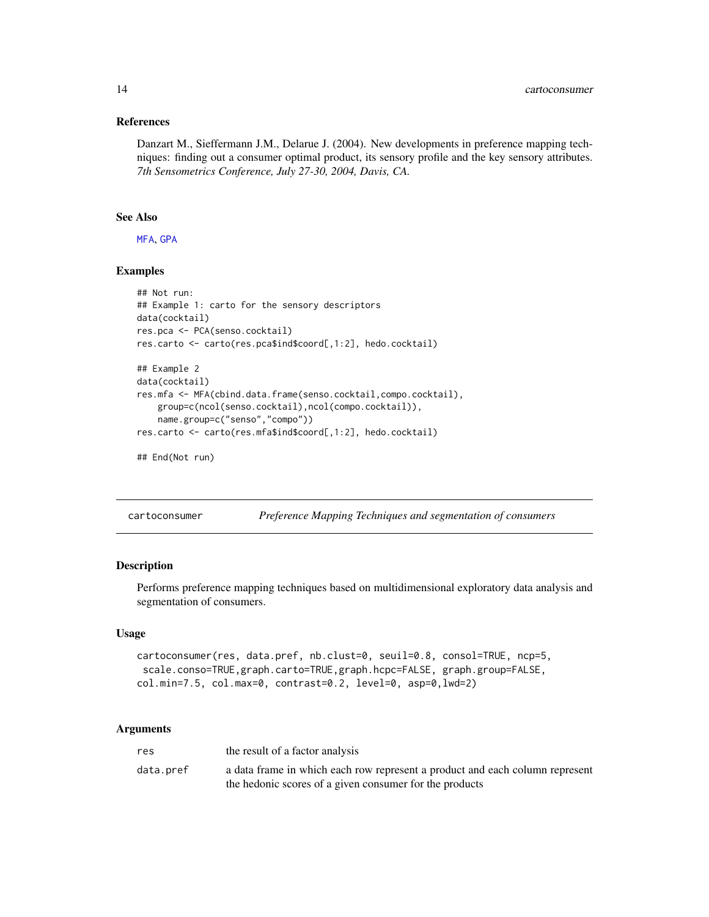#### <span id="page-13-0"></span>References

Danzart M., Sieffermann J.M., Delarue J. (2004). New developments in preference mapping techniques: finding out a consumer optimal product, its sensory profile and the key sensory attributes. *7th Sensometrics Conference, July 27-30, 2004, Davis, CA.*

## See Also

[MFA](#page-0-0), [GPA](#page-0-0)

## Examples

```
## Not run:
## Example 1: carto for the sensory descriptors
data(cocktail)
res.pca <- PCA(senso.cocktail)
res.carto <- carto(res.pca$ind$coord[,1:2], hedo.cocktail)
## Example 2
data(cocktail)
res.mfa <- MFA(cbind.data.frame(senso.cocktail,compo.cocktail),
    group=c(ncol(senso.cocktail),ncol(compo.cocktail)),
   name.group=c("senso","compo"))
res.carto <- carto(res.mfa$ind$coord[,1:2], hedo.cocktail)
## End(Not run)
```
cartoconsumer *Preference Mapping Techniques and segmentation of consumers*

## Description

Performs preference mapping techniques based on multidimensional exploratory data analysis and segmentation of consumers.

#### Usage

```
cartoconsumer(res, data.pref, nb.clust=0, seuil=0.8, consol=TRUE, ncp=5,
 scale.conso=TRUE,graph.carto=TRUE,graph.hcpc=FALSE, graph.group=FALSE,
col.min=7.5, col.max=0, contrast=0.2, level=0, asp=0,lwd=2)
```

| res       | the result of a factor analysis                                              |
|-----------|------------------------------------------------------------------------------|
| data.pref | a data frame in which each row represent a product and each column represent |
|           | the hedonic scores of a given consumer for the products                      |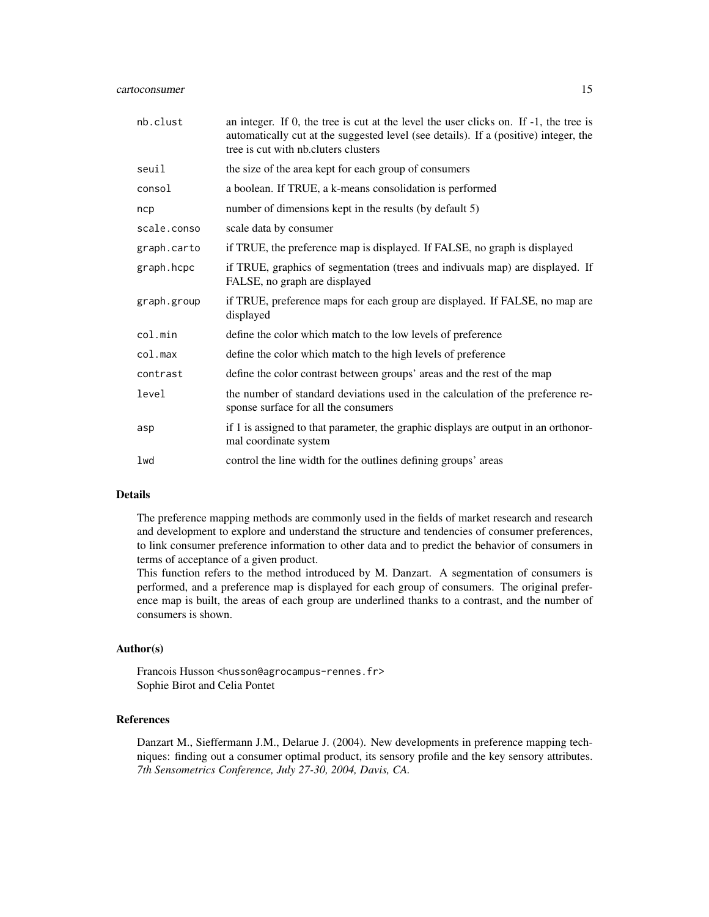| nb.clust    | an integer. If $0$ , the tree is cut at the level the user clicks on. If $-1$ , the tree is<br>automatically cut at the suggested level (see details). If a (positive) integer, the<br>tree is cut with nb.cluters clusters |
|-------------|-----------------------------------------------------------------------------------------------------------------------------------------------------------------------------------------------------------------------------|
| seuil       | the size of the area kept for each group of consumers                                                                                                                                                                       |
| consol      | a boolean. If TRUE, a k-means consolidation is performed                                                                                                                                                                    |
| ncp         | number of dimensions kept in the results (by default 5)                                                                                                                                                                     |
| scale.conso | scale data by consumer                                                                                                                                                                                                      |
| graph.carto | if TRUE, the preference map is displayed. If FALSE, no graph is displayed                                                                                                                                                   |
| graph.hcpc  | if TRUE, graphics of segmentation (trees and indivuals map) are displayed. If<br>FALSE, no graph are displayed                                                                                                              |
| graph.group | if TRUE, preference maps for each group are displayed. If FALSE, no map are<br>displayed                                                                                                                                    |
| col.min     | define the color which match to the low levels of preference                                                                                                                                                                |
| col.max     | define the color which match to the high levels of preference                                                                                                                                                               |
| contrast    | define the color contrast between groups' areas and the rest of the map                                                                                                                                                     |
| level       | the number of standard deviations used in the calculation of the preference re-<br>sponse surface for all the consumers                                                                                                     |
| asp         | if 1 is assigned to that parameter, the graphic displays are output in an orthonor-<br>mal coordinate system                                                                                                                |
| lwd         | control the line width for the outlines defining groups' areas                                                                                                                                                              |

#### Details

The preference mapping methods are commonly used in the fields of market research and research and development to explore and understand the structure and tendencies of consumer preferences, to link consumer preference information to other data and to predict the behavior of consumers in terms of acceptance of a given product.

This function refers to the method introduced by M. Danzart. A segmentation of consumers is performed, and a preference map is displayed for each group of consumers. The original preference map is built, the areas of each group are underlined thanks to a contrast, and the number of consumers is shown.

## Author(s)

Francois Husson <husson@agrocampus-rennes.fr> Sophie Birot and Celia Pontet

## References

Danzart M., Sieffermann J.M., Delarue J. (2004). New developments in preference mapping techniques: finding out a consumer optimal product, its sensory profile and the key sensory attributes. *7th Sensometrics Conference, July 27-30, 2004, Davis, CA.*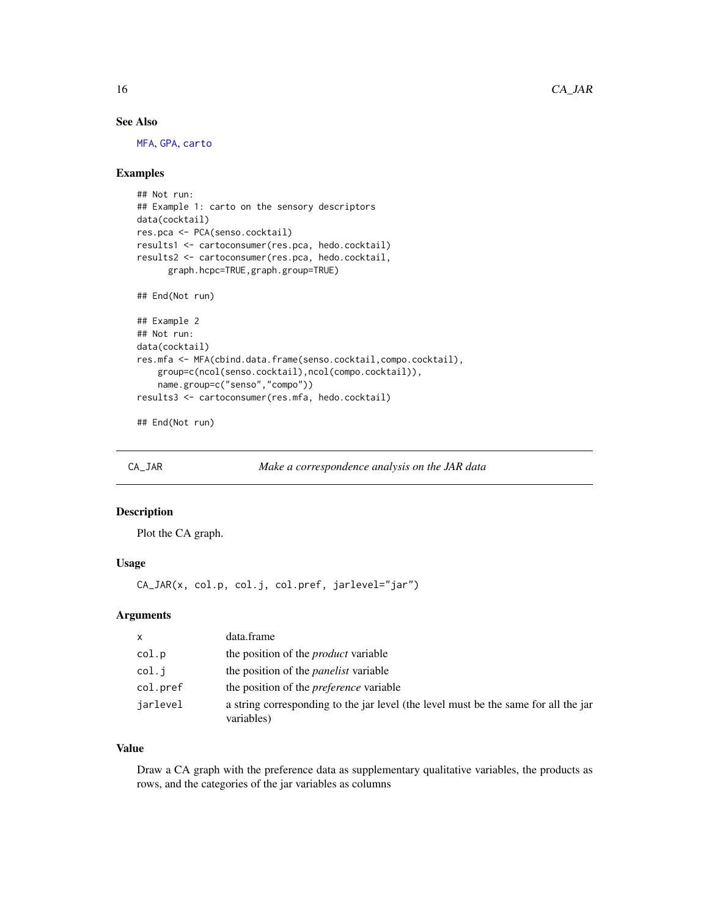## See Also

[MFA](#page-0-0), [GPA](#page-0-0), [carto](#page-11-1)

## Examples

```
## Not run:
## Example 1: carto on the sensory descriptors
data(cocktail)
res.pca <- PCA(senso.cocktail)
results1 <- cartoconsumer(res.pca, hedo.cocktail)
results2 <- cartoconsumer(res.pca, hedo.cocktail,
      graph.hcpc=TRUE,graph.group=TRUE)
## End(Not run)
## Example 2
## Not run:
data(cocktail)
res.mfa <- MFA(cbind.data.frame(senso.cocktail,compo.cocktail),
    group=c(ncol(senso.cocktail),ncol(compo.cocktail)),
    name.group=c("senso","compo"))
results3 <- cartoconsumer(res.mfa, hedo.cocktail)
```
## End(Not run)

CA\_JAR *Make a correspondence analysis on the JAR data*

#### Description

Plot the CA graph.

#### Usage

CA\_JAR(x, col.p, col.j, col.pref, jarlevel="jar")

#### Arguments

| $\mathsf{x}$ | data.frame                                                                                        |
|--------------|---------------------------------------------------------------------------------------------------|
| col.p        | the position of the <i>product</i> variable                                                       |
| col.i        | the position of the <i>panelist</i> variable                                                      |
| col.pref     | the position of the <i>preference</i> variable                                                    |
| jarlevel     | a string corresponding to the jar level (the level must be the same for all the jar<br>variables) |

## Value

Draw a CA graph with the preference data as supplementary qualitative variables, the products as rows, and the categories of the jar variables as columns

<span id="page-15-0"></span>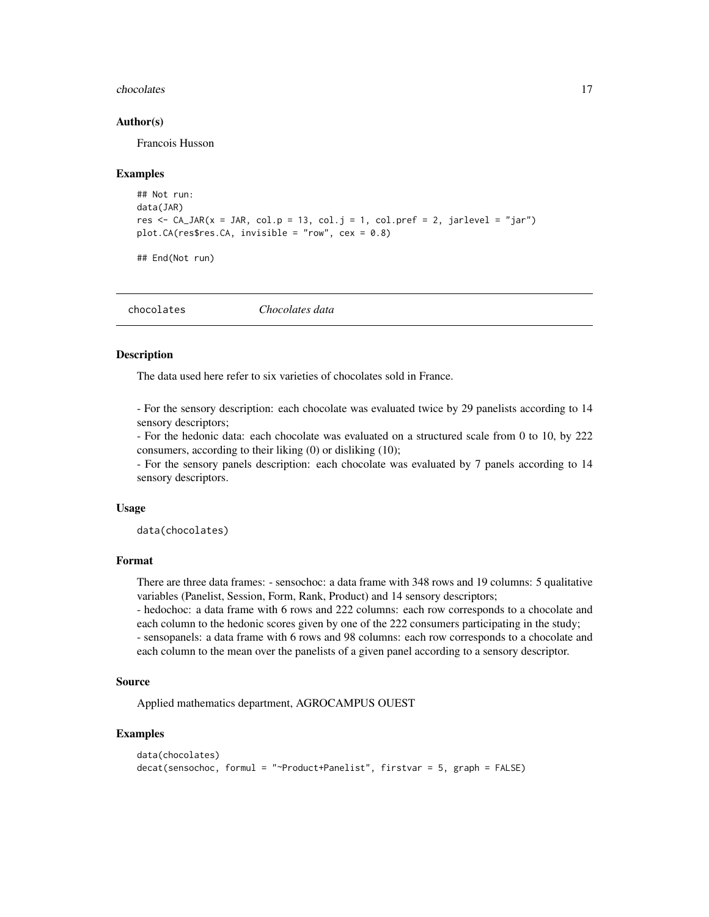#### <span id="page-16-0"></span>chocolates and the chocolates and the chocolates and the chocolates and the chocolates and the chocolates and the chocolates and the chocolates and the chocolates and the chocolates and the chocolates and the chocolates an

#### Author(s)

Francois Husson

#### Examples

```
## Not run:
data(JAR)
res \leq CA_JAR(x = JAR, col.p = 13, col.j = 1, col.pref = 2, jarlevel = "jar")
plot.CA(res$res.CA, invisible = "row", cex = 0.8)
```
## End(Not run)

chocolates *Chocolates data*

#### Description

The data used here refer to six varieties of chocolates sold in France.

- For the sensory description: each chocolate was evaluated twice by 29 panelists according to 14 sensory descriptors;

- For the hedonic data: each chocolate was evaluated on a structured scale from 0 to 10, by 222 consumers, according to their liking (0) or disliking (10);

- For the sensory panels description: each chocolate was evaluated by 7 panels according to 14 sensory descriptors.

#### Usage

data(chocolates)

## Format

There are three data frames: - sensochoc: a data frame with 348 rows and 19 columns: 5 qualitative variables (Panelist, Session, Form, Rank, Product) and 14 sensory descriptors;

- hedochoc: a data frame with 6 rows and 222 columns: each row corresponds to a chocolate and each column to the hedonic scores given by one of the 222 consumers participating in the study;

- sensopanels: a data frame with 6 rows and 98 columns: each row corresponds to a chocolate and each column to the mean over the panelists of a given panel according to a sensory descriptor.

#### Source

Applied mathematics department, AGROCAMPUS OUEST

#### Examples

```
data(chocolates)
decat(sensochoc, formul = "~Product+Panelist", firstvar = 5, graph = FALSE)
```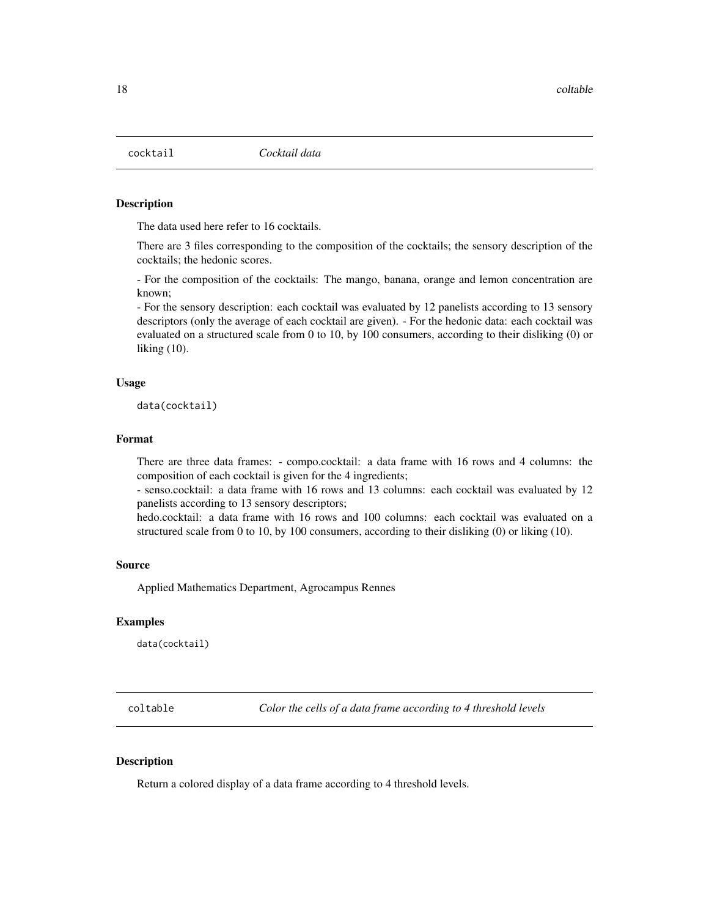<span id="page-17-0"></span>

## Description

The data used here refer to 16 cocktails.

There are 3 files corresponding to the composition of the cocktails; the sensory description of the cocktails; the hedonic scores.

- For the composition of the cocktails: The mango, banana, orange and lemon concentration are known;

- For the sensory description: each cocktail was evaluated by 12 panelists according to 13 sensory descriptors (only the average of each cocktail are given). - For the hedonic data: each cocktail was evaluated on a structured scale from 0 to 10, by 100 consumers, according to their disliking (0) or liking (10).

#### Usage

data(cocktail)

## Format

There are three data frames: - compo.cocktail: a data frame with 16 rows and 4 columns: the composition of each cocktail is given for the 4 ingredients;

- senso.cocktail: a data frame with 16 rows and 13 columns: each cocktail was evaluated by 12 panelists according to 13 sensory descriptors;

hedo.cocktail: a data frame with 16 rows and 100 columns: each cocktail was evaluated on a structured scale from 0 to 10, by 100 consumers, according to their disliking (0) or liking (10).

#### Source

Applied Mathematics Department, Agrocampus Rennes

#### Examples

data(cocktail)

coltable *Color the cells of a data frame according to 4 threshold levels*

## Description

Return a colored display of a data frame according to 4 threshold levels.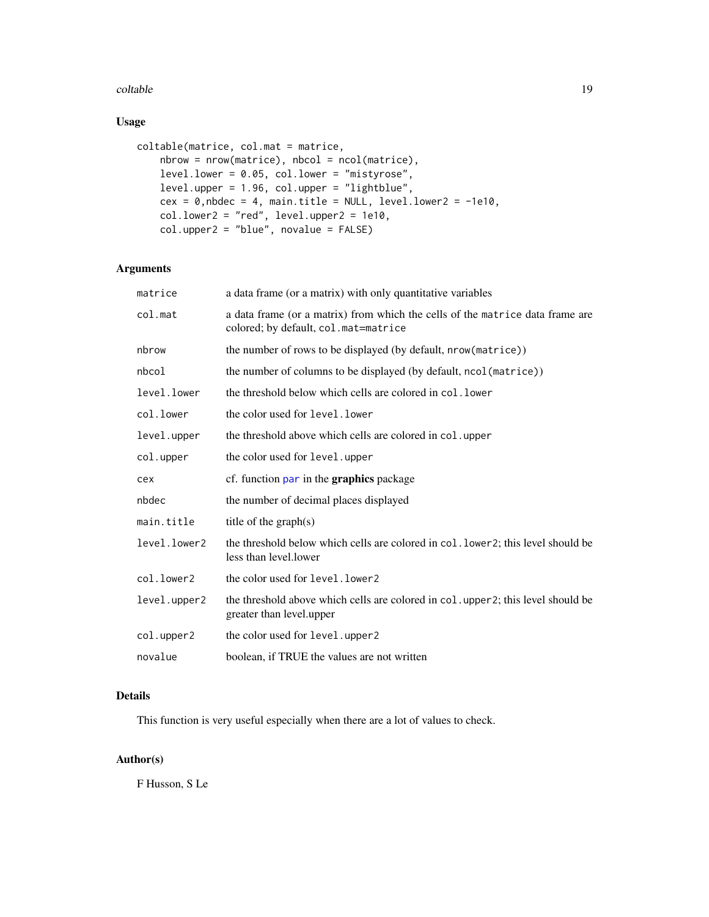#### coltable the contract of the coltable the contract of the coltable the coltable that  $19$

## Usage

```
coltable(matrice, col.mat = matrice,
    nbrow = nrow(matrice), nbcol = ncol(matrice),
    level.lower = 0.05, col.lower = "mistyrose",
    level.upper = 1.96, col.upper = "lightblue",
   cex = 0, nbc = 4, main.title = NULL, level.lower2 = -1e10,
    col.lower2 = "red", level.upper2 = 1e10,col.upper2 = "blue", novalue = FALSE)
```
## Arguments

| matrice      | a data frame (or a matrix) with only quantitative variables                                                           |
|--------------|-----------------------------------------------------------------------------------------------------------------------|
| col.mat      | a data frame (or a matrix) from which the cells of the matrice data frame are<br>colored; by default, col.mat=matrice |
| nbrow        | the number of rows to be displayed (by default, nrow(matrice))                                                        |
| nbcol        | the number of columns to be displayed (by default, ncol (matrice))                                                    |
| level.lower  | the threshold below which cells are colored in col. lower                                                             |
| col.lower    | the color used for level. lower                                                                                       |
| level.upper  | the threshold above which cells are colored in col. upper                                                             |
| col.upper    | the color used for level.upper                                                                                        |
| cex          | cf. function par in the <b>graphics</b> package                                                                       |
| nbdec        | the number of decimal places displayed                                                                                |
| main.title   | title of the $graph(s)$                                                                                               |
| level.lower2 | the threshold below which cells are colored in col. lower2; this level should be<br>less than level.lower             |
| col.lower2   | the color used for level. lower2                                                                                      |
| level.upper2 | the threshold above which cells are colored in col. upper 2; this level should be<br>greater than level.upper         |
| col.upper2   | the color used for level.upper2                                                                                       |
| novalue      | boolean, if TRUE the values are not written                                                                           |

## Details

This function is very useful especially when there are a lot of values to check.

## Author(s)

F Husson, S Le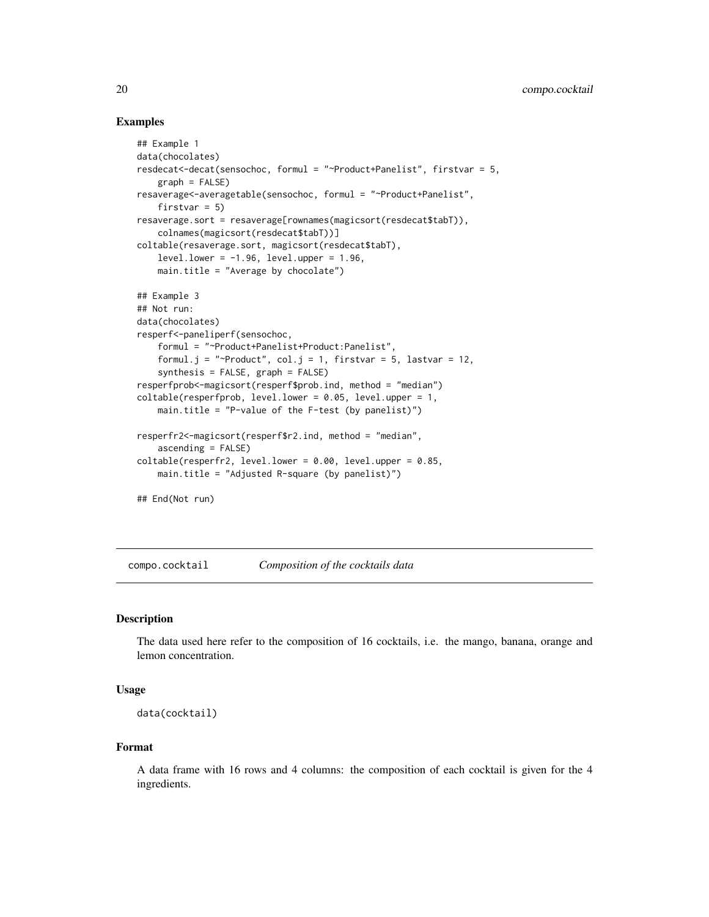## Examples

```
## Example 1
data(chocolates)
resdecat<-decat(sensochoc, formul = "~Product+Panelist", firstvar = 5,
    graph = FALSE)
resaverage<-averagetable(sensochoc, formul = "~Product+Panelist",
    firstvar = 5)resaverage.sort = resaverage[rownames(magicsort(resdecat$tabT)),
    colnames(magicsort(resdecat$tabT))]
coltable(resaverage.sort, magicsort(resdecat$tabT),
   level.lower = -1.96, level.upper = 1.96,
   main.title = "Average by chocolate")
## Example 3
## Not run:
data(chocolates)
resperf<-paneliperf(sensochoc,
    formul = "~Product+Panelist+Product:Panelist",
    formul.j = "~Product", col.j = 1, firstvar = 5, lastvar = 12,
    synthesis = FALSE, graph = FALSE)
resperfprob<-magicsort(resperf$prob.ind, method = "median")
coltable(resperfprob, level.lower = 0.05, level.upper = 1,
    main.title = "P-value of the F-test (by panelist)")
resperfr2<-magicsort(resperf$r2.ind, method = "median",
    ascending = FALSE)
coltable(resperfr2, level.lower = 0.00, level.upper = 0.85,main.title = "Adjusted R-square (by panelist)")
## End(Not run)
```
compo.cocktail *Composition of the cocktails data*

## **Description**

The data used here refer to the composition of 16 cocktails, i.e. the mango, banana, orange and lemon concentration.

#### Usage

```
data(cocktail)
```
#### Format

A data frame with 16 rows and 4 columns: the composition of each cocktail is given for the 4 ingredients.

<span id="page-19-0"></span>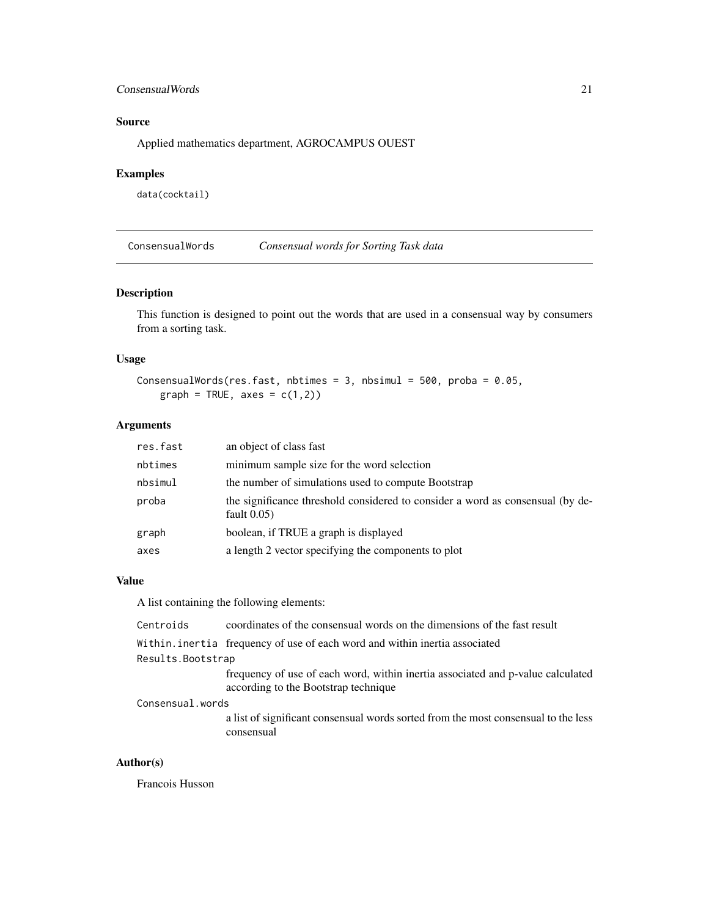## <span id="page-20-0"></span>ConsensualWords 21

## Source

Applied mathematics department, AGROCAMPUS OUEST

## Examples

data(cocktail)

ConsensualWords *Consensual words for Sorting Task data*

## Description

This function is designed to point out the words that are used in a consensual way by consumers from a sorting task.

## Usage

```
ConsensualWords(res.fast, nbtimes = 3, nbsimul = 500, proba = 0.05,
   graph = TRUE, axes = c(1,2)
```
## Arguments

| res.fast | an object of class fast                                                                          |
|----------|--------------------------------------------------------------------------------------------------|
| nbtimes  | minimum sample size for the word selection                                                       |
| nbsimul  | the number of simulations used to compute Bootstrap                                              |
| proba    | the significance threshold considered to consider a word as consensual (by de-<br>fault $0.05$ ) |
| graph    | boolean, if TRUE a graph is displayed                                                            |
| axes     | a length 2 vector specifying the components to plot                                              |

## Value

A list containing the following elements:

| Centroids         | coordinates of the consensual words on the dimensions of the fast result                                                |  |
|-------------------|-------------------------------------------------------------------------------------------------------------------------|--|
|                   | Within.inertia frequency of use of each word and within inertia associated                                              |  |
| Results.Bootstrap |                                                                                                                         |  |
|                   | frequency of use of each word, within inertia associated and p-value calculated<br>according to the Bootstrap technique |  |
| Consensual.words  |                                                                                                                         |  |
|                   | a list of significant consensual words sorted from the most consensual to the less<br>consensual                        |  |

## Author(s)

Francois Husson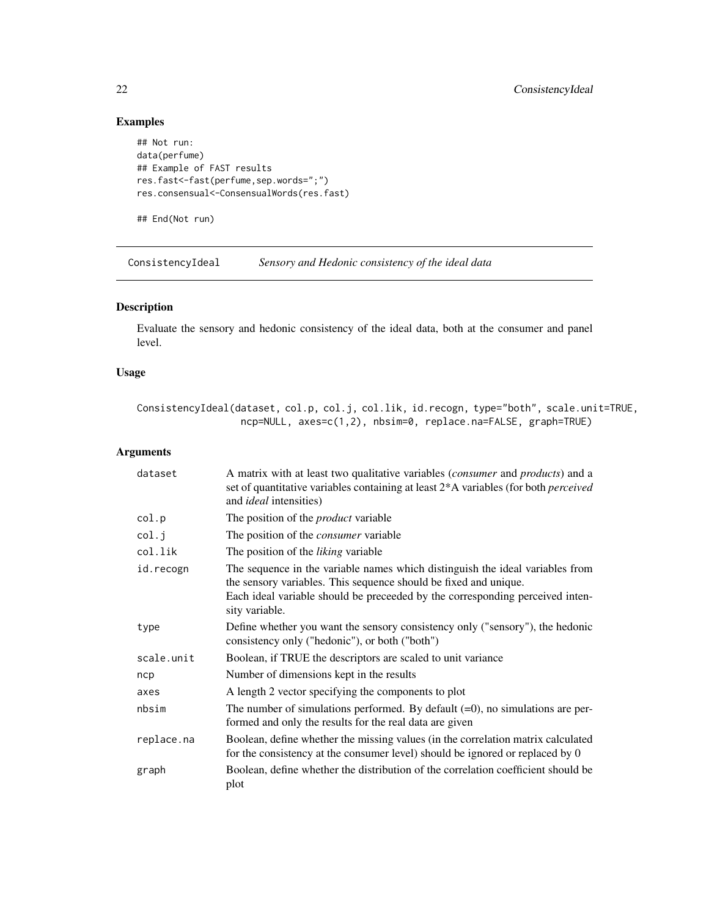## Examples

```
## Not run:
data(perfume)
## Example of FAST results
res.fast<-fast(perfume,sep.words=";")
res.consensual<-ConsensualWords(res.fast)
```
## End(Not run)

ConsistencyIdeal *Sensory and Hedonic consistency of the ideal data*

## Description

Evaluate the sensory and hedonic consistency of the ideal data, both at the consumer and panel level.

## Usage

ConsistencyIdeal(dataset, col.p, col.j, col.lik, id.recogn, type="both", scale.unit=TRUE, ncp=NULL, axes=c(1,2), nbsim=0, replace.na=FALSE, graph=TRUE)

| dataset    | A matrix with at least two qualitative variables (consumer and products) and a<br>set of quantitative variables containing at least 2*A variables (for both perceived<br>and <i>ideal</i> intensities)                                               |
|------------|------------------------------------------------------------------------------------------------------------------------------------------------------------------------------------------------------------------------------------------------------|
| col.p      | The position of the <i>product</i> variable                                                                                                                                                                                                          |
| col.j      | The position of the <i>consumer</i> variable                                                                                                                                                                                                         |
| col.lik    | The position of the <i>liking</i> variable                                                                                                                                                                                                           |
| id.recogn  | The sequence in the variable names which distinguish the ideal variables from<br>the sensory variables. This sequence should be fixed and unique.<br>Each ideal variable should be preceeded by the corresponding perceived inten-<br>sity variable. |
| type       | Define whether you want the sensory consistency only ("sensory"), the hedonic<br>consistency only ("hedonic"), or both ("both")                                                                                                                      |
| scale.unit | Boolean, if TRUE the descriptors are scaled to unit variance                                                                                                                                                                                         |
| ncp        | Number of dimensions kept in the results                                                                                                                                                                                                             |
| axes       | A length 2 vector specifying the components to plot                                                                                                                                                                                                  |
| nbsim      | The number of simulations performed. By default $(=0)$ , no simulations are per-<br>formed and only the results for the real data are given                                                                                                          |
| replace.na | Boolean, define whether the missing values (in the correlation matrix calculated<br>for the consistency at the consumer level) should be ignored or replaced by 0                                                                                    |
| graph      | Boolean, define whether the distribution of the correlation coefficient should be<br>plot                                                                                                                                                            |

<span id="page-21-0"></span>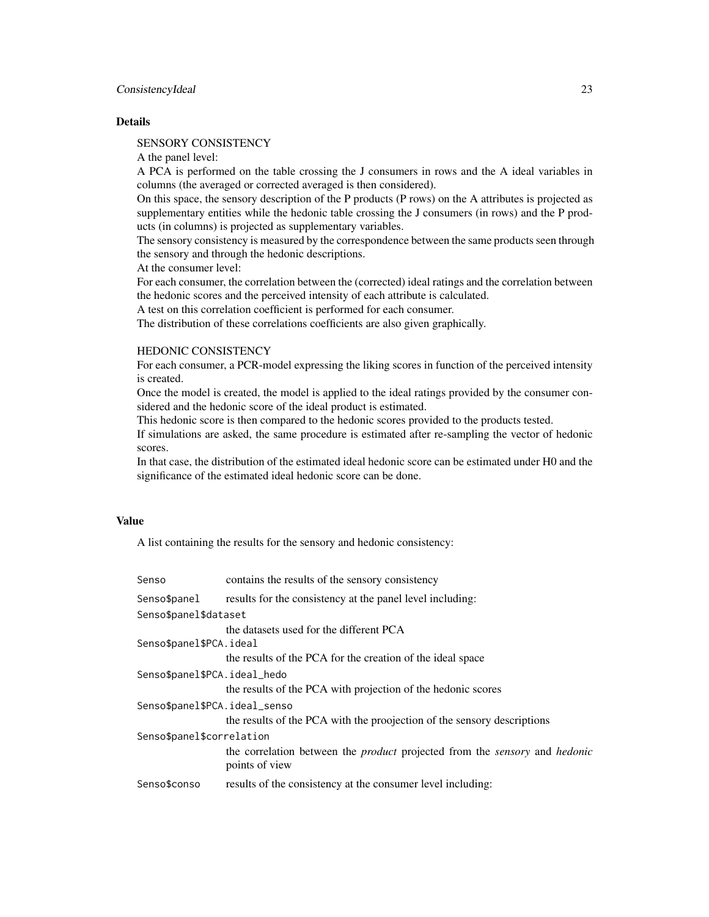## ConsistencyIdeal 23

## **Details**

SENSORY CONSISTENCY

A the panel level:

A PCA is performed on the table crossing the J consumers in rows and the A ideal variables in columns (the averaged or corrected averaged is then considered).

On this space, the sensory description of the P products (P rows) on the A attributes is projected as supplementary entities while the hedonic table crossing the J consumers (in rows) and the P products (in columns) is projected as supplementary variables.

The sensory consistency is measured by the correspondence between the same products seen through the sensory and through the hedonic descriptions.

At the consumer level:

For each consumer, the correlation between the (corrected) ideal ratings and the correlation between the hedonic scores and the perceived intensity of each attribute is calculated.

A test on this correlation coefficient is performed for each consumer.

The distribution of these correlations coefficients are also given graphically.

#### HEDONIC CONSISTENCY

For each consumer, a PCR-model expressing the liking scores in function of the perceived intensity is created.

Once the model is created, the model is applied to the ideal ratings provided by the consumer considered and the hedonic score of the ideal product is estimated.

This hedonic score is then compared to the hedonic scores provided to the products tested.

If simulations are asked, the same procedure is estimated after re-sampling the vector of hedonic scores.

In that case, the distribution of the estimated ideal hedonic score can be estimated under H0 and the significance of the estimated ideal hedonic score can be done.

## Value

A list containing the results for the sensory and hedonic consistency:

| Senso                         | contains the results of the sensory consistency                                                                   |  |
|-------------------------------|-------------------------------------------------------------------------------------------------------------------|--|
| Senso\$panel                  | results for the consistency at the panel level including:                                                         |  |
| Senso\$panel\$dataset         |                                                                                                                   |  |
|                               | the datasets used for the different PCA                                                                           |  |
| Senso\$panel\$PCA.ideal       |                                                                                                                   |  |
|                               | the results of the PCA for the creation of the ideal space                                                        |  |
| Senso\$panel\$PCA.ideal_hedo  |                                                                                                                   |  |
|                               | the results of the PCA with projection of the hedonic scores                                                      |  |
| Senso\$panel\$PCA.ideal_senso |                                                                                                                   |  |
|                               | the results of the PCA with the proojection of the sensory descriptions                                           |  |
| Senso\$panel\$correlation     |                                                                                                                   |  |
|                               | the correlation between the <i>product</i> projected from the <i>sensory</i> and <i>hedonic</i><br>points of view |  |
| Senso\$conso                  | results of the consistency at the consumer level including:                                                       |  |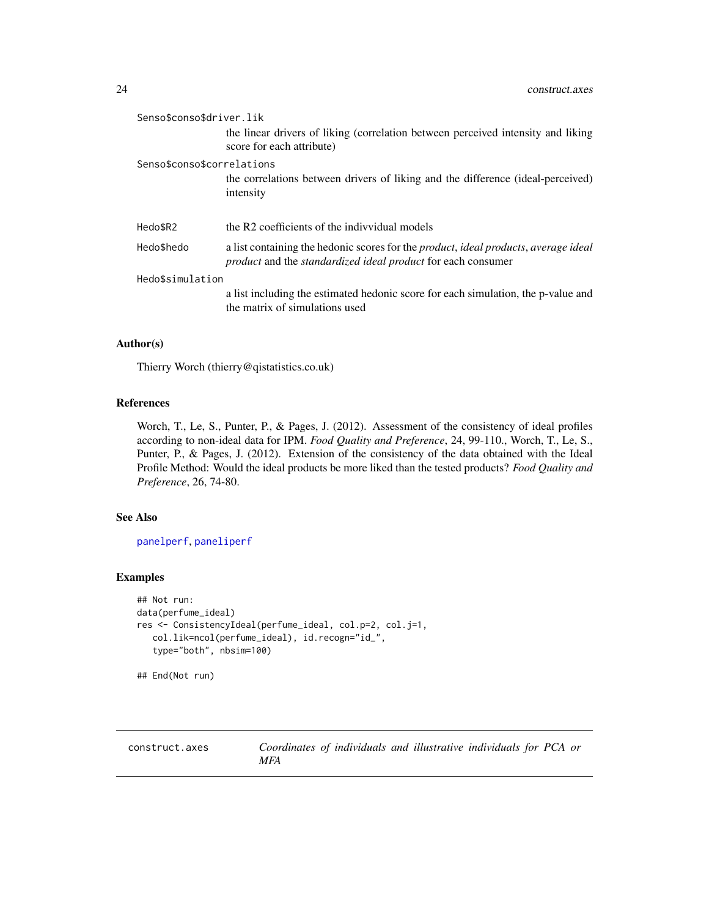<span id="page-23-0"></span>

| Senso\$conso\$driver.lik   |                                                                                                                                                                                          |  |
|----------------------------|------------------------------------------------------------------------------------------------------------------------------------------------------------------------------------------|--|
|                            | the linear drivers of liking (correlation between perceived intensity and liking<br>score for each attribute)                                                                            |  |
| Senso\$conso\$correlations |                                                                                                                                                                                          |  |
|                            | the correlations between drivers of liking and the difference (ideal-perceived)<br>intensity                                                                                             |  |
| Hedo\$R2                   | the R2 coefficients of the indivvidual models                                                                                                                                            |  |
| Hedo\$hedo                 | a list containing the hedonic scores for the <i>product</i> , <i>ideal products</i> , <i>average ideal</i><br><i>product</i> and the <i>standardized ideal product</i> for each consumer |  |
| Hedo\$simulation           |                                                                                                                                                                                          |  |
|                            | a list including the estimated hedonic score for each simulation, the p-value and<br>the matrix of simulations used                                                                      |  |

## Author(s)

Thierry Worch (thierry@qistatistics.co.uk)

#### References

Worch, T., Le, S., Punter, P., & Pages, J. (2012). Assessment of the consistency of ideal profiles according to non-ideal data for IPM. *Food Quality and Preference*, 24, 99-110., Worch, T., Le, S., Punter, P., & Pages, J. (2012). Extension of the consistency of the data obtained with the Ideal Profile Method: Would the ideal products be more liked than the tested products? *Food Quality and Preference*, 26, 74-80.

### See Also

[panelperf](#page-68-1), [paneliperf](#page-58-1)

#### Examples

```
## Not run:
data(perfume_ideal)
res <- ConsistencyIdeal(perfume_ideal, col.p=2, col.j=1,
  col.lik=ncol(perfume_ideal), id.recogn="id_",
  type="both", nbsim=100)
```
## End(Not run)

construct.axes *Coordinates of individuals and illustrative individuals for PCA or MFA*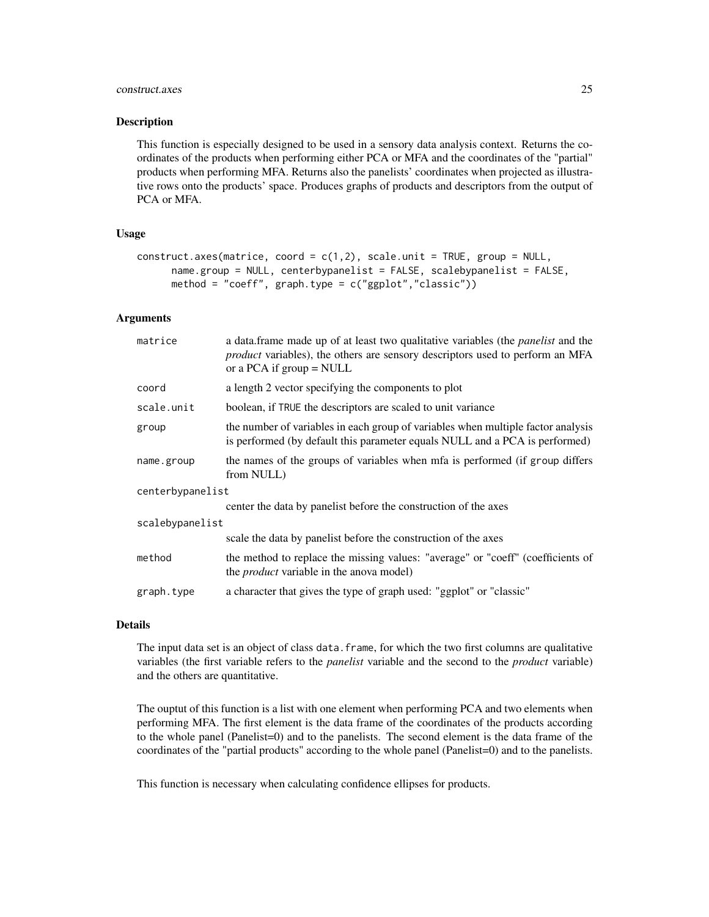#### construct.axes 25

#### Description

This function is especially designed to be used in a sensory data analysis context. Returns the coordinates of the products when performing either PCA or MFA and the coordinates of the "partial" products when performing MFA. Returns also the panelists' coordinates when projected as illustrative rows onto the products' space. Produces graphs of products and descriptors from the output of PCA or MFA.

#### Usage

```
construct.axes(matrice, coord = c(1,2), scale.unit = TRUE, group = NULL,
     name.group = NULL, centerbypanelist = FALSE, scalebypanelist = FALSE,
     method = "coeff", graph_type = c("ggplot", "classic"))
```
#### Arguments

| matrice          | a data.frame made up of at least two qualitative variables (the <i>panelist</i> and the<br><i>product</i> variables), the others are sensory descriptors used to perform an MFA<br>or a PCA if group $=$ NULL |  |
|------------------|---------------------------------------------------------------------------------------------------------------------------------------------------------------------------------------------------------------|--|
| coord            | a length 2 vector specifying the components to plot                                                                                                                                                           |  |
| scale.unit       | boolean, if TRUE the descriptors are scaled to unit variance                                                                                                                                                  |  |
| group            | the number of variables in each group of variables when multiple factor analysis<br>is performed (by default this parameter equals NULL and a PCA is performed)                                               |  |
| name.group       | the names of the groups of variables when mfa is performed (if group differs<br>from NULL)                                                                                                                    |  |
| centerbypanelist |                                                                                                                                                                                                               |  |
|                  | center the data by panelist before the construction of the axes                                                                                                                                               |  |
| scalebypanelist  |                                                                                                                                                                                                               |  |
|                  | scale the data by panelist before the construction of the axes                                                                                                                                                |  |
| method           | the method to replace the missing values: "average" or "coeff" (coefficients of<br>the <i>product</i> variable in the anova model)                                                                            |  |
| graph.type       | a character that gives the type of graph used: "ggplot" or "classic"                                                                                                                                          |  |

#### Details

The input data set is an object of class data. frame, for which the two first columns are qualitative variables (the first variable refers to the *panelist* variable and the second to the *product* variable) and the others are quantitative.

The ouptut of this function is a list with one element when performing PCA and two elements when performing MFA. The first element is the data frame of the coordinates of the products according to the whole panel (Panelist=0) and to the panelists. The second element is the data frame of the coordinates of the "partial products" according to the whole panel (Panelist=0) and to the panelists.

This function is necessary when calculating confidence ellipses for products.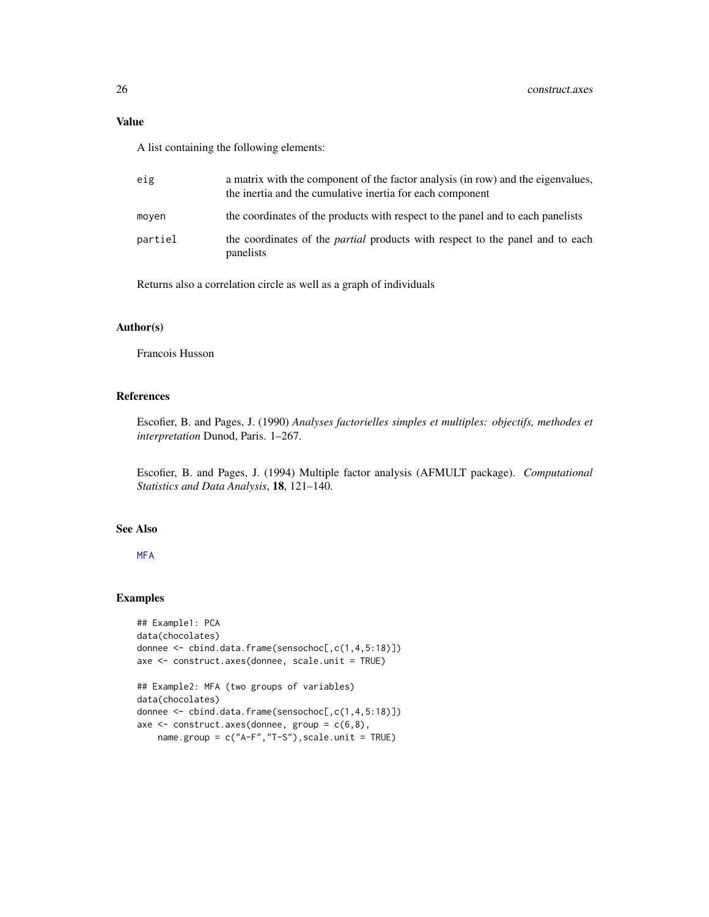## Value

A list containing the following elements:

| eig     | a matrix with the component of the factor analysis (in row) and the eigenvalues,<br>the inertia and the cumulative inertia for each component |
|---------|-----------------------------------------------------------------------------------------------------------------------------------------------|
| moven   | the coordinates of the products with respect to the panel and to each panelists                                                               |
| partiel | the coordinates of the <i>partial</i> products with respect to the panel and to each<br>panelists                                             |

Returns also a correlation circle as well as a graph of individuals

## Author(s)

Francois Husson

## References

Escofier, B. and Pages, J. (1990) *Analyses factorielles simples et multiples: objectifs, methodes et interpretation* Dunod, Paris. 1–267.

Escofier, B. and Pages, J. (1994) Multiple factor analysis (AFMULT package). *Computational Statistics and Data Analysis*, 18, 121–140.

## See Also

[MFA](#page-0-0)

## Examples

```
## Example1: PCA
data(chocolates)
donnee <- cbind.data.frame(sensochoc[,c(1,4,5:18)])
axe <- construct.axes(donnee, scale.unit = TRUE)
## Example2: MFA (two groups of variables)
data(chocolates)
donnee <- cbind.data.frame(sensochoc[,c(1,4,5:18)])
axe \leq construct.axes(donnee, group = c(6,8),
   name.group = c("A-F","T-S"),scale.unit = TRUE)
```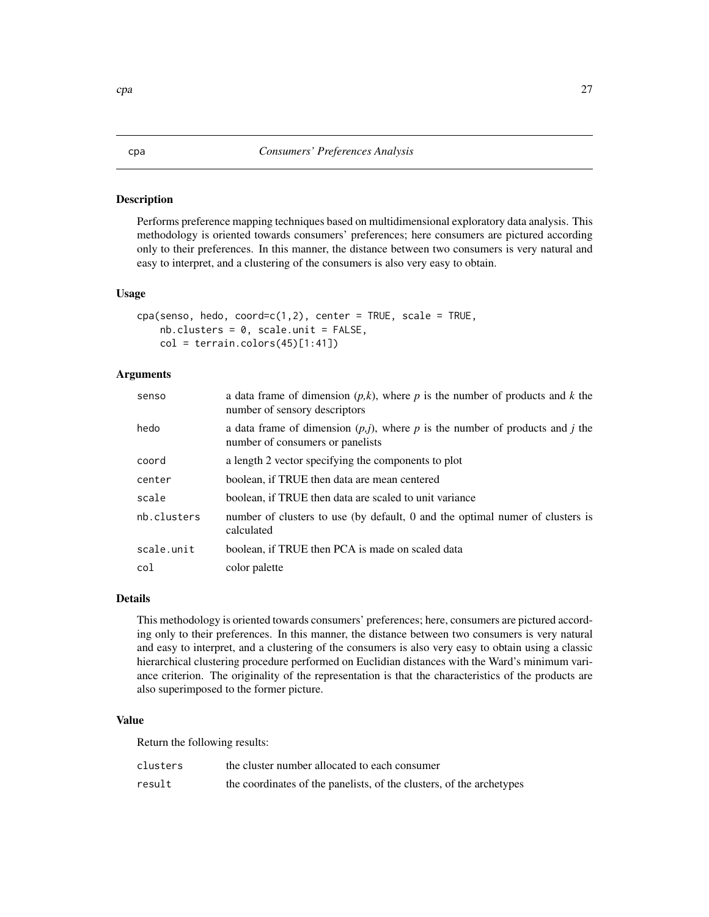#### <span id="page-26-0"></span>Description

Performs preference mapping techniques based on multidimensional exploratory data analysis. This methodology is oriented towards consumers' preferences; here consumers are pictured according only to their preferences. In this manner, the distance between two consumers is very natural and easy to interpret, and a clustering of the consumers is also very easy to obtain.

#### Usage

```
cpa(senso, hedo, coord=c(1,2), center = TRUE, scale = TRUE,nb.class = 0, scale.unit = FALSE,
   col = terrain.colors(45)[1:41])
```
## Arguments

| senso       | a data frame of dimension $(p, k)$ , where p is the number of products and k the<br>number of sensory descriptors    |
|-------------|----------------------------------------------------------------------------------------------------------------------|
| hedo        | a data frame of dimension $(p, j)$ , where p is the number of products and j the<br>number of consumers or panelists |
| coord       | a length 2 vector specifying the components to plot                                                                  |
| center      | boolean, if TRUE then data are mean centered                                                                         |
| scale       | boolean, if TRUE then data are scaled to unit variance                                                               |
| nb.clusters | number of clusters to use (by default, 0 and the optimal numer of clusters is<br>calculated                          |
| scale.unit  | boolean, if TRUE then PCA is made on scaled data                                                                     |
| col         | color palette                                                                                                        |

## Details

This methodology is oriented towards consumers' preferences; here, consumers are pictured according only to their preferences. In this manner, the distance between two consumers is very natural and easy to interpret, and a clustering of the consumers is also very easy to obtain using a classic hierarchical clustering procedure performed on Euclidian distances with the Ward's minimum variance criterion. The originality of the representation is that the characteristics of the products are also superimposed to the former picture.

#### Value

Return the following results:

| clusters | the cluster number allocated to each consumer                        |
|----------|----------------------------------------------------------------------|
| result   | the coordinates of the panelists, of the clusters, of the archetypes |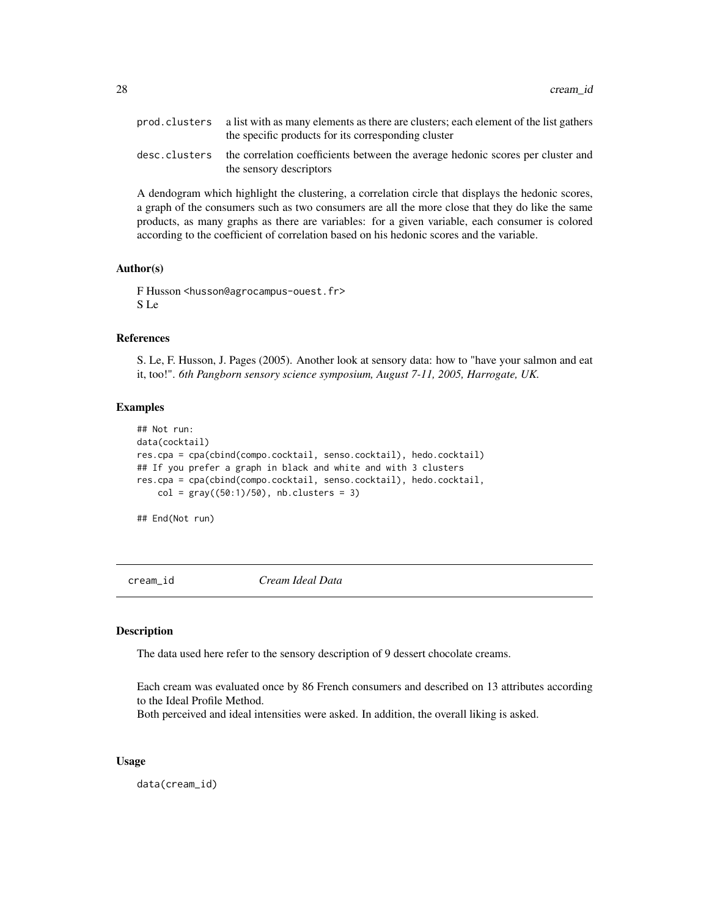<span id="page-27-0"></span>

| prod. clusters a list with as many elements as there are clusters; each element of the list gathers<br>the specific products for its corresponding cluster |
|------------------------------------------------------------------------------------------------------------------------------------------------------------|
| desc. clusters the correlation coefficients between the average hedonic scores per cluster and<br>the sensory descriptors                                  |

A dendogram which highlight the clustering, a correlation circle that displays the hedonic scores, a graph of the consumers such as two consumers are all the more close that they do like the same products, as many graphs as there are variables: for a given variable, each consumer is colored according to the coefficient of correlation based on his hedonic scores and the variable.

#### Author(s)

F Husson <husson@agrocampus-ouest.fr> S Le

#### References

S. Le, F. Husson, J. Pages (2005). Another look at sensory data: how to "have your salmon and eat it, too!". *6th Pangborn sensory science symposium, August 7-11, 2005, Harrogate, UK.*

## Examples

```
## Not run:
data(cocktail)
res.cpa = cpa(cbind(compo.cocktail, senso.cocktail), hedo.cocktail)
## If you prefer a graph in black and white and with 3 clusters
res.cpa = cpa(cbind(compo.cocktail, senso.cocktail), hedo.cocktail,
    col = gray((50:1)/50), nb.clusters = 3)
```
## End(Not run)

cream\_id *Cream Ideal Data*

#### Description

The data used here refer to the sensory description of 9 dessert chocolate creams.

Each cream was evaluated once by 86 French consumers and described on 13 attributes according to the Ideal Profile Method.

Both perceived and ideal intensities were asked. In addition, the overall liking is asked.

#### Usage

data(cream\_id)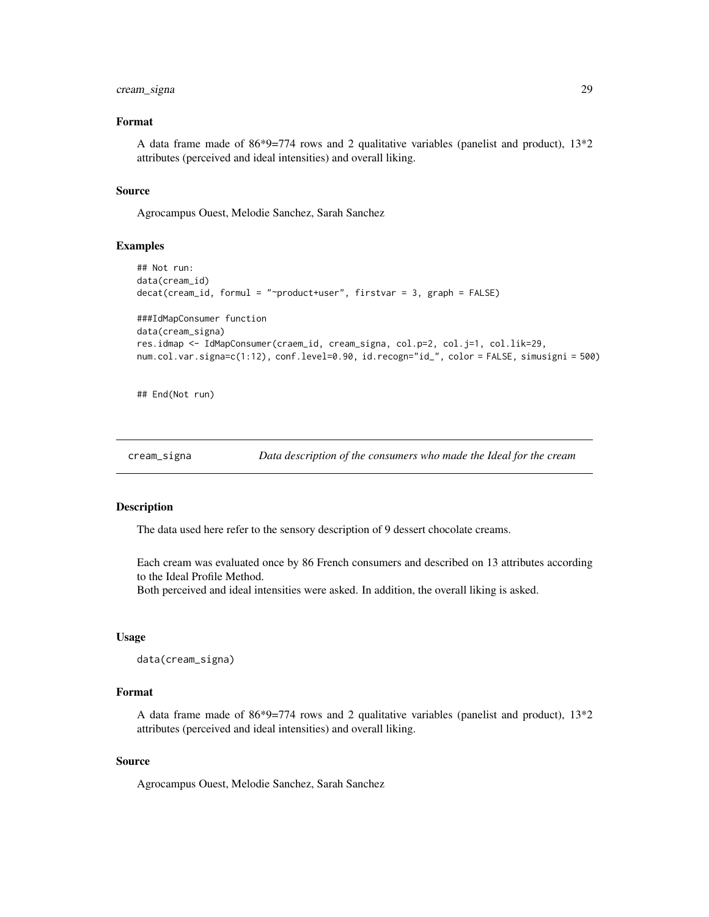## <span id="page-28-0"></span>cream\_signa 29

#### Format

A data frame made of 86\*9=774 rows and 2 qualitative variables (panelist and product), 13\*2 attributes (perceived and ideal intensities) and overall liking.

#### Source

Agrocampus Ouest, Melodie Sanchez, Sarah Sanchez

#### Examples

```
## Not run:
data(cream_id)
decat(cream_id, formul = "~product+user", firstvar = 3, graph = FALSE)
###IdMapConsumer function
data(cream_signa)
res.idmap <- IdMapConsumer(craem_id, cream_signa, col.p=2, col.j=1, col.lik=29,
num.col.var.signa=c(1:12), conf.level=0.90, id.recogn="id_", color = FALSE, simusigni = 500)
```
## End(Not run)

cream\_signa *Data description of the consumers who made the Ideal for the cream*

#### Description

The data used here refer to the sensory description of 9 dessert chocolate creams.

Each cream was evaluated once by 86 French consumers and described on 13 attributes according to the Ideal Profile Method.

Both perceived and ideal intensities were asked. In addition, the overall liking is asked.

#### Usage

data(cream\_signa)

#### Format

A data frame made of  $86*9=774$  rows and 2 qualitative variables (panelist and product),  $13*2$ attributes (perceived and ideal intensities) and overall liking.

#### Source

Agrocampus Ouest, Melodie Sanchez, Sarah Sanchez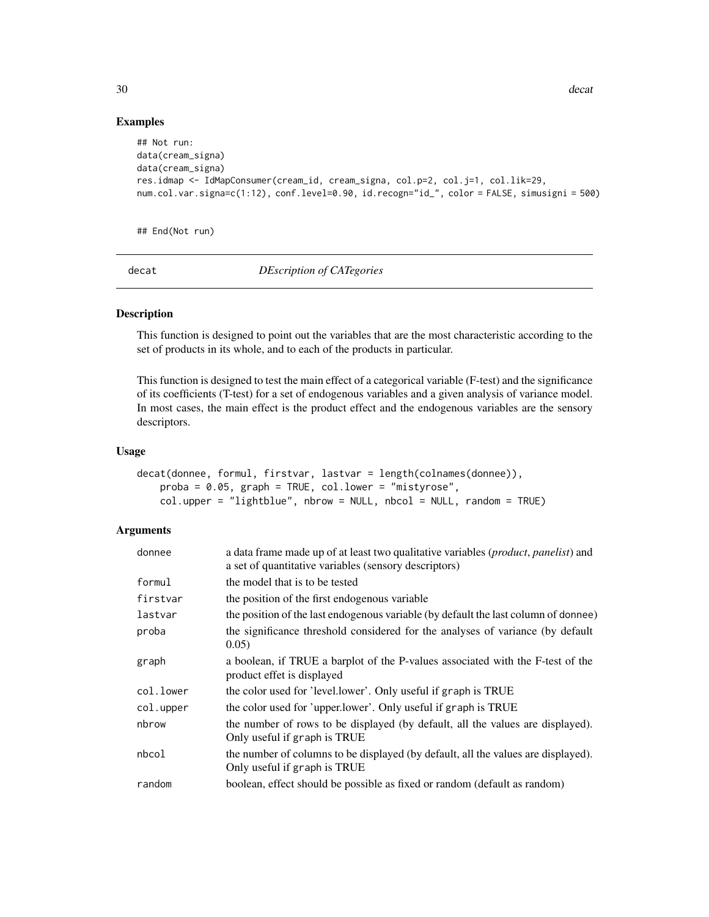#### Examples

```
## Not run:
data(cream_signa)
data(cream_signa)
res.idmap <- IdMapConsumer(cream_id, cream_signa, col.p=2, col.j=1, col.lik=29,
num.col.var.signa=c(1:12), conf.level=0.90, id.recogn="id_", color = FALSE, simusigni = 500)
```
## End(Not run)

<span id="page-29-1"></span>decat *DEscription of CATegories*

## Description

This function is designed to point out the variables that are the most characteristic according to the set of products in its whole, and to each of the products in particular.

This function is designed to test the main effect of a categorical variable (F-test) and the significance of its coefficients (T-test) for a set of endogenous variables and a given analysis of variance model. In most cases, the main effect is the product effect and the endogenous variables are the sensory descriptors.

#### Usage

```
decat(donnee, formul, firstvar, lastvar = length(colnames(donnee)),
   proba = 0.05, graph = TRUE, col.lower = "mistyrose",
   col.upper = "lightblue", nbrow = NULL, nbcol = NULL, random = TRUE)
```

| donnee    | a data frame made up of at least two qualitative variables ( <i>product</i> , <i>panelist</i> ) and<br>a set of quantitative variables (sensory descriptors) |
|-----------|--------------------------------------------------------------------------------------------------------------------------------------------------------------|
| formul    | the model that is to be tested                                                                                                                               |
| firstvar  | the position of the first endogenous variable                                                                                                                |
| lastvar   | the position of the last endogenous variable (by default the last column of donnee)                                                                          |
| proba     | the significance threshold considered for the analyses of variance (by default<br>0.05)                                                                      |
| graph     | a boolean, if TRUE a barplot of the P-values associated with the F-test of the<br>product effet is displayed                                                 |
| col.lower | the color used for 'level.lower'. Only useful if graph is TRUE                                                                                               |
| col.upper | the color used for 'upper.lower'. Only useful if graph is TRUE                                                                                               |
| nbrow     | the number of rows to be displayed (by default, all the values are displayed).<br>Only useful if graph is TRUE                                               |
| nbcol     | the number of columns to be displayed (by default, all the values are displayed).<br>Only useful if graph is TRUE                                            |
| random    | boolean, effect should be possible as fixed or random (default as random)                                                                                    |

<span id="page-29-0"></span>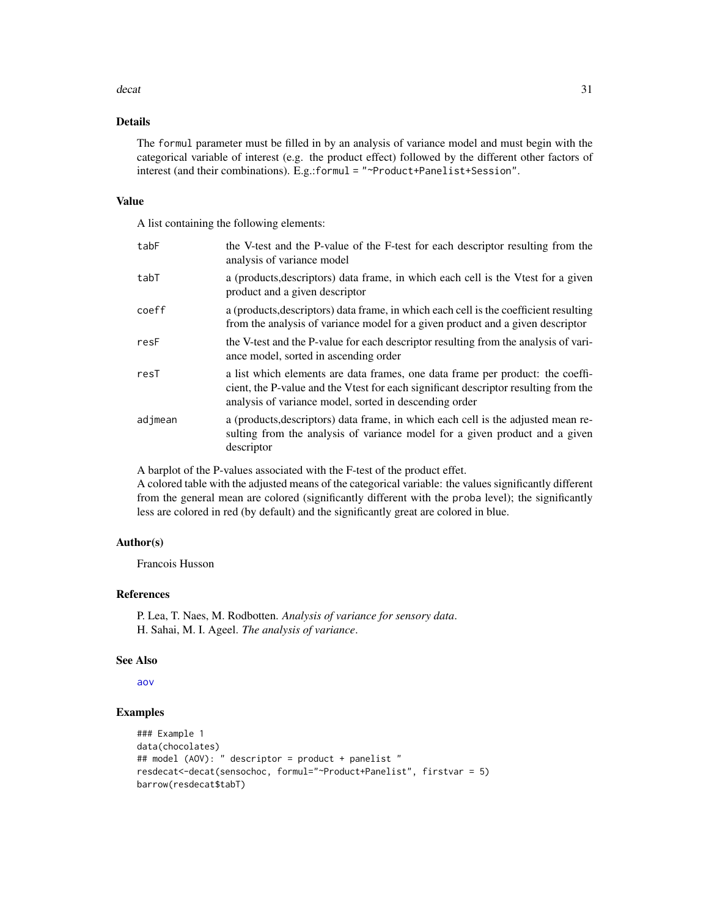#### decat 31

## Details

The formul parameter must be filled in by an analysis of variance model and must begin with the categorical variable of interest (e.g. the product effect) followed by the different other factors of interest (and their combinations). E.g.:formul = "~Product+Panelist+Session".

#### Value

A list containing the following elements:

| tabF    | the V-test and the P-value of the F-test for each descriptor resulting from the<br>analysis of variance model                                                                                                                   |
|---------|---------------------------------------------------------------------------------------------------------------------------------------------------------------------------------------------------------------------------------|
| tabT    | a (products, descriptors) data frame, in which each cell is the Vtest for a given<br>product and a given descriptor                                                                                                             |
| coeff   | a (products, descriptors) data frame, in which each cell is the coefficient resulting<br>from the analysis of variance model for a given product and a given descriptor                                                         |
| resF    | the V-test and the P-value for each descriptor resulting from the analysis of vari-<br>ance model, sorted in ascending order                                                                                                    |
| resT    | a list which elements are data frames, one data frame per product: the coeffi-<br>cient, the P-value and the Vtest for each significant descriptor resulting from the<br>analysis of variance model, sorted in descending order |
| adjmean | a (products, descriptors) data frame, in which each cell is the adjusted mean re-<br>sulting from the analysis of variance model for a given product and a given<br>descriptor                                                  |

A barplot of the P-values associated with the F-test of the product effet.

A colored table with the adjusted means of the categorical variable: the values significantly different from the general mean are colored (significantly different with the proba level); the significantly less are colored in red (by default) and the significantly great are colored in blue.

#### Author(s)

Francois Husson

## References

P. Lea, T. Naes, M. Rodbotten. *Analysis of variance for sensory data*. H. Sahai, M. I. Ageel. *The analysis of variance*.

#### See Also

[aov](#page-0-0)

## Examples

```
### Example 1
data(chocolates)
## model (AOV): " descriptor = product + panelist "
resdecat<-decat(sensochoc, formul="~Product+Panelist", firstvar = 5)
barrow(resdecat$tabT)
```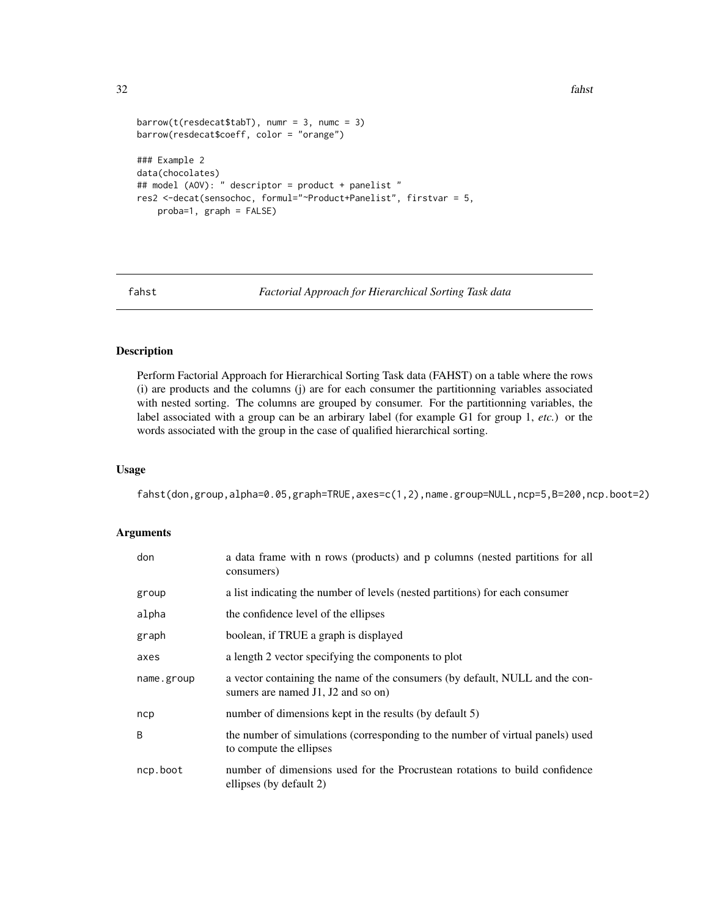```
barrow(t(resdeck45L), numr = 3, numc = 3)
barrow(resdecat$coeff, color = "orange")
### Example 2
data(chocolates)
## model (AOV): " descriptor = product + panelist "
res2 <-decat(sensochoc, formul="~Product+Panelist", firstvar = 5,
   proba=1, graph = FALSE)
```
fahst *Factorial Approach for Hierarchical Sorting Task data*

## Description

Perform Factorial Approach for Hierarchical Sorting Task data (FAHST) on a table where the rows (i) are products and the columns (j) are for each consumer the partitionning variables associated with nested sorting. The columns are grouped by consumer. For the partitionning variables, the label associated with a group can be an arbirary label (for example G1 for group 1, *etc.*) or the words associated with the group in the case of qualified hierarchical sorting.

#### Usage

fahst(don,group,alpha=0.05,graph=TRUE,axes=c(1,2),name.group=NULL,ncp=5,B=200,ncp.boot=2)

| don        | a data frame with n rows (products) and p columns (nested partitions for all<br>consumers)                         |
|------------|--------------------------------------------------------------------------------------------------------------------|
| group      | a list indicating the number of levels (nested partitions) for each consumer                                       |
| alpha      | the confidence level of the ellipses                                                                               |
| graph      | boolean, if TRUE a graph is displayed                                                                              |
| axes       | a length 2 vector specifying the components to plot                                                                |
| name.group | a vector containing the name of the consumers (by default, NULL and the con-<br>sumers are named J1, J2 and so on) |
| ncp        | number of dimensions kept in the results (by default 5)                                                            |
| B          | the number of simulations (corresponding to the number of virtual panels) used<br>to compute the ellipses          |
| ncp.boot   | number of dimensions used for the Procrustean rotations to build confidence<br>ellipses (by default 2)             |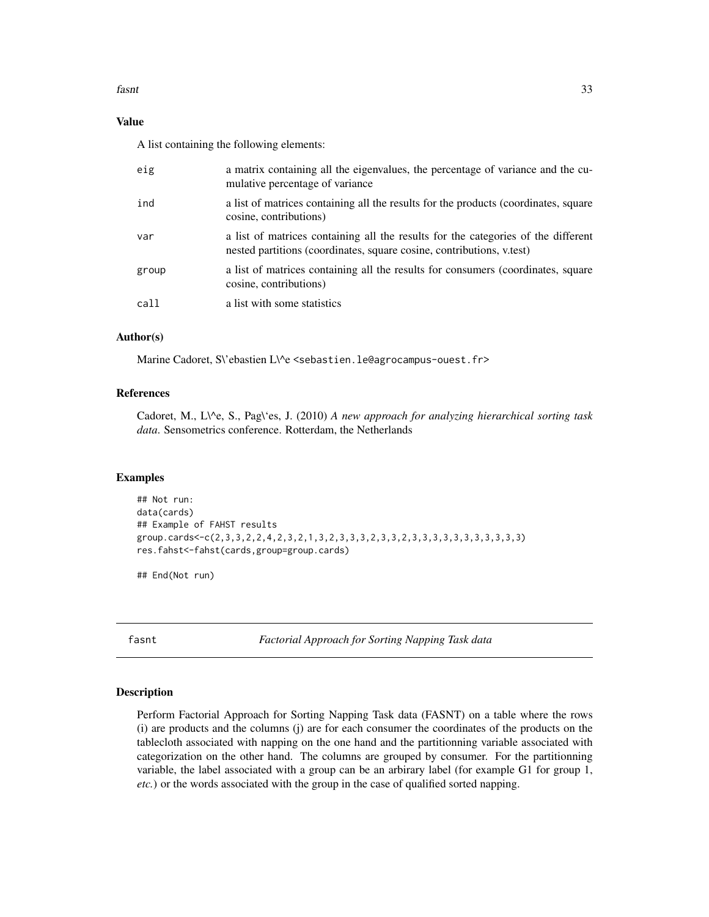#### <span id="page-32-0"></span>fasnt 33

## Value

A list containing the following elements:

| eig   | a matrix containing all the eigenvalues, the percentage of variance and the cu-<br>mulative percentage of variance                                         |
|-------|------------------------------------------------------------------------------------------------------------------------------------------------------------|
| ind   | a list of matrices containing all the results for the products (coordinates, square<br>cosine, contributions)                                              |
| var   | a list of matrices containing all the results for the categories of the different<br>nested partitions (coordinates, square cosine, contributions, v.test) |
| group | a list of matrices containing all the results for consumers (coordinates, square<br>cosine, contributions)                                                 |
| call  | a list with some statistics                                                                                                                                |

## Author(s)

Marine Cadoret, S\'ebastien L\^e <sebastien.le@agrocampus-ouest.fr>

#### References

Cadoret, M., L\^e, S., Pag\'es, J. (2010) *A new approach for analyzing hierarchical sorting task data*. Sensometrics conference. Rotterdam, the Netherlands

## Examples

```
## Not run:
data(cards)
## Example of FAHST results
group.cards<-c(2,3,3,2,2,4,2,3,2,1,3,2,3,3,3,2,3,3,2,3,3,3,3,3,3,3,3,3,3,3)
res.fahst<-fahst(cards,group=group.cards)
```
## End(Not run)

fasnt *Factorial Approach for Sorting Napping Task data*

#### Description

Perform Factorial Approach for Sorting Napping Task data (FASNT) on a table where the rows (i) are products and the columns (j) are for each consumer the coordinates of the products on the tablecloth associated with napping on the one hand and the partitionning variable associated with categorization on the other hand. The columns are grouped by consumer. For the partitionning variable, the label associated with a group can be an arbirary label (for example G1 for group 1, *etc.*) or the words associated with the group in the case of qualified sorted napping.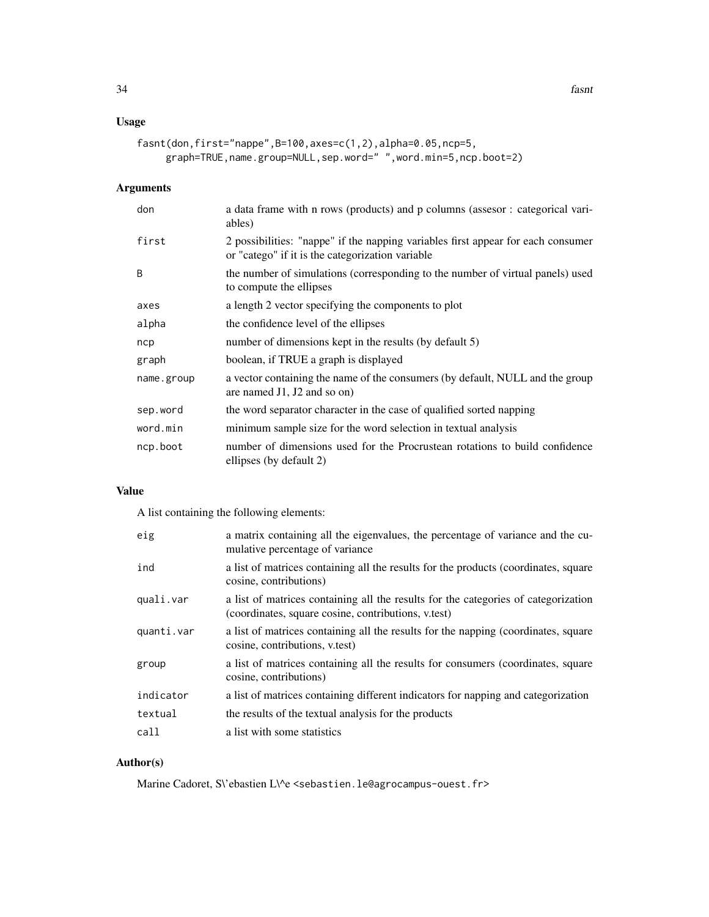## Usage

```
fasnt(don,first="nappe",B=100,axes=c(1,2),alpha=0.05,ncp=5,
    graph=TRUE,name.group=NULL,sep.word=" ",word.min=5,ncp.boot=2)
```
## Arguments

| don        | a data frame with n rows (products) and p columns (assesor : categorical vari-<br>ables)                                             |
|------------|--------------------------------------------------------------------------------------------------------------------------------------|
| first      | 2 possibilities: "nappe" if the napping variables first appear for each consumer<br>or "catego" if it is the categorization variable |
| B          | the number of simulations (corresponding to the number of virtual panels) used<br>to compute the ellipses                            |
| axes       | a length 2 vector specifying the components to plot                                                                                  |
| alpha      | the confidence level of the ellipses                                                                                                 |
| ncp        | number of dimensions kept in the results (by default 5)                                                                              |
| graph      | boolean, if TRUE a graph is displayed                                                                                                |
| name.group | a vector containing the name of the consumers (by default, NULL and the group<br>are named $J1$ , $J2$ and so on)                    |
| sep.word   | the word separator character in the case of qualified sorted napping                                                                 |
| word.min   | minimum sample size for the word selection in textual analysis                                                                       |
| ncp.boot   | number of dimensions used for the Procrustean rotations to build confidence<br>ellipses (by default 2)                               |

## Value

A list containing the following elements:

| eig        | a matrix containing all the eigenvalues, the percentage of variance and the cu-<br>mulative percentage of variance                        |
|------------|-------------------------------------------------------------------------------------------------------------------------------------------|
| ind        | a list of matrices containing all the results for the products (coordinates, square<br>cosine, contributions)                             |
| quali.var  | a list of matrices containing all the results for the categories of categorization<br>(coordinates, square cosine, contributions, v.test) |
| quanti.var | a list of matrices containing all the results for the napping (coordinates, square<br>cosine, contributions, v.test)                      |
| group      | a list of matrices containing all the results for consumers (coordinates, square<br>cosine, contributions)                                |
| indicator  | a list of matrices containing different indicators for napping and categorization                                                         |
| textual    | the results of the textual analysis for the products                                                                                      |
| call       | a list with some statistics                                                                                                               |

## Author(s)

Marine Cadoret, S\'ebastien L\^e <sebastien.le@agrocampus-ouest.fr>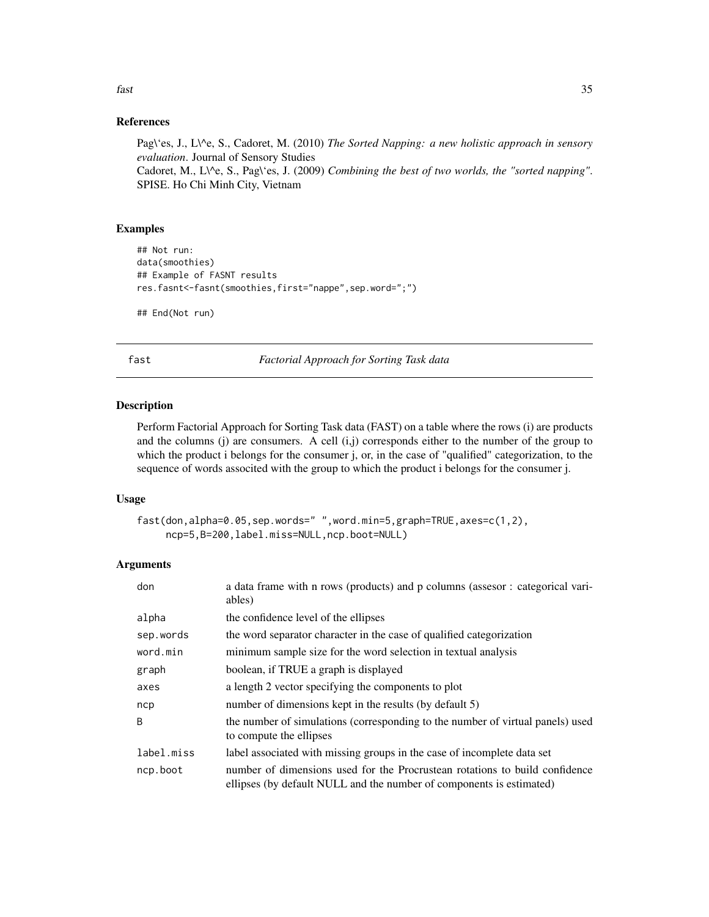#### <span id="page-34-0"></span>References

Pag\'es, J., L\^e, S., Cadoret, M. (2010) *The Sorted Napping: a new holistic approach in sensory evaluation*. Journal of Sensory Studies Cadoret, M., L\^e, S., Pag\'es, J. (2009) *Combining the best of two worlds, the "sorted napping"*. SPISE. Ho Chi Minh City, Vietnam

## Examples

```
## Not run:
data(smoothies)
## Example of FASNT results
res.fasnt<-fasnt(smoothies,first="nappe",sep.word=";")
```
## End(Not run)

fast *Factorial Approach for Sorting Task data*

#### Description

Perform Factorial Approach for Sorting Task data (FAST) on a table where the rows (i) are products and the columns (j) are consumers. A cell  $(i,j)$  corresponds either to the number of the group to which the product i belongs for the consumer j, or, in the case of "qualified" categorization, to the sequence of words associted with the group to which the product i belongs for the consumer j.

## Usage

```
fast(don,alpha=0.05,sep.words=" ",word.min=5,graph=TRUE,axes=c(1,2),
     ncp=5,B=200,label.miss=NULL,ncp.boot=NULL)
```

| don        | a data frame with n rows (products) and p columns (assesor : categorical vari-<br>ables)                                                            |
|------------|-----------------------------------------------------------------------------------------------------------------------------------------------------|
| alpha      | the confidence level of the ellipses                                                                                                                |
| sep.words  | the word separator character in the case of qualified categorization                                                                                |
| word.min   | minimum sample size for the word selection in textual analysis                                                                                      |
| graph      | boolean, if TRUE a graph is displayed                                                                                                               |
| axes       | a length 2 vector specifying the components to plot                                                                                                 |
| ncp        | number of dimensions kept in the results (by default 5)                                                                                             |
| B          | the number of simulations (corresponding to the number of virtual panels) used<br>to compute the ellipses                                           |
| label.miss | label associated with missing groups in the case of incomplete data set                                                                             |
| ncp.boot   | number of dimensions used for the Procrustean rotations to build confidence<br>ellipses (by default NULL and the number of components is estimated) |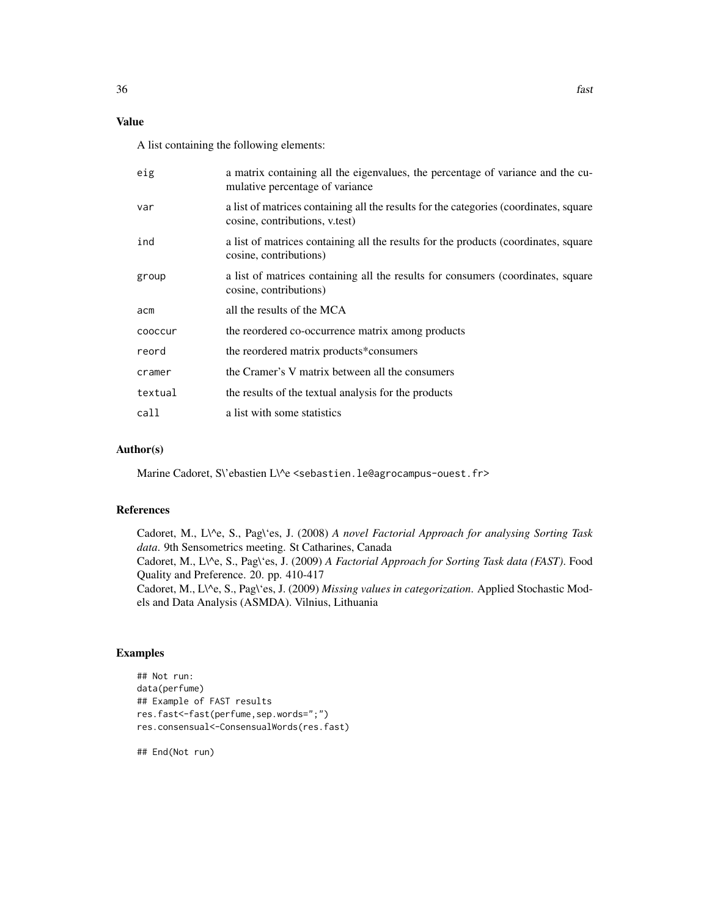## Value

A list containing the following elements:

| eig     | a matrix containing all the eigenvalues, the percentage of variance and the cu-<br>mulative percentage of variance      |
|---------|-------------------------------------------------------------------------------------------------------------------------|
| var     | a list of matrices containing all the results for the categories (coordinates, square<br>cosine, contributions, v.test) |
| ind     | a list of matrices containing all the results for the products (coordinates, square<br>cosine, contributions)           |
| group   | a list of matrices containing all the results for consumers (coordinates, square<br>cosine, contributions)              |
| acm     | all the results of the MCA                                                                                              |
| cooccur | the reordered co-occurrence matrix among products                                                                       |
| reord   | the reordered matrix products*consumers                                                                                 |
| cramer  | the Cramer's V matrix between all the consumers                                                                         |
| textual | the results of the textual analysis for the products                                                                    |
| call    | a list with some statistics                                                                                             |

#### Author(s)

Marine Cadoret, S\'ebastien L\^e <sebastien.le@agrocampus-ouest.fr>

## References

Cadoret, M., L\^e, S., Pag\'es, J. (2008) *A novel Factorial Approach for analysing Sorting Task data*. 9th Sensometrics meeting. St Catharines, Canada Cadoret, M., L\^e, S., Pag\'es, J. (2009) *A Factorial Approach for Sorting Task data (FAST)*. Food Quality and Preference. 20. pp. 410-417 Cadoret, M., L\^e, S., Pag\'es, J. (2009) *Missing values in categorization*. Applied Stochastic Models and Data Analysis (ASMDA). Vilnius, Lithuania

## Examples

```
## Not run:
data(perfume)
## Example of FAST results
res.fast<-fast(perfume,sep.words=";")
res.consensual<-ConsensualWords(res.fast)
```
## End(Not run)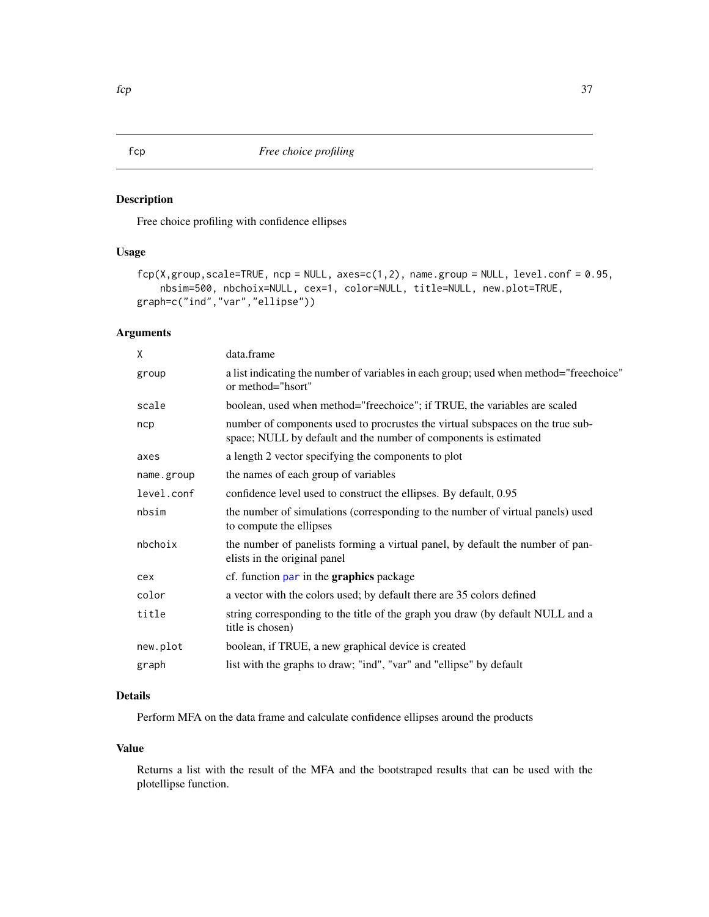# Description

Free choice profiling with confidence ellipses

# Usage

```
fcp(X,group,scale=TRUE, nep = NULL, axes=c(1,2), name,group = NULL, level.config = 0.95,nbsim=500, nbchoix=NULL, cex=1, color=NULL, title=NULL, new.plot=TRUE,
graph=c("ind","var","ellipse"))
```
# Arguments

| X          | data.frame                                                                                                                                         |
|------------|----------------------------------------------------------------------------------------------------------------------------------------------------|
| group      | a list indicating the number of variables in each group; used when method="freechoice"<br>or method="hsort"                                        |
| scale      | boolean, used when method="freechoice"; if TRUE, the variables are scaled                                                                          |
| ncp        | number of components used to procrustes the virtual subspaces on the true sub-<br>space; NULL by default and the number of components is estimated |
| axes       | a length 2 vector specifying the components to plot                                                                                                |
| name.group | the names of each group of variables                                                                                                               |
| level.conf | confidence level used to construct the ellipses. By default, 0.95                                                                                  |
| nbsim      | the number of simulations (corresponding to the number of virtual panels) used<br>to compute the ellipses                                          |
| nbchoix    | the number of panelists forming a virtual panel, by default the number of pan-<br>elists in the original panel                                     |
| cex        | cf. function par in the <b>graphics</b> package                                                                                                    |
| color      | a vector with the colors used; by default there are 35 colors defined                                                                              |
| title      | string corresponding to the title of the graph you draw (by default NULL and a<br>title is chosen)                                                 |
| new.plot   | boolean, if TRUE, a new graphical device is created                                                                                                |
| graph      | list with the graphs to draw; "ind", "var" and "ellipse" by default                                                                                |
|            |                                                                                                                                                    |

# Details

Perform MFA on the data frame and calculate confidence ellipses around the products

### Value

Returns a list with the result of the MFA and the bootstraped results that can be used with the plotellipse function.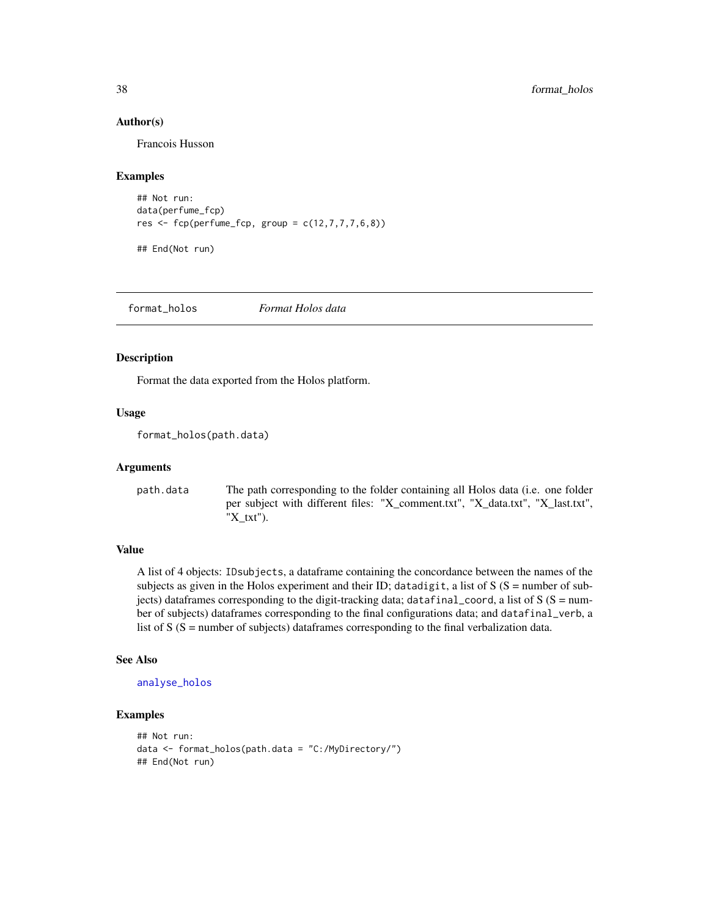### Author(s)

Francois Husson

#### Examples

```
## Not run:
data(perfume_fcp)
res \leftarrow fcp(perfume_fcp, group = c(12,7,7,7,6,8))
```
## End(Not run)

format\_holos *Format Holos data*

#### Description

Format the data exported from the Holos platform.

### Usage

```
format_holos(path.data)
```
#### Arguments

path.data The path corresponding to the folder containing all Holos data (i.e. one folder per subject with different files: "X\_comment.txt", "X\_data.txt", "X\_last.txt", "X\_txt").

#### Value

A list of 4 objects: IDsubjects, a dataframe containing the concordance between the names of the subjects as given in the Holos experiment and their ID; datadigit, a list of  $S(S =$  number of subjects) dataframes corresponding to the digit-tracking data; datafinal\_coord, a list of  $S(S = num$ ber of subjects) dataframes corresponding to the final configurations data; and datafinal\_verb, a list of  $S(S = number of subjects)$  dataframes corresponding to the final verbalization data.

### See Also

```
analyse_holos
```
### Examples

```
## Not run:
data <- format_holos(path.data = "C:/MyDirectory/")
## End(Not run)
```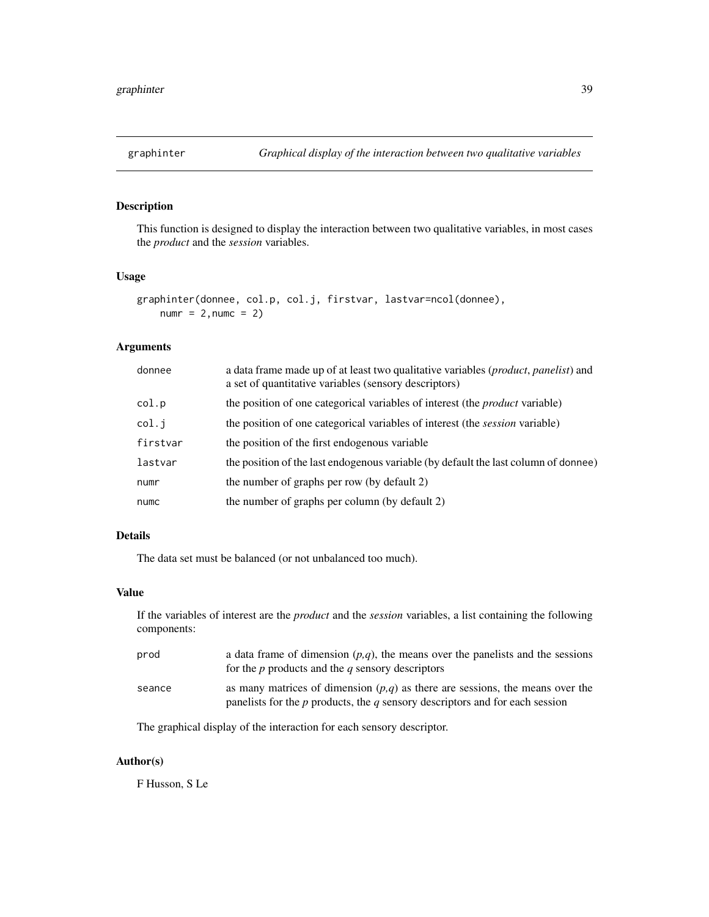# Description

This function is designed to display the interaction between two qualitative variables, in most cases the *product* and the *session* variables.

### Usage

```
graphinter(donnee, col.p, col.j, firstvar, lastvar=ncol(donnee),
   numr = 2, numc = 2)
```
# Arguments

| donnee   | a data frame made up of at least two qualitative variables ( <i>product, panelist</i> ) and<br>a set of quantitative variables (sensory descriptors) |
|----------|------------------------------------------------------------------------------------------------------------------------------------------------------|
| col.p    | the position of one categorical variables of interest (the <i>product</i> variable)                                                                  |
| col.j    | the position of one categorical variables of interest (the <i>session</i> variable)                                                                  |
| firstvar | the position of the first endogenous variable                                                                                                        |
| lastvar  | the position of the last endogenous variable (by default the last column of donnee)                                                                  |
| numr     | the number of graphs per row (by default 2)                                                                                                          |
| numc     | the number of graphs per column (by default 2)                                                                                                       |

# Details

The data set must be balanced (or not unbalanced too much).

# Value

If the variables of interest are the *product* and the *session* variables, a list containing the following components:

| prod   | a data frame of dimension $(p,q)$ , the means over the panelists and the sessions<br>for the p products and the q sensory descriptors                               |
|--------|---------------------------------------------------------------------------------------------------------------------------------------------------------------------|
| seance | as many matrices of dimension $(p,q)$ as there are sessions, the means over the<br>panelists for the $p$ products, the $q$ sensory descriptors and for each session |

The graphical display of the interaction for each sensory descriptor.

# Author(s)

F Husson, S Le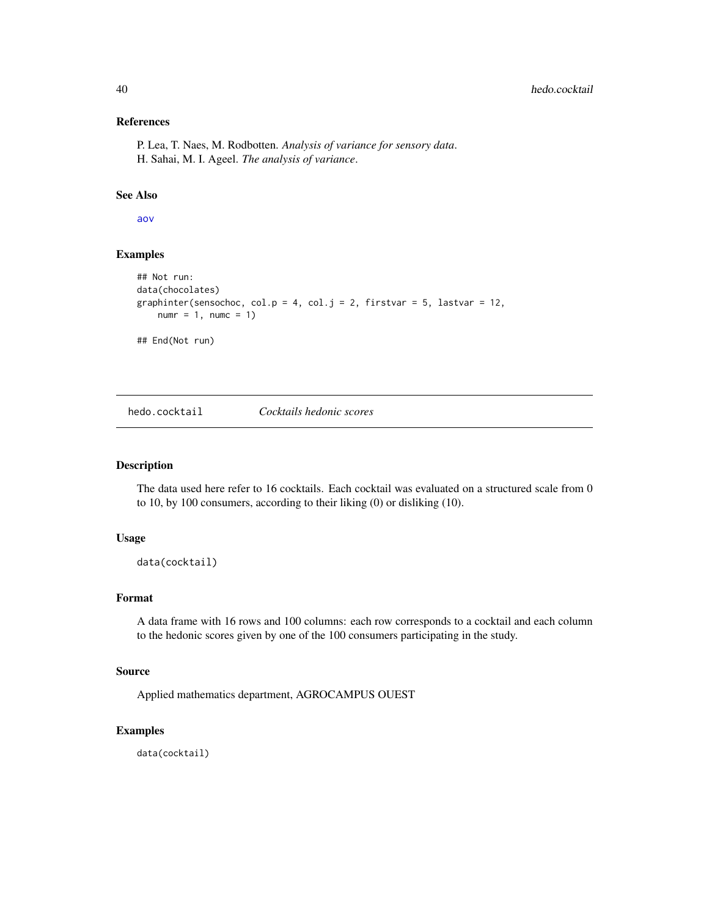### References

P. Lea, T. Naes, M. Rodbotten. *Analysis of variance for sensory data*. H. Sahai, M. I. Ageel. *The analysis of variance*.

### See Also

[aov](#page-0-0)

# Examples

```
## Not run:
data(chocolates)
graphinter(sensochoc, col.p = 4, col.j = 2, firstvar = 5, lastvar = 12,
   numr = 1, numc = 1)
## End(Not run)
```
hedo.cocktail *Cocktails hedonic scores*

# Description

The data used here refer to 16 cocktails. Each cocktail was evaluated on a structured scale from 0 to 10, by 100 consumers, according to their liking (0) or disliking (10).

### Usage

data(cocktail)

# Format

A data frame with 16 rows and 100 columns: each row corresponds to a cocktail and each column to the hedonic scores given by one of the 100 consumers participating in the study.

# Source

Applied mathematics department, AGROCAMPUS OUEST

### Examples

data(cocktail)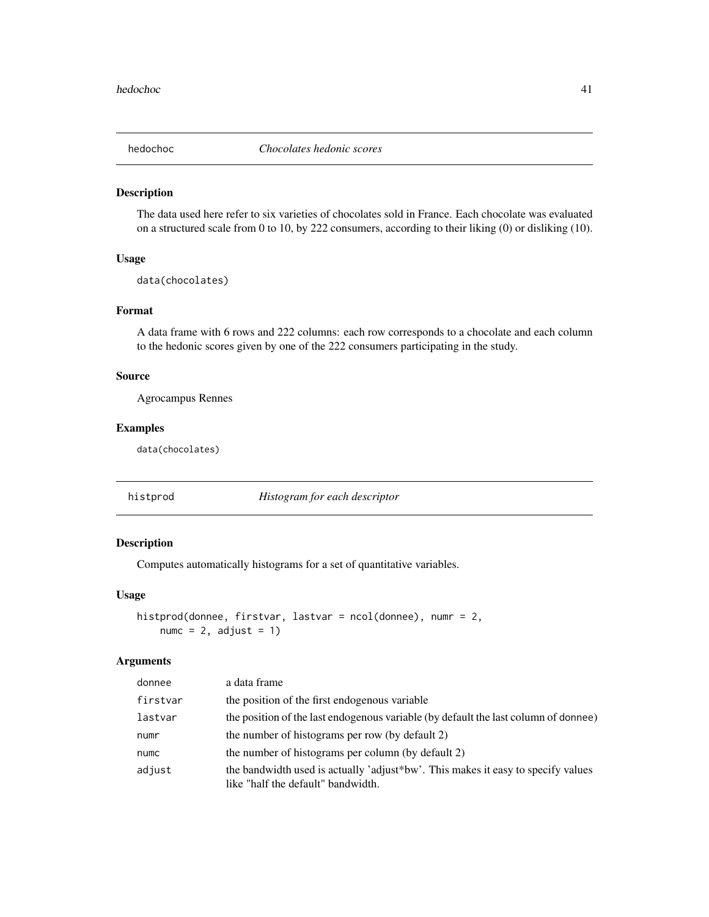### Description

The data used here refer to six varieties of chocolates sold in France. Each chocolate was evaluated on a structured scale from 0 to 10, by 222 consumers, according to their liking (0) or disliking (10).

## Usage

data(chocolates)

### Format

A data frame with 6 rows and 222 columns: each row corresponds to a chocolate and each column to the hedonic scores given by one of the 222 consumers participating in the study.

# Source

Agrocampus Rennes

# Examples

data(chocolates)

histprod *Histogram for each descriptor*

# Description

Computes automatically histograms for a set of quantitative variables.

#### Usage

```
histprod(donnee, firstvar, lastvar = ncol(donnee), numr = 2,
    numc = 2, adjust = 1)
```
#### Arguments

| donnee   | a data frame                                                                                                           |
|----------|------------------------------------------------------------------------------------------------------------------------|
| firstvar | the position of the first endogenous variable                                                                          |
| lastvar  | the position of the last endogenous variable (by default the last column of donnee)                                    |
| numr     | the number of histograms per row (by default 2)                                                                        |
| numc     | the number of histograms per column (by default 2)                                                                     |
| adjust   | the bandwidth used is actually 'adjust*bw'. This makes it easy to specify values<br>like "half the default" bandwidth. |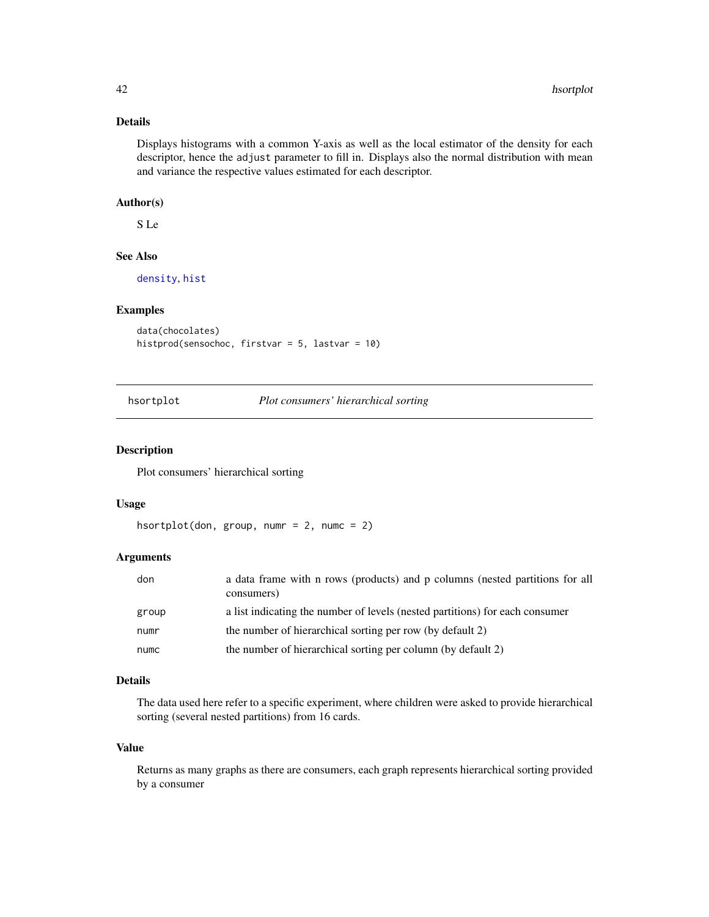### Details

Displays histograms with a common Y-axis as well as the local estimator of the density for each descriptor, hence the adjust parameter to fill in. Displays also the normal distribution with mean and variance the respective values estimated for each descriptor.

# Author(s)

S Le

### See Also

[density](#page-0-0), [hist](#page-0-0)

#### Examples

```
data(chocolates)
histprod(sensochoc, firstvar = 5, lastvar = 10)
```
hsortplot *Plot consumers' hierarchical sorting*

### Description

Plot consumers' hierarchical sorting

#### Usage

```
hsortplot(don, group, numr = 2, numc = 2)
```
## Arguments

| don   | a data frame with n rows (products) and p columns (nested partitions for all<br>consumers) |
|-------|--------------------------------------------------------------------------------------------|
| group | a list indicating the number of levels (nested partitions) for each consumer               |
| numr  | the number of hierarchical sorting per row (by default 2)                                  |
| numc  | the number of hierarchical sorting per column (by default 2)                               |

### Details

The data used here refer to a specific experiment, where children were asked to provide hierarchical sorting (several nested partitions) from 16 cards.

#### Value

Returns as many graphs as there are consumers, each graph represents hierarchical sorting provided by a consumer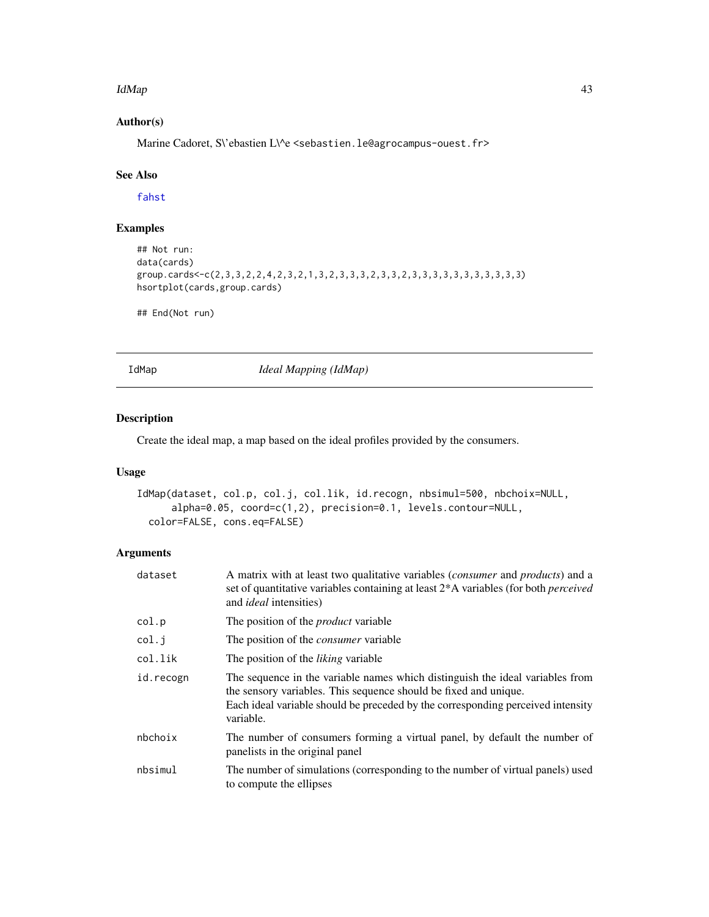#### IdMap 43

# Author(s)

Marine Cadoret, S\'ebastien L\^e <sebastien.le@agrocampus-ouest.fr>

### See Also

[fahst](#page-31-0)

# Examples

```
## Not run:
data(cards)
group.cards<-c(2,3,3,2,2,4,2,3,2,1,3,2,3,3,3,2,3,3,2,3,3,3,3,3,3,3,3,3,3,3)
hsortplot(cards,group.cards)
```
## End(Not run)

<span id="page-42-0"></span>

IdMap *Ideal Mapping (IdMap)*

### Description

Create the ideal map, a map based on the ideal profiles provided by the consumers.

## Usage

```
IdMap(dataset, col.p, col.j, col.lik, id.recogn, nbsimul=500, nbchoix=NULL,
     alpha=0.05, coord=c(1,2), precision=0.1, levels.contour=NULL,
 color=FALSE, cons.eq=FALSE)
```
# Arguments

| dataset   | A matrix with at least two qualitative variables (consumer and products) and a<br>set of quantitative variables containing at least 2*A variables (for both <i>perceived</i><br>and <i>ideal</i> intensities)                                     |
|-----------|---------------------------------------------------------------------------------------------------------------------------------------------------------------------------------------------------------------------------------------------------|
| col.p     | The position of the <i>product</i> variable                                                                                                                                                                                                       |
| col.j     | The position of the <i>consumer</i> variable                                                                                                                                                                                                      |
| col.lik   | The position of the <i>liking</i> variable                                                                                                                                                                                                        |
| id.recogn | The sequence in the variable names which distinguish the ideal variables from<br>the sensory variables. This sequence should be fixed and unique.<br>Each ideal variable should be preceded by the corresponding perceived intensity<br>variable. |
| nbchoix   | The number of consumers forming a virtual panel, by default the number of<br>panelists in the original panel                                                                                                                                      |
| nbsimul   | The number of simulations (corresponding to the number of virtual panels) used<br>to compute the ellipses                                                                                                                                         |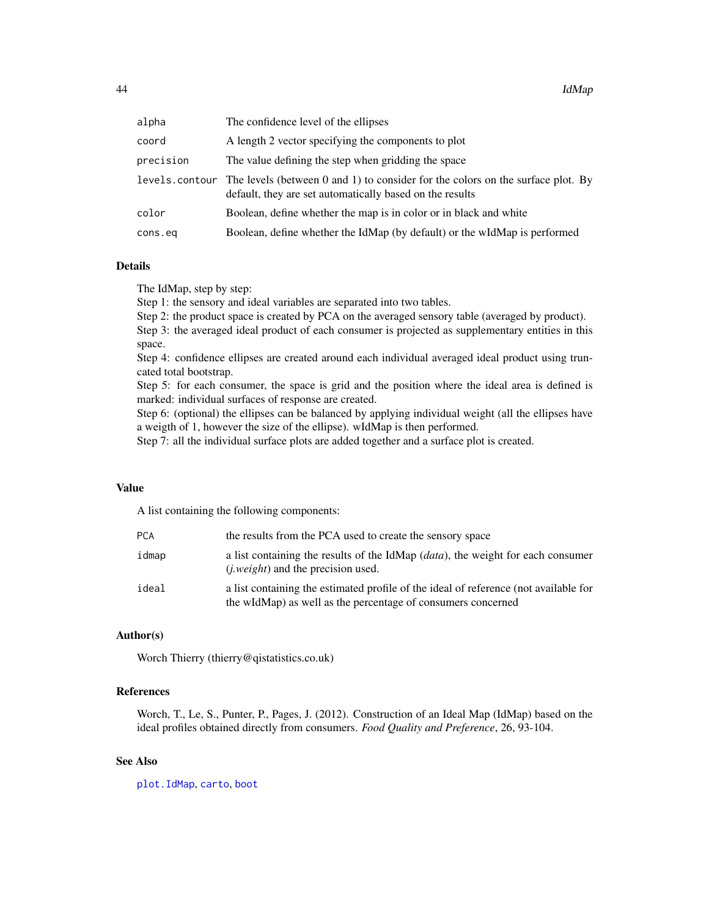| alpha          | The confidence level of the ellipses                                                                                                        |
|----------------|---------------------------------------------------------------------------------------------------------------------------------------------|
| coord          | A length 2 vector specifying the components to plot                                                                                         |
| precision      | The value defining the step when gridding the space                                                                                         |
| levels.contour | The levels (between 0 and 1) to consider for the colors on the surface plot. By<br>default, they are set automatically based on the results |
| color          | Boolean, define whether the map is in color or in black and white                                                                           |
| cons.eq        | Boolean, define whether the IdMap (by default) or the wIdMap is performed                                                                   |
|                |                                                                                                                                             |

### Details

The IdMap, step by step:

Step 1: the sensory and ideal variables are separated into two tables.

Step 2: the product space is created by PCA on the averaged sensory table (averaged by product).

Step 3: the averaged ideal product of each consumer is projected as supplementary entities in this space.

Step 4: confidence ellipses are created around each individual averaged ideal product using truncated total bootstrap.

Step 5: for each consumer, the space is grid and the position where the ideal area is defined is marked: individual surfaces of response are created.

Step 6: (optional) the ellipses can be balanced by applying individual weight (all the ellipses have a weigth of 1, however the size of the ellipse). wIdMap is then performed.

Step 7: all the individual surface plots are added together and a surface plot is created.

#### Value

A list containing the following components:

| PCA   | the results from the PCA used to create the sensory space                                                                                            |
|-------|------------------------------------------------------------------------------------------------------------------------------------------------------|
| idmap | a list containing the results of the IdMap $(data)$ , the weight for each consumer<br><i>(i.weight)</i> and the precision used.                      |
| ideal | a list containing the estimated profile of the ideal of reference (not available for<br>the wIdMap) as well as the percentage of consumers concerned |

### Author(s)

Worch Thierry (thierry@qistatistics.co.uk)

# References

Worch, T., Le, S., Punter, P., Pages, J. (2012). Construction of an Ideal Map (IdMap) based on the ideal profiles obtained directly from consumers. *Food Quality and Preference*, 26, 93-104.

### See Also

[plot.IdMap](#page-76-0), [carto](#page-11-0), [boot](#page-8-0)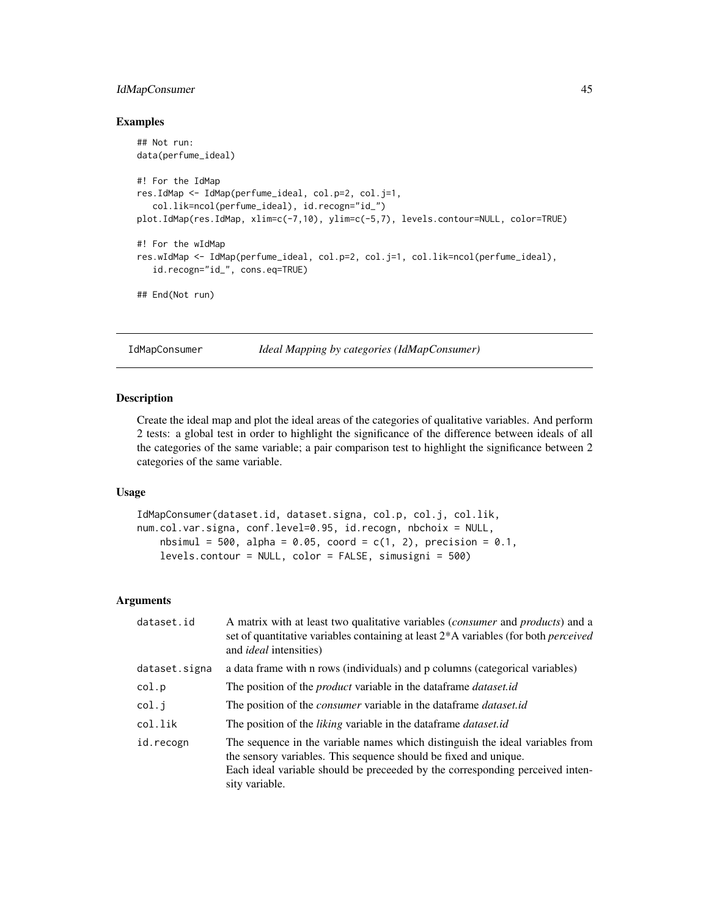# IdMapConsumer 45

### Examples

```
## Not run:
data(perfume_ideal)
#! For the IdMap
res.IdMap <- IdMap(perfume_ideal, col.p=2, col.j=1,
  col.lik=ncol(perfume_ideal), id.recogn="id_")
plot.IdMap(res.IdMap, xlim=c(-7,10), ylim=c(-5,7), levels.contour=NULL, color=TRUE)
#! For the wIdMap
res.wIdMap <- IdMap(perfume_ideal, col.p=2, col.j=1, col.lik=ncol(perfume_ideal),
  id.recogn="id_", cons.eq=TRUE)
## End(Not run)
```
IdMapConsumer *Ideal Mapping by categories (IdMapConsumer)*

### Description

Create the ideal map and plot the ideal areas of the categories of qualitative variables. And perform 2 tests: a global test in order to highlight the significance of the difference between ideals of all the categories of the same variable; a pair comparison test to highlight the significance between 2 categories of the same variable.

### Usage

```
IdMapConsumer(dataset.id, dataset.signa, col.p, col.j, col.lik,
num.col.var.signa, conf.level=0.95, id.recogn, nbchoix = NULL,
   nbsimul = 500, alpha = 0.05, coord = c(1, 2), precision = 0.1,
   levels.contour = NULL, color = FALSE, simusigni = 500)
```
#### Arguments

| dataset.id    | A matrix with at least two qualitative variables <i>(consumer</i> and <i>products)</i> and a<br>set of quantitative variables containing at least 2*A variables (for both <i>perceived</i><br>and <i>ideal</i> intensities)                         |
|---------------|-----------------------------------------------------------------------------------------------------------------------------------------------------------------------------------------------------------------------------------------------------|
| dataset.signa | a data frame with n rows (individuals) and p columns (categorical variables)                                                                                                                                                                        |
| col.p         | The position of the <i>product</i> variable in the dataframe <i>dataset.id</i>                                                                                                                                                                      |
| col.i         | The position of the <i>consumer</i> variable in the dataframe <i>dataset.id</i>                                                                                                                                                                     |
| col.lik       | The position of the <i>liking</i> variable in the dataframe <i>dataset.id</i>                                                                                                                                                                       |
| id.recogn     | The sequence in the variable names which distinguish the ideal variables from<br>the sensory variables. This sequence should be fixed and unique.<br>Each ideal variable should be preceded by the corresponding perceived inten-<br>sity variable. |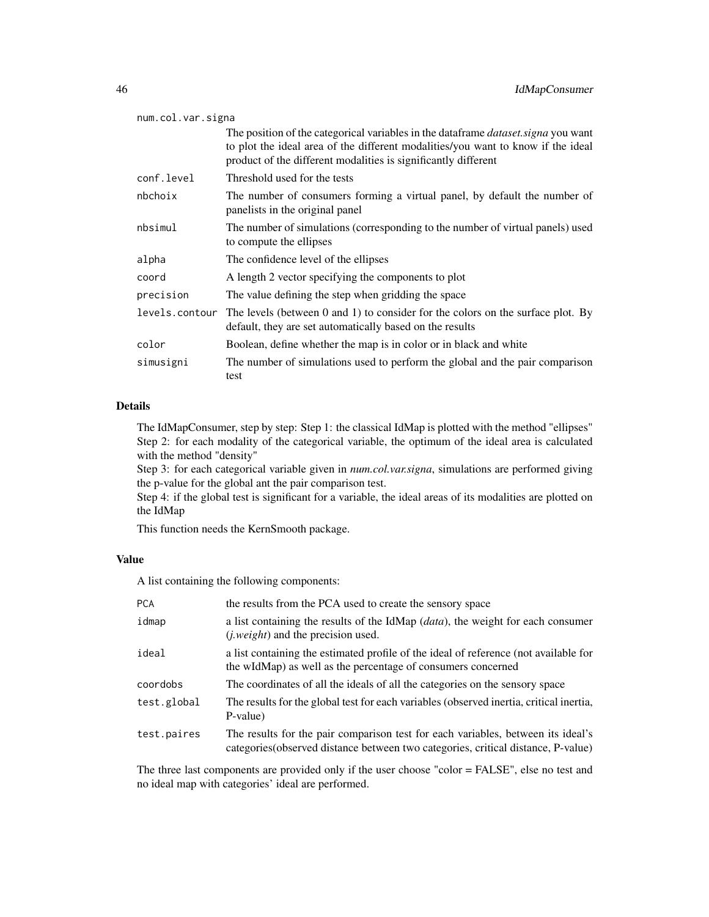| num.col.var.signa |                                                                                                                                                                                                                                                 |  |
|-------------------|-------------------------------------------------------------------------------------------------------------------------------------------------------------------------------------------------------------------------------------------------|--|
|                   | The position of the categorical variables in the data frame <i>dataset signa</i> you want<br>to plot the ideal area of the different modalities/you want to know if the ideal<br>product of the different modalities is significantly different |  |
| conf.level        | Threshold used for the tests                                                                                                                                                                                                                    |  |
| nbchoix           | The number of consumers forming a virtual panel, by default the number of<br>panelists in the original panel                                                                                                                                    |  |
| nbsimul           | The number of simulations (corresponding to the number of virtual panels) used<br>to compute the ellipses                                                                                                                                       |  |
| alpha             | The confidence level of the ellipses                                                                                                                                                                                                            |  |
| coord             | A length 2 vector specifying the components to plot                                                                                                                                                                                             |  |
| precision         | The value defining the step when gridding the space                                                                                                                                                                                             |  |
| levels.contour    | The levels (between $0$ and $1$ ) to consider for the colors on the surface plot. By<br>default, they are set automatically based on the results                                                                                                |  |
| color             | Boolean, define whether the map is in color or in black and white                                                                                                                                                                               |  |
| simusigni         | The number of simulations used to perform the global and the pair comparison<br>test                                                                                                                                                            |  |

#### Details

The IdMapConsumer, step by step: Step 1: the classical IdMap is plotted with the method "ellipses" Step 2: for each modality of the categorical variable, the optimum of the ideal area is calculated with the method "density"

Step 3: for each categorical variable given in *num.col.var.signa*, simulations are performed giving the p-value for the global ant the pair comparison test.

Step 4: if the global test is significant for a variable, the ideal areas of its modalities are plotted on the IdMap

This function needs the KernSmooth package.

# Value

A list containing the following components:

| <b>PCA</b>  | the results from the PCA used to create the sensory space                                                                                                             |
|-------------|-----------------------------------------------------------------------------------------------------------------------------------------------------------------------|
| idmap       | a list containing the results of the IdMap <i>(data)</i> , the weight for each consumer<br>( <i>j.weight</i> ) and the precision used.                                |
| ideal       | a list containing the estimated profile of the ideal of reference (not available for<br>the wIdMap) as well as the percentage of consumers concerned                  |
| coordobs    | The coordinates of all the ideals of all the categories on the sensory space                                                                                          |
| test.global | The results for the global test for each variables (observed inertia, critical inertia,<br>P-value)                                                                   |
| test.paires | The results for the pair comparison test for each variables, between its ideal's<br>categories (observed distance between two categories, critical distance, P-value) |

The three last components are provided only if the user choose "color = FALSE", else no test and no ideal map with categories' ideal are performed.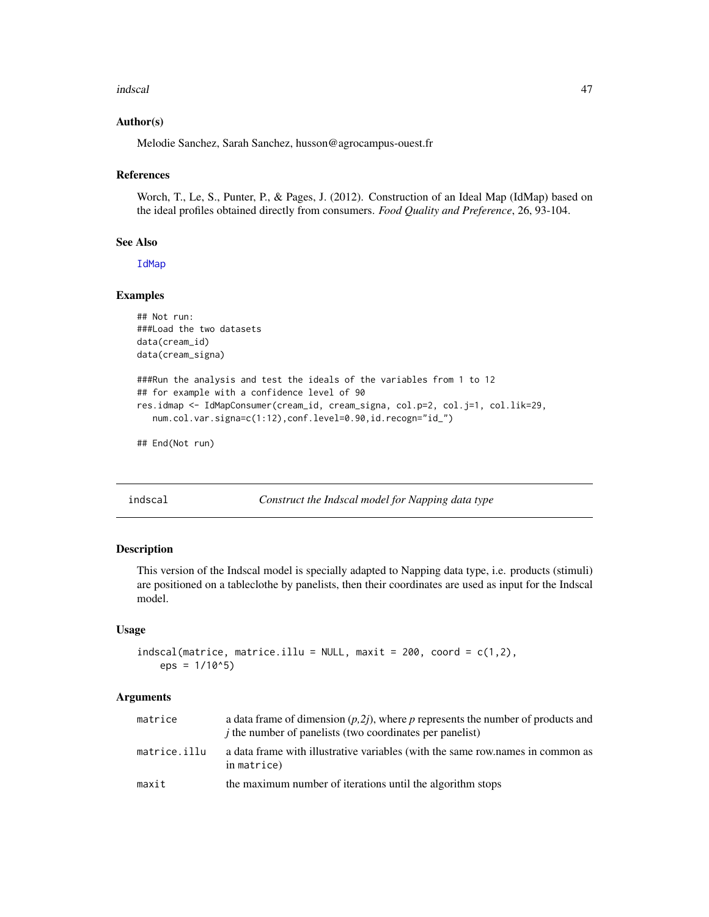#### indscal 47

### Author(s)

Melodie Sanchez, Sarah Sanchez, husson@agrocampus-ouest.fr

#### References

Worch, T., Le, S., Punter, P., & Pages, J. (2012). Construction of an Ideal Map (IdMap) based on the ideal profiles obtained directly from consumers. *Food Quality and Preference*, 26, 93-104.

## See Also

[IdMap](#page-42-0)

### Examples

```
## Not run:
###Load the two datasets
data(cream_id)
data(cream_signa)
###Run the analysis and test the ideals of the variables from 1 to 12
## for example with a confidence level of 90
res.idmap <- IdMapConsumer(cream_id, cream_signa, col.p=2, col.j=1, col.lik=29,
  num.col.var.signa=c(1:12),conf.level=0.90,id.recogn="id_")
```
## End(Not run)

<span id="page-46-0"></span>indscal *Construct the Indscal model for Napping data type*

### Description

This version of the Indscal model is specially adapted to Napping data type, i.e. products (stimuli) are positioned on a tableclothe by panelists, then their coordinates are used as input for the Indscal model.

#### Usage

```
indscal(matrice, matrice.illu = NULL, maxit = 200, coord = c(1,2),eps = 1/10<sup>0</sup>5)
```
#### Arguments

| matrice      | a data frame of dimension $(p,2j)$ , where p represents the number of products and<br><i>j</i> the number of panelists (two coordinates per panelist) |
|--------------|-------------------------------------------------------------------------------------------------------------------------------------------------------|
| matrice.illu | a data frame with illustrative variables (with the same row names in common as<br>in matrice)                                                         |
| maxit        | the maximum number of iterations until the algorithm stops                                                                                            |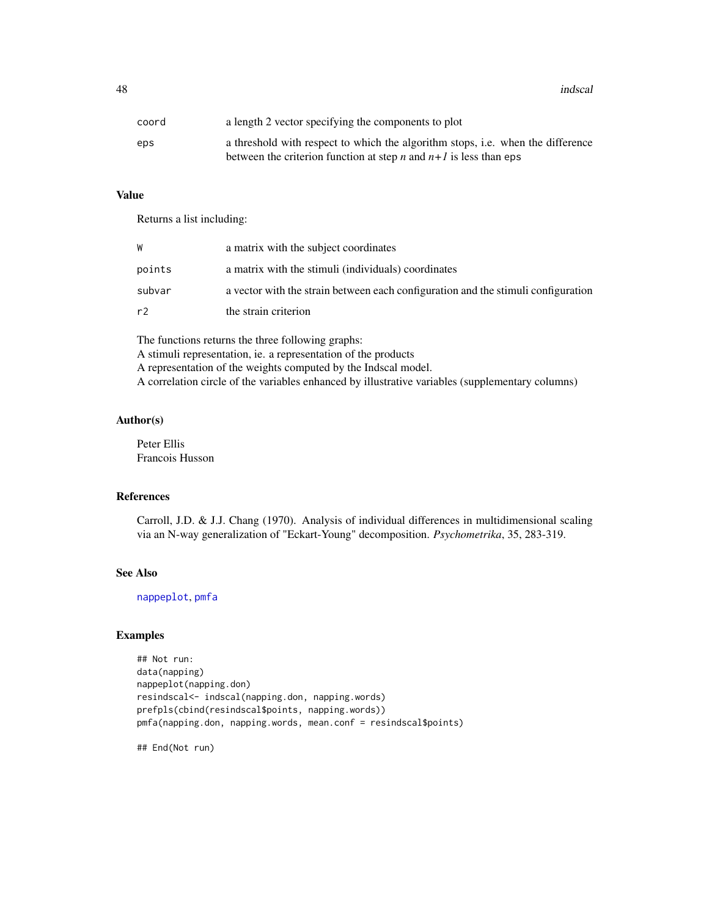48 indscal and the contract of the contract of the contract of the contract of the contract of the contract of the contract of the contract of the contract of the contract of the contract of the contract of the contract of

| coord | a length 2 vector specifying the components to plot                             |
|-------|---------------------------------------------------------------------------------|
| eps   | a threshold with respect to which the algorithm stops, i.e. when the difference |
|       | between the criterion function at step <i>n</i> and $n+1$ is less than eps      |

### Value

Returns a list including:

| W      | a matrix with the subject coordinates                                             |
|--------|-----------------------------------------------------------------------------------|
| points | a matrix with the stimuli (individuals) coordinates                               |
| subvar | a vector with the strain between each configuration and the stimuli configuration |
| r2     | the strain criterion                                                              |

The functions returns the three following graphs: A stimuli representation, ie. a representation of the products A representation of the weights computed by the Indscal model. A correlation circle of the variables enhanced by illustrative variables (supplementary columns)

# Author(s)

Peter Ellis Francois Husson

# References

Carroll, J.D. & J.J. Chang (1970). Analysis of individual differences in multidimensional scaling via an N-way generalization of "Eckart-Young" decomposition. *Psychometrika*, 35, 283-319.

# See Also

[nappeplot](#page-53-0), [pmfa](#page-81-0)

#### Examples

```
## Not run:
data(napping)
nappeplot(napping.don)
resindscal<- indscal(napping.don, napping.words)
prefpls(cbind(resindscal$points, napping.words))
pmfa(napping.don, napping.words, mean.conf = resindscal$points)
```
## End(Not run)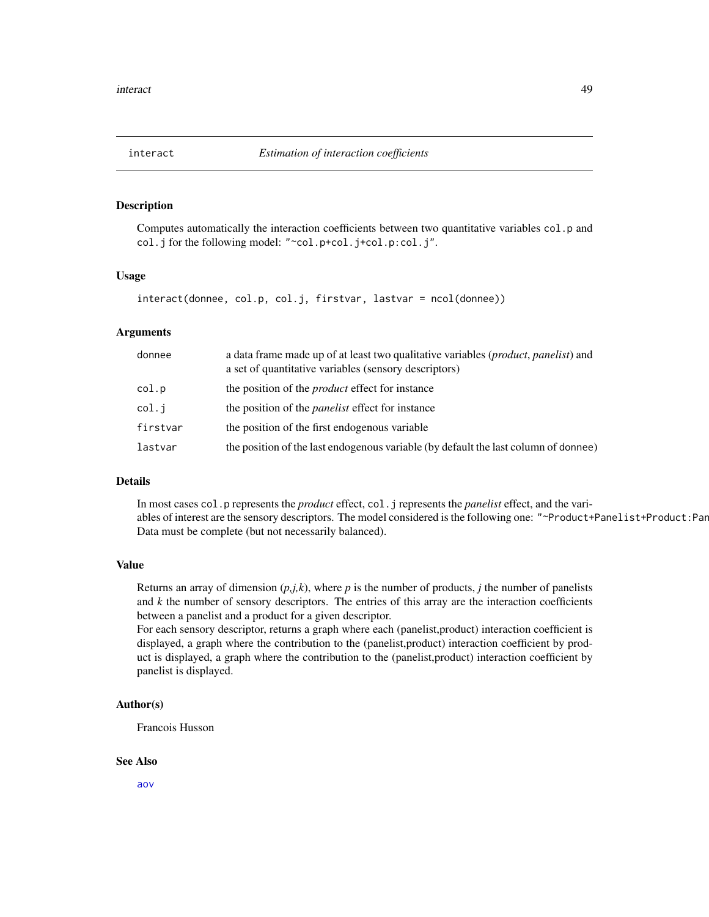### Description

Computes automatically the interaction coefficients between two quantitative variables col.p and col.j for the following model: "~col.p+col.j+col.p:col.j".

#### Usage

```
interact(donnee, col.p, col.j, firstvar, lastvar = ncol(donnee))
```
### Arguments

| donnee   | a data frame made up of at least two qualitative variables ( <i>product, panelist</i> ) and<br>a set of quantitative variables (sensory descriptors) |
|----------|------------------------------------------------------------------------------------------------------------------------------------------------------|
| col.p    | the position of the <i>product</i> effect for instance                                                                                               |
| col.i    | the position of the <i>panelist</i> effect for instance                                                                                              |
| firstvar | the position of the first endogenous variable                                                                                                        |
| lastvar  | the position of the last endogenous variable (by default the last column of donnee)                                                                  |

### Details

In most cases col.p represents the *product* effect, col.j represents the *panelist* effect, and the variables of interest are the sensory descriptors. The model considered is the following one: "~Product+Panelist+Product:Pan Data must be complete (but not necessarily balanced).

#### Value

Returns an array of dimension  $(p,j,k)$ , where p is the number of products, *j* the number of panelists and *k* the number of sensory descriptors. The entries of this array are the interaction coefficients between a panelist and a product for a given descriptor.

For each sensory descriptor, returns a graph where each (panelist,product) interaction coefficient is displayed, a graph where the contribution to the (panelist,product) interaction coefficient by product is displayed, a graph where the contribution to the (panelist,product) interaction coefficient by panelist is displayed.

#### Author(s)

Francois Husson

#### See Also

[aov](#page-0-0)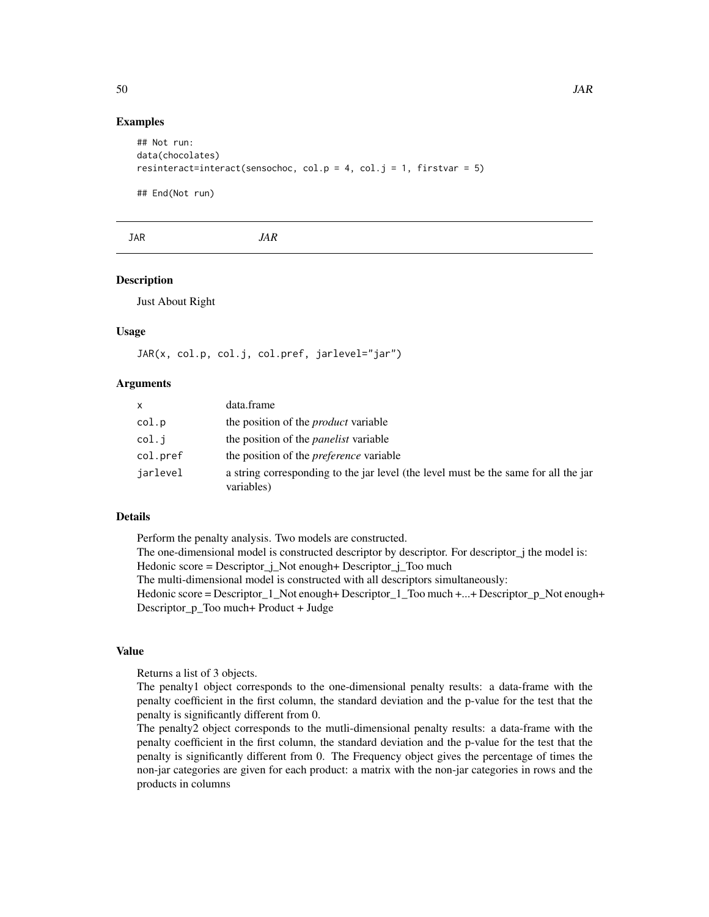### Examples

```
## Not run:
data(chocolates)
resinteract=interact(sensochoc, col.p = 4, col.j = 1, firstvar = 5)
```
## End(Not run)

JAR *JAR*

#### Description

Just About Right

### Usage

JAR(x, col.p, col.j, col.pref, jarlevel="jar")

### Arguments

| <b>X</b> | data.frame                                                                                        |
|----------|---------------------------------------------------------------------------------------------------|
| col.p    | the position of the <i>product</i> variable                                                       |
| col.i    | the position of the <i>panelist</i> variable                                                      |
| col.pref | the position of the <i>preference</i> variable                                                    |
| jarlevel | a string corresponding to the jar level (the level must be the same for all the jar<br>variables) |

# Details

Perform the penalty analysis. Two models are constructed.

The one-dimensional model is constructed descriptor by descriptor. For descriptor\_j the model is: Hedonic score = Descriptor\_j\_Not enough+ Descriptor\_j\_Too much

The multi-dimensional model is constructed with all descriptors simultaneously:

Hedonic score = Descriptor\_1\_Not enough+ Descriptor\_1\_Too much +...+ Descriptor\_p\_Not enough+ Descriptor\_p\_Too much+ Product + Judge

#### Value

Returns a list of 3 objects.

The penalty1 object corresponds to the one-dimensional penalty results: a data-frame with the penalty coefficient in the first column, the standard deviation and the p-value for the test that the penalty is significantly different from 0.

The penalty2 object corresponds to the mutli-dimensional penalty results: a data-frame with the penalty coefficient in the first column, the standard deviation and the p-value for the test that the penalty is significantly different from 0. The Frequency object gives the percentage of times the non-jar categories are given for each product: a matrix with the non-jar categories in rows and the products in columns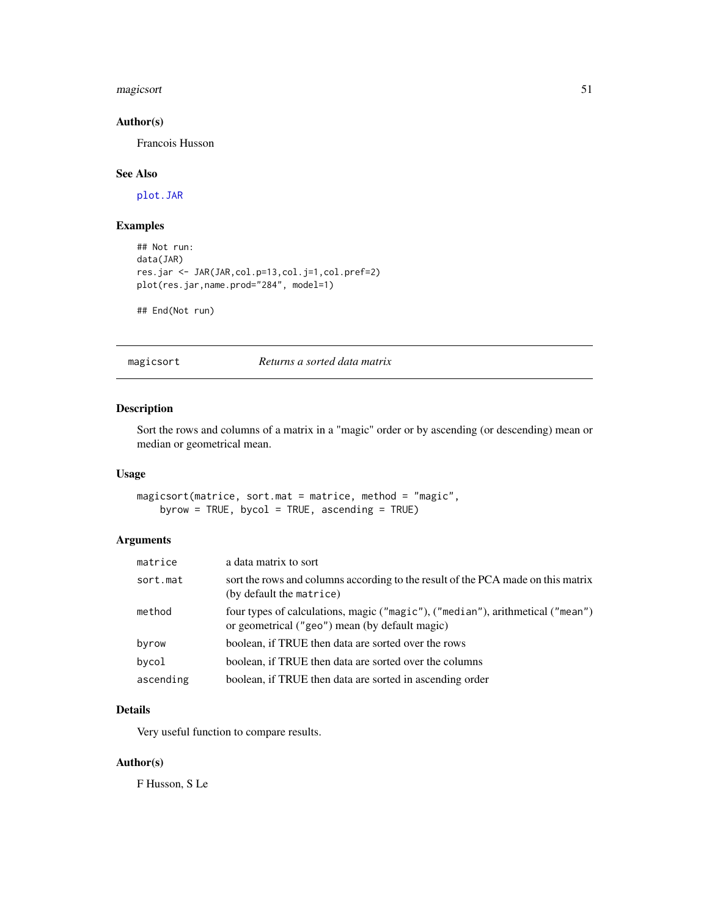#### magicsort 51

### Author(s)

Francois Husson

### See Also

[plot.JAR](#page-77-0)

# Examples

```
## Not run:
data(JAR)
res.jar <- JAR(JAR,col.p=13,col.j=1,col.pref=2)
plot(res.jar,name.prod="284", model=1)
```
## End(Not run)

magicsort *Returns a sorted data matrix*

## Description

Sort the rows and columns of a matrix in a "magic" order or by ascending (or descending) mean or median or geometrical mean.

### Usage

magicsort(matrice, sort.mat = matrice, method = "magic", byrow = TRUE, bycol = TRUE, ascending = TRUE)

# Arguments

| matrice   | a data matrix to sort                                                                                                            |
|-----------|----------------------------------------------------------------------------------------------------------------------------------|
| sort.mat  | sort the rows and columns according to the result of the PCA made on this matrix<br>(by default the matrice)                     |
| method    | four types of calculations, magic ("magic"), ("median"), arithmetical ("mean")<br>or geometrical ("geo") mean (by default magic) |
| byrow     | boolean, if TRUE then data are sorted over the rows                                                                              |
| bycol     | boolean, if TRUE then data are sorted over the columns                                                                           |
| ascending | boolean, if TRUE then data are sorted in ascending order                                                                         |

### Details

Very useful function to compare results.

# Author(s)

F Husson, S Le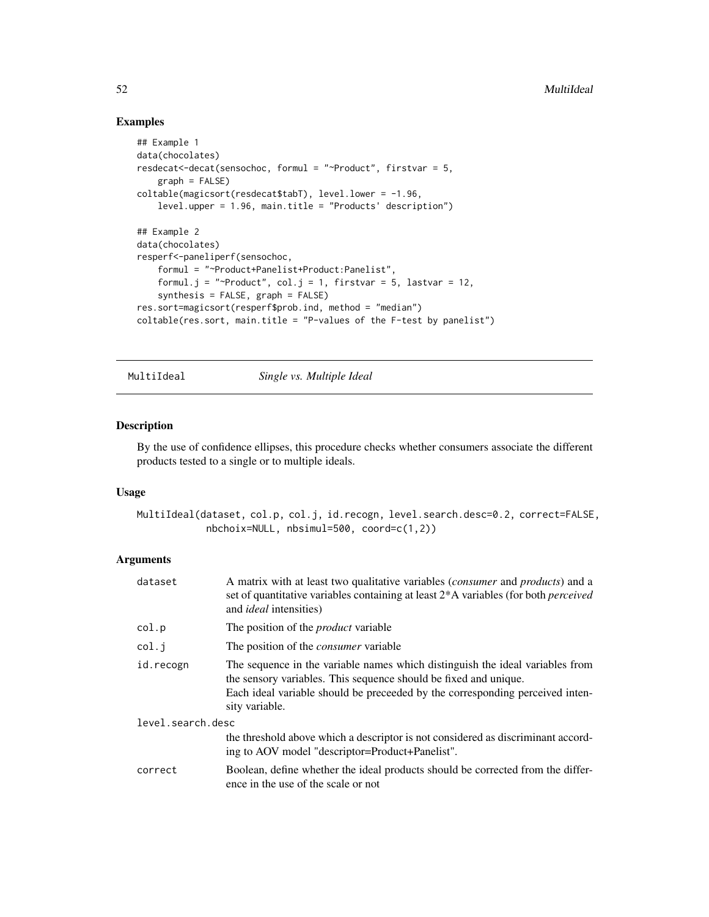### Examples

```
## Example 1
data(chocolates)
resdecat<-decat(sensochoc, formul = "~Product", firstvar = 5,
    graph = FALSE)
coltable(magicsort(resdecat$tabT), level.lower = -1.96,
    level.upper = 1.96, main.title = "Products' description")
## Example 2
data(chocolates)
resperf<-paneliperf(sensochoc,
    formul = "~Product+Panelist+Product:Panelist",
    formul.j = "~Product", col.j = 1, firstvar = 5, lastvar = 12,
    synthesis = FALSE, graph = FALSE)
res.sort=magicsort(resperf$prob.ind, method = "median")
coltable(res.sort, main.title = "P-values of the F-test by panelist")
```
MultiIdeal *Single vs. Multiple Ideal*

#### Description

By the use of confidence ellipses, this procedure checks whether consumers associate the different products tested to a single or to multiple ideals.

#### Usage

MultiIdeal(dataset, col.p, col.j, id.recogn, level.search.desc=0.2, correct=FALSE, nbchoix=NULL, nbsimul=500, coord=c(1,2))

# Arguments

| dataset           | A matrix with at least two qualitative variables <i>(consumer</i> and <i>products)</i> and a<br>set of quantitative variables containing at least 2*A variables (for both <i>perceived</i><br>and <i>ideal</i> intensities)                          |
|-------------------|------------------------------------------------------------------------------------------------------------------------------------------------------------------------------------------------------------------------------------------------------|
| col.p             | The position of the <i>product</i> variable                                                                                                                                                                                                          |
| col.i             | The position of the <i>consumer</i> variable                                                                                                                                                                                                         |
| id.recogn         | The sequence in the variable names which distinguish the ideal variables from<br>the sensory variables. This sequence should be fixed and unique.<br>Each ideal variable should be preceeded by the corresponding perceived inten-<br>sity variable. |
| level.search.desc |                                                                                                                                                                                                                                                      |
|                   | the threshold above which a descriptor is not considered as discriminant accord-<br>ing to AOV model "descriptor=Product+Panelist".                                                                                                                  |
| correct           | Boolean, define whether the ideal products should be corrected from the differ-<br>ence in the use of the scale or not                                                                                                                               |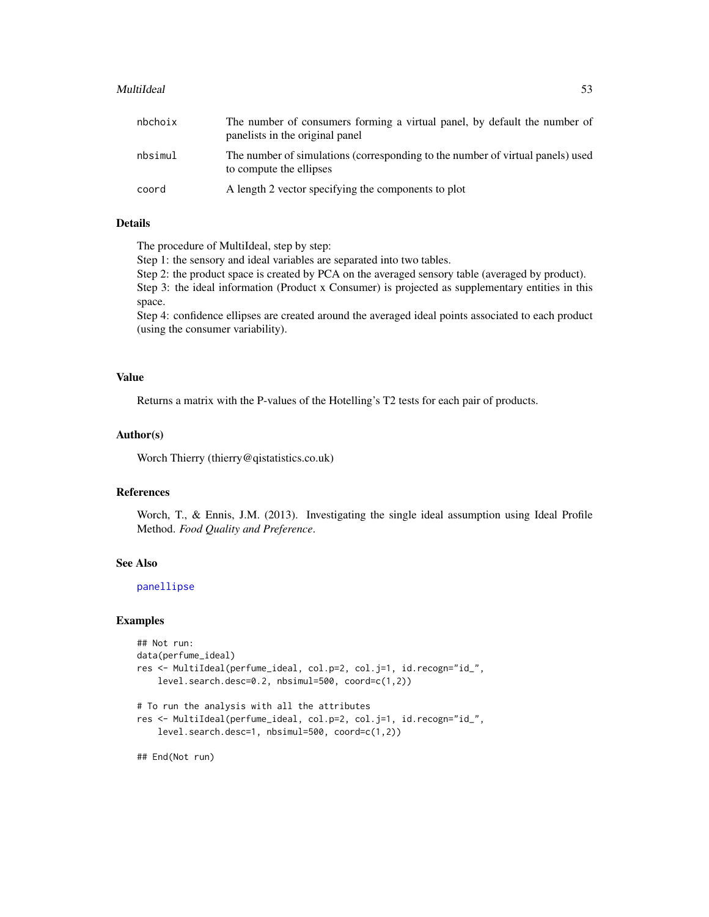#### MultiIdeal 53

| nbchoix | The number of consumers forming a virtual panel, by default the number of<br>panelists in the original panel |
|---------|--------------------------------------------------------------------------------------------------------------|
| nbsimul | The number of simulations (corresponding to the number of virtual panels) used<br>to compute the ellipses    |
| coord   | A length 2 vector specifying the components to plot                                                          |

# Details

The procedure of MultiIdeal, step by step:

Step 1: the sensory and ideal variables are separated into two tables.

Step 2: the product space is created by PCA on the averaged sensory table (averaged by product).

Step 3: the ideal information (Product x Consumer) is projected as supplementary entities in this space.

Step 4: confidence ellipses are created around the averaged ideal points associated to each product (using the consumer variability).

# Value

Returns a matrix with the P-values of the Hotelling's T2 tests for each pair of products.

### Author(s)

Worch Thierry (thierry@qistatistics.co.uk)

### References

Worch, T., & Ennis, J.M. (2013). Investigating the single ideal assumption using Ideal Profile Method. *Food Quality and Preference*.

### See Also

[panellipse](#page-60-0)

#### Examples

```
## Not run:
data(perfume_ideal)
res <- MultiIdeal(perfume_ideal, col.p=2, col.j=1, id.recogn="id_",
    level.search.desc=0.2, nbsimul=500, coord=c(1,2))
# To run the analysis with all the attributes
res <- MultiIdeal(perfume_ideal, col.p=2, col.j=1, id.recogn="id_",
   level.search.desc=1, nbsimul=500, coord=c(1,2))
```
## End(Not run)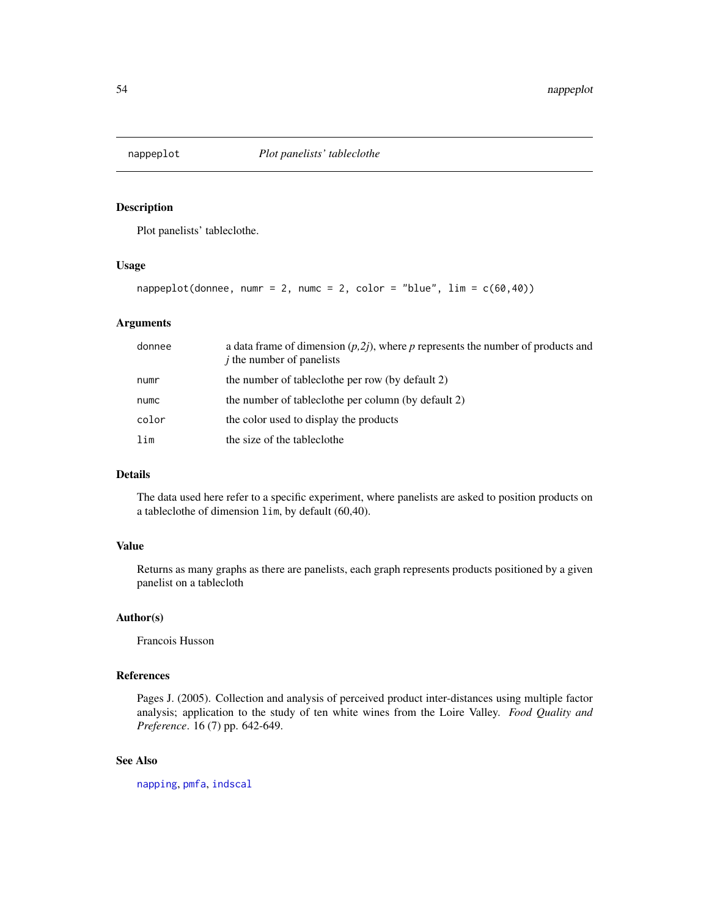<span id="page-53-0"></span>

### Description

Plot panelists' tableclothe.

### Usage

```
nappeplot(donnee, numr = 2, numc = 2, color = "blue", \lim = c(60, 40))
```
#### Arguments

| donnee | a data frame of dimension $(p,2j)$ , where p represents the number of products and<br>$\dot{j}$ the number of panelists |
|--------|-------------------------------------------------------------------------------------------------------------------------|
| numr   | the number of tableclothe per row (by default 2)                                                                        |
| numc   | the number of tableclothe per column (by default 2)                                                                     |
| color  | the color used to display the products                                                                                  |
| lim    | the size of the tableclothe                                                                                             |

# Details

The data used here refer to a specific experiment, where panelists are asked to position products on a tableclothe of dimension lim, by default (60,40).

# Value

Returns as many graphs as there are panelists, each graph represents products positioned by a given panelist on a tablecloth

# Author(s)

Francois Husson

# References

Pages J. (2005). Collection and analysis of perceived product inter-distances using multiple factor analysis; application to the study of ten white wines from the Loire Valley. *Food Quality and Preference*. 16 (7) pp. 642-649.

### See Also

[napping](#page-55-0), [pmfa](#page-81-0), [indscal](#page-46-0)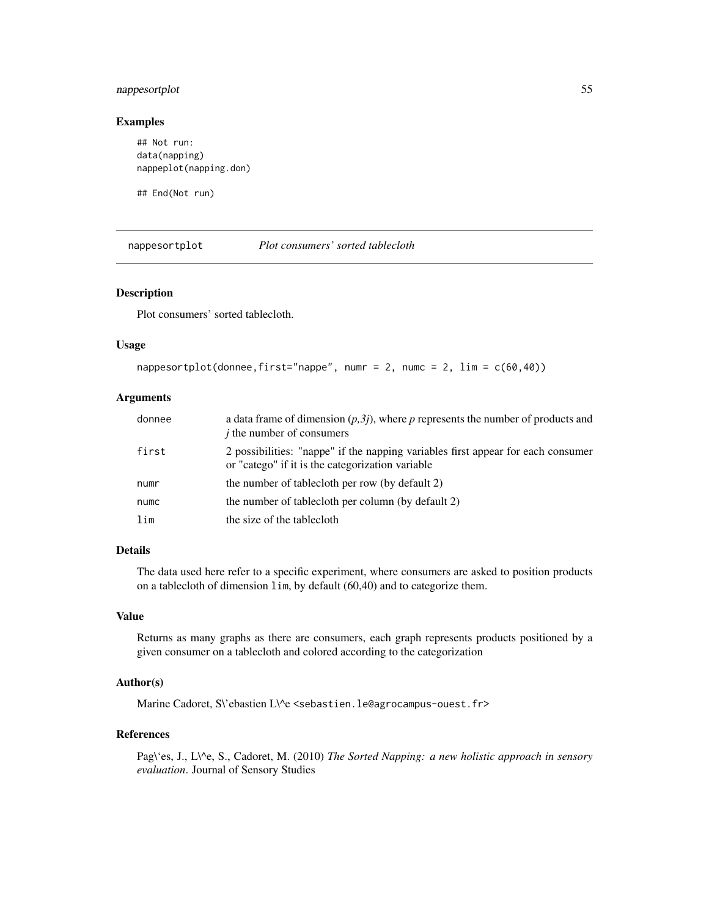# nappesortplot 55

### Examples

```
## Not run:
data(napping)
nappeplot(napping.don)
```
## End(Not run)

nappesortplot *Plot consumers' sorted tablecloth*

## Description

Plot consumers' sorted tablecloth.

#### Usage

```
nappesortplot(donnee,first="nappe", numr = 2, numc = 2, \lim = c(60, 40))
```
### Arguments

| donnee | a data frame of dimension $(p,3j)$ , where p represents the number of products and<br><i>i</i> the number of consumers               |
|--------|--------------------------------------------------------------------------------------------------------------------------------------|
| first  | 2 possibilities: "nappe" if the napping variables first appear for each consumer<br>or "catego" if it is the categorization variable |
| numr   | the number of tablecloth per row (by default 2)                                                                                      |
| numc   | the number of tablectoth per column (by default 2)                                                                                   |
| lim    | the size of the tablectoth                                                                                                           |

# Details

The data used here refer to a specific experiment, where consumers are asked to position products on a tablecloth of dimension lim, by default (60,40) and to categorize them.

### Value

Returns as many graphs as there are consumers, each graph represents products positioned by a given consumer on a tablecloth and colored according to the categorization

# Author(s)

Marine Cadoret, S\'ebastien L\^e <sebastien.le@agrocampus-ouest.fr>

#### References

Pag\'es, J., L\^e, S., Cadoret, M. (2010) *The Sorted Napping: a new holistic approach in sensory evaluation*. Journal of Sensory Studies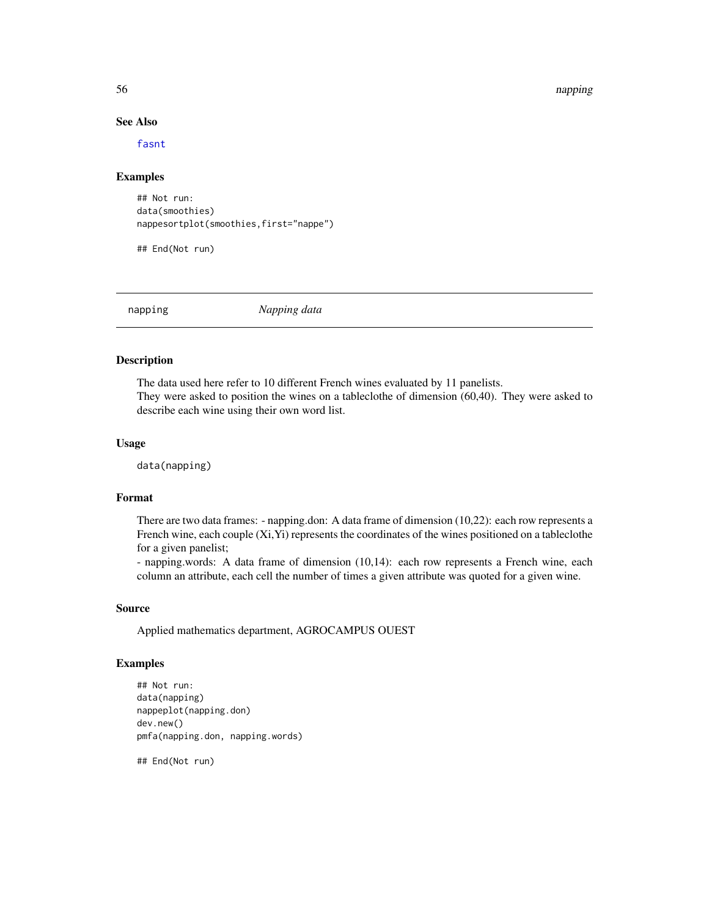#### 56 napping the state of the state of the state of the state of the state of the state of the state of the state of the state of the state of the state of the state of the state of the state of the state of the state of the

### See Also

[fasnt](#page-32-0)

### Examples

```
## Not run:
data(smoothies)
nappesortplot(smoothies,first="nappe")
```
## End(Not run)

<span id="page-55-0"></span>napping *Napping data*

# **Description**

The data used here refer to 10 different French wines evaluated by 11 panelists. They were asked to position the wines on a tableclothe of dimension (60,40). They were asked to describe each wine using their own word list.

#### Usage

data(napping)

### Format

There are two data frames: - napping.don: A data frame of dimension (10,22): each row represents a French wine, each couple (Xi,Yi) represents the coordinates of the wines positioned on a tableclothe for a given panelist;

- napping.words: A data frame of dimension (10,14): each row represents a French wine, each column an attribute, each cell the number of times a given attribute was quoted for a given wine.

### Source

Applied mathematics department, AGROCAMPUS OUEST

### Examples

```
## Not run:
data(napping)
nappeplot(napping.don)
dev.new()
pmfa(napping.don, napping.words)
```
## End(Not run)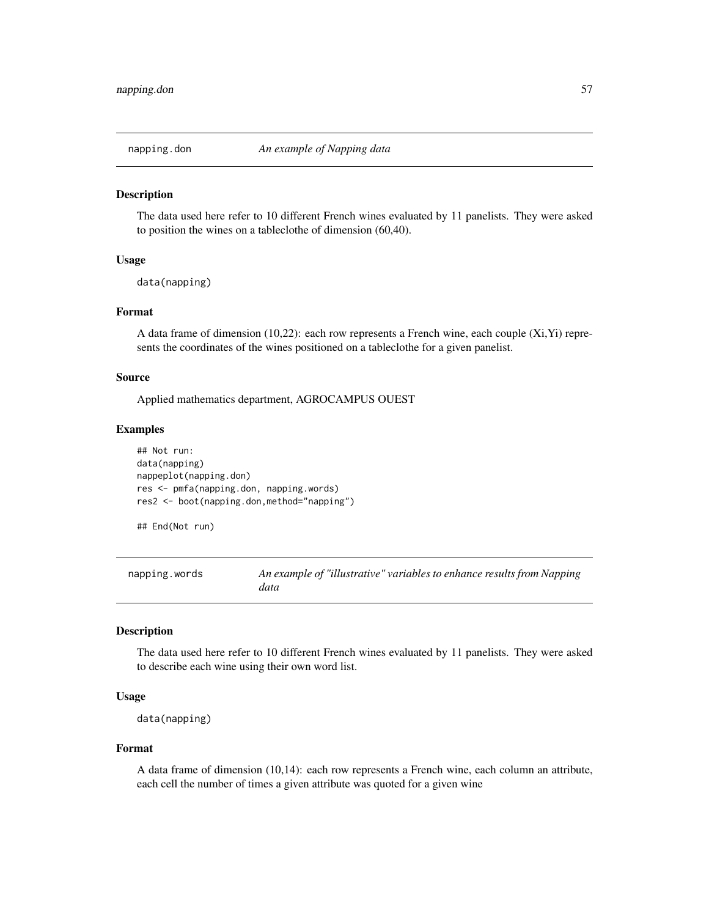#### Description

The data used here refer to 10 different French wines evaluated by 11 panelists. They were asked to position the wines on a tableclothe of dimension (60,40).

#### Usage

```
data(napping)
```
# Format

A data frame of dimension (10,22): each row represents a French wine, each couple (Xi,Yi) represents the coordinates of the wines positioned on a tableclothe for a given panelist.

### Source

Applied mathematics department, AGROCAMPUS OUEST

#### Examples

```
## Not run:
data(napping)
nappeplot(napping.don)
res <- pmfa(napping.don, napping.words)
res2 <- boot(napping.don,method="napping")
```
## End(Not run)

napping.words *An example of "illustrative" variables to enhance results from Napping data*

## Description

The data used here refer to 10 different French wines evaluated by 11 panelists. They were asked to describe each wine using their own word list.

#### Usage

```
data(napping)
```
#### Format

A data frame of dimension (10,14): each row represents a French wine, each column an attribute, each cell the number of times a given attribute was quoted for a given wine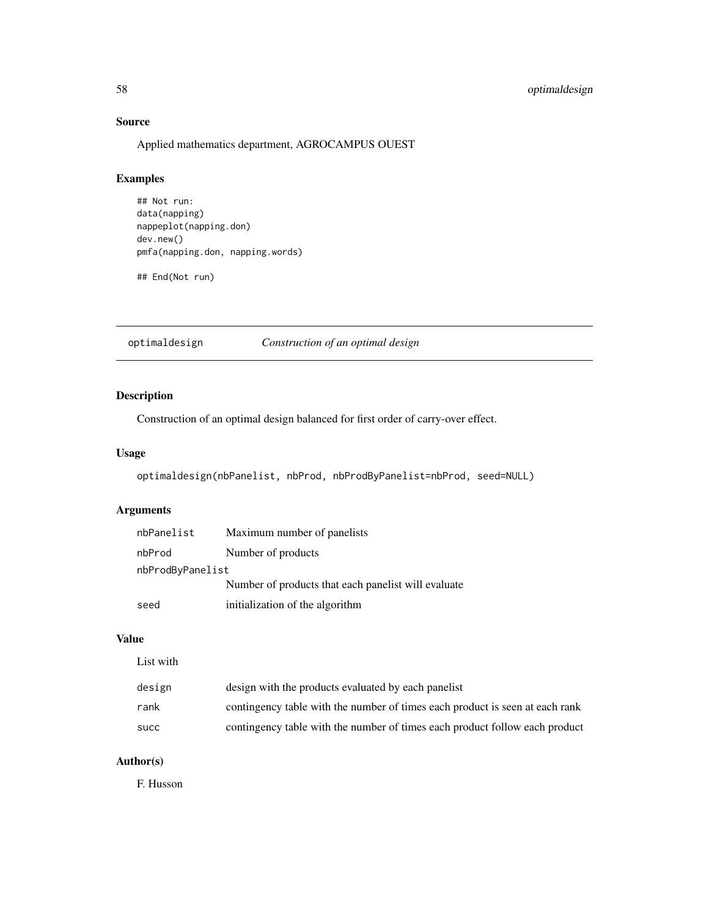# 58 optimaldesign

# Source

Applied mathematics department, AGROCAMPUS OUEST

# Examples

```
## Not run:
data(napping)
nappeplot(napping.don)
dev.new()
pmfa(napping.don, napping.words)
## End(Not run)
```
optimaldesign *Construction of an optimal design*

# Description

Construction of an optimal design balanced for first order of carry-over effect.

### Usage

```
optimaldesign(nbPanelist, nbProd, nbProdByPanelist=nbProd, seed=NULL)
```
# Arguments

| nbPanelist       | Maximum number of panelists                         |  |  |
|------------------|-----------------------------------------------------|--|--|
| nbProd           | Number of products                                  |  |  |
| nbProdByPanelist |                                                     |  |  |
|                  | Number of products that each panelist will evaluate |  |  |
| seed             | initialization of the algorithm                     |  |  |

# Value

| design | design with the products evaluated by each panelist                          |
|--------|------------------------------------------------------------------------------|
| rank   | contingency table with the number of times each product is seen at each rank |
| succ   | contingency table with the number of times each product follow each product  |

# Author(s)

F. Husson

List with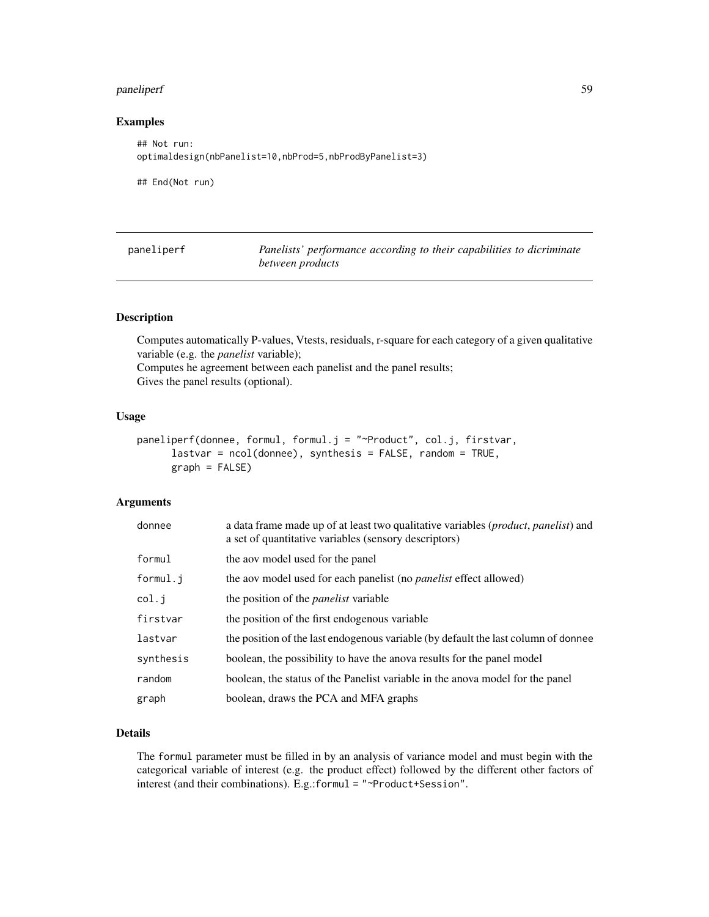# paneliperf 59

# Examples

```
## Not run:
optimaldesign(nbPanelist=10,nbProd=5,nbProdByPanelist=3)
```
## End(Not run)

<span id="page-58-0"></span>

| paneliperf | Panelists' performance according to their capabilities to dicriminate |  |
|------------|-----------------------------------------------------------------------|--|
|            | between products                                                      |  |

# Description

Computes automatically P-values, Vtests, residuals, r-square for each category of a given qualitative variable (e.g. the *panelist* variable);

Computes he agreement between each panelist and the panel results; Gives the panel results (optional).

#### Usage

```
paneliperf(donnee, formul, formul.j = "~Product", col.j, firstvar,
     lastvar = ncol(donnee), synthesis = FALSE, random = TRUE,
     graph = FALSE)
```
### Arguments

| donnee    | a data frame made up of at least two qualitative variables ( <i>product, panelist</i> ) and<br>a set of quantitative variables (sensory descriptors) |
|-----------|------------------------------------------------------------------------------------------------------------------------------------------------------|
| formul    | the aov model used for the panel                                                                                                                     |
| formul.j  | the aov model used for each panelist (no <i>panelist</i> effect allowed)                                                                             |
| col.j     | the position of the <i>panelist</i> variable                                                                                                         |
| firstvar  | the position of the first endogenous variable                                                                                                        |
| lastvar   | the position of the last endogenous variable (by default the last column of donnee                                                                   |
| synthesis | boolean, the possibility to have the anova results for the panel model                                                                               |
| random    | boolean, the status of the Panelist variable in the anova model for the panel                                                                        |
| graph     | boolean, draws the PCA and MFA graphs                                                                                                                |

### Details

The formul parameter must be filled in by an analysis of variance model and must begin with the categorical variable of interest (e.g. the product effect) followed by the different other factors of interest (and their combinations). E.g.:formul = "~Product+Session".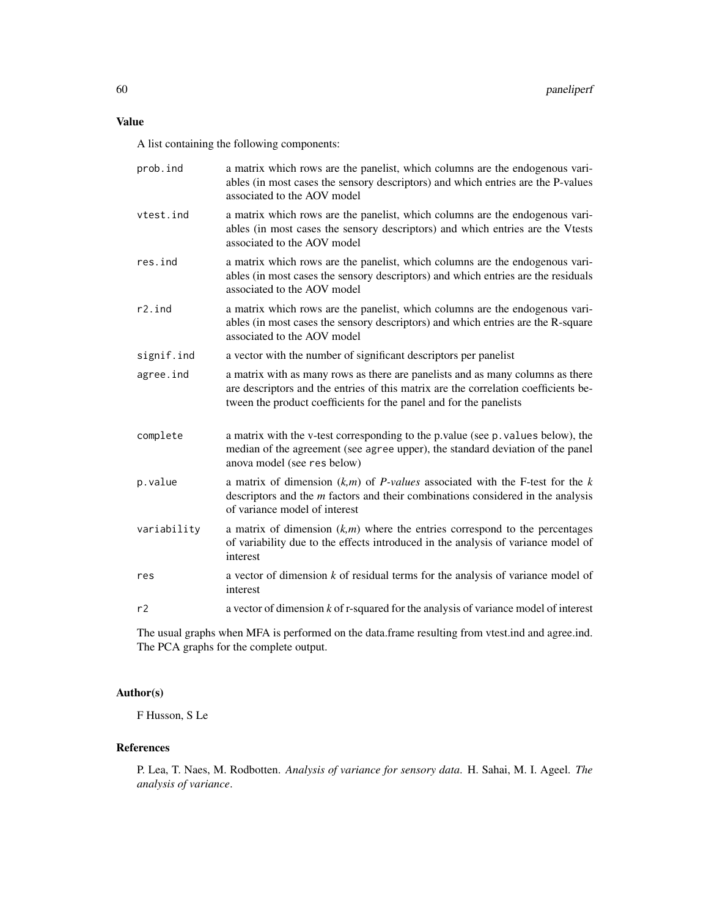A list containing the following components:

| prob.ind    | a matrix which rows are the panelist, which columns are the endogenous vari-<br>ables (in most cases the sensory descriptors) and which entries are the P-values<br>associated to the AOV model                                             |
|-------------|---------------------------------------------------------------------------------------------------------------------------------------------------------------------------------------------------------------------------------------------|
| vtest.ind   | a matrix which rows are the panelist, which columns are the endogenous vari-<br>ables (in most cases the sensory descriptors) and which entries are the Vtests<br>associated to the AOV model                                               |
| res.ind     | a matrix which rows are the panelist, which columns are the endogenous vari-<br>ables (in most cases the sensory descriptors) and which entries are the residuals<br>associated to the AOV model                                            |
| r2.ind      | a matrix which rows are the panelist, which columns are the endogenous vari-<br>ables (in most cases the sensory descriptors) and which entries are the R-square<br>associated to the AOV model                                             |
| signif.ind  | a vector with the number of significant descriptors per panelist                                                                                                                                                                            |
| agree.ind   | a matrix with as many rows as there are panelists and as many columns as there<br>are descriptors and the entries of this matrix are the correlation coefficients be-<br>tween the product coefficients for the panel and for the panelists |
| complete    | a matrix with the v-test corresponding to the p.value (see p. values below), the<br>median of the agreement (see agree upper), the standard deviation of the panel<br>anova model (see res below)                                           |
| p.value     | a matrix of dimension $(k,m)$ of <i>P</i> -values associated with the <i>F</i> -test for the <i>k</i><br>descriptors and the $m$ factors and their combinations considered in the analysis<br>of variance model of interest                 |
| variability | a matrix of dimension $(k,m)$ where the entries correspond to the percentages<br>of variability due to the effects introduced in the analysis of variance model of<br>interest                                                              |
| res         | a vector of dimension $k$ of residual terms for the analysis of variance model of<br>interest                                                                                                                                               |
| r2          | a vector of dimension $k$ of r-squared for the analysis of variance model of interest                                                                                                                                                       |

The usual graphs when MFA is performed on the data.frame resulting from vtest.ind and agree.ind. The PCA graphs for the complete output.

# Author(s)

F Husson, S Le

# References

P. Lea, T. Naes, M. Rodbotten. *Analysis of variance for sensory data*. H. Sahai, M. I. Ageel. *The analysis of variance*.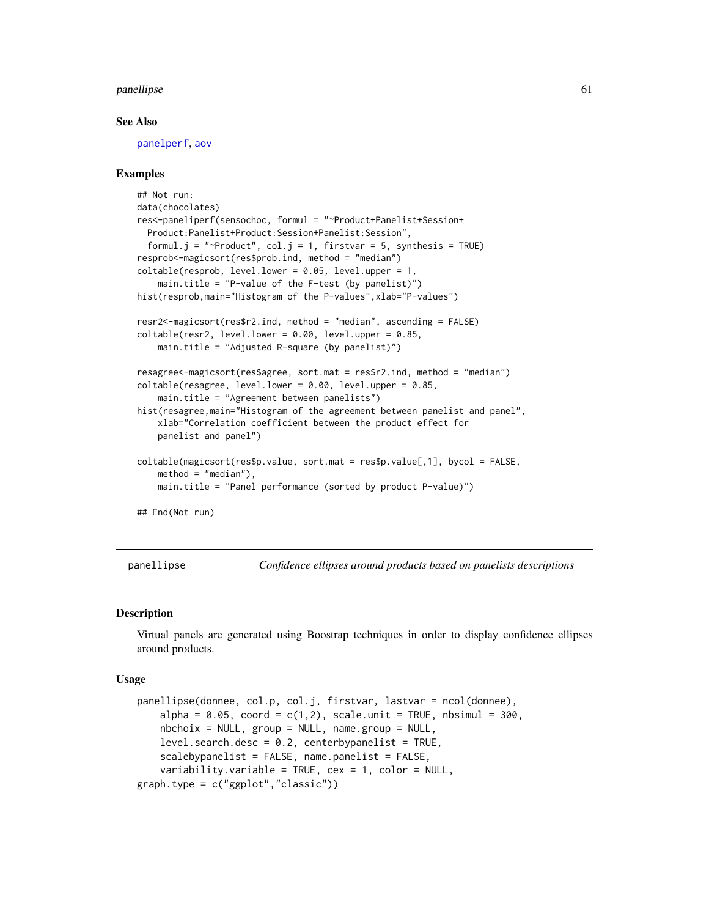#### panellipse 61

#### See Also

[panelperf](#page-68-0), [aov](#page-0-0)

### Examples

```
## Not run:
data(chocolates)
res<-paneliperf(sensochoc, formul = "~Product+Panelist+Session+
 Product:Panelist+Product:Session+Panelist:Session",
 formul.j = "~Product", col.j = 1, firstvar = 5, synthesis = TRUE)
resprob<-magicsort(res$prob.ind, method = "median")
coltable(resprob, level.lower = 0.05, level.upper = 1,
    main.title = "P-value of the F-test (by panelist)")
hist(resprob, main="Histogram of the P-values", xlab="P-values")
resr2<-magicsort(res$r2.ind, method = "median", ascending = FALSE)
coltable(resr2, level.lower = 0.00, level.upper = 0.85,
    main.title = "Adjusted R-square (by panelist)")
resagree<-magicsort(res$agree, sort.mat = res$r2.ind, method = "median")
coltable(resagree, level.lower = 0.00, level.upper = 0.85,
    main.title = "Agreement between panelists")
hist(resagree, main="Histogram of the agreement between panelist and panel",
    xlab="Correlation coefficient between the product effect for
   panelist and panel")
coltable(magicsort(res$p.value, sort.mat = res$p.value[,1], bycol = FALSE,
   method = "median"),
   main.title = "Panel performance (sorted by product P-value)")
## End(Not run)
```
<span id="page-60-0"></span>panellipse *Confidence ellipses around products based on panelists descriptions*

#### Description

Virtual panels are generated using Boostrap techniques in order to display confidence ellipses around products.

#### Usage

```
panellipse(donnee, col.p, col.j, firstvar, lastvar = ncol(donnee),
    alpha = 0.05, coord = c(1,2), scale.unit = TRUE, nbsimul = 300,
   nbchoix = NULL, group = NULL, name.group = NULL,
   level.search.degc = 0.2, centerbypanelist = TRUE,scalebypanelist = FALSE, name.panelist = FALSE,
    variability.variable = TRUE, cex = 1, color = NULL,
graph.type = c("ggplot","classic"))
```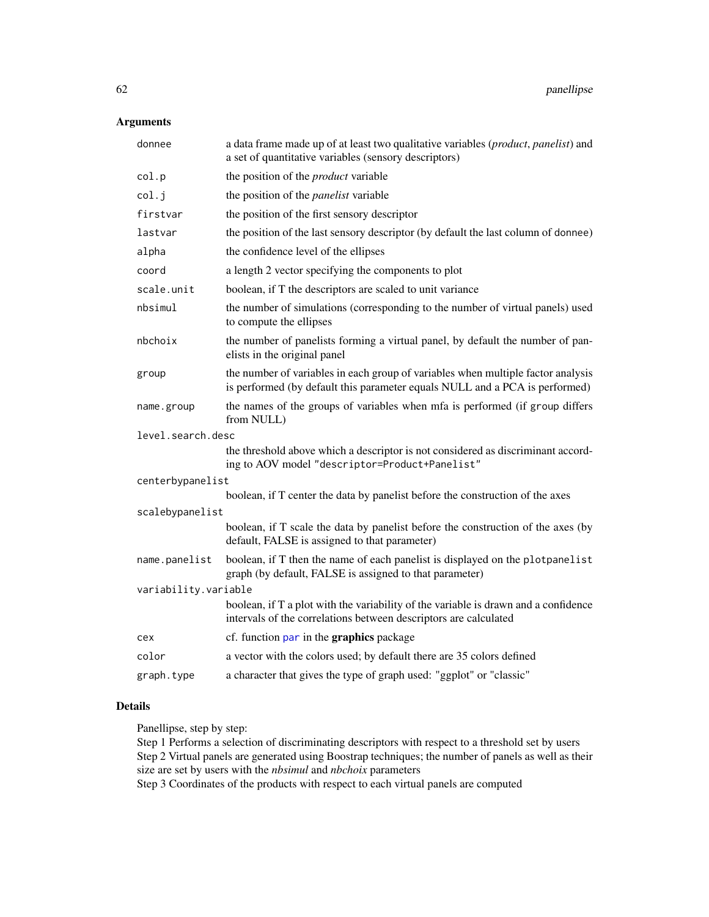# Arguments

| donnee               | a data frame made up of at least two qualitative variables ( <i>product</i> , <i>panelist</i> ) and<br>a set of quantitative variables (sensory descriptors)    |  |
|----------------------|-----------------------------------------------------------------------------------------------------------------------------------------------------------------|--|
| col.p                | the position of the <i>product</i> variable                                                                                                                     |  |
| col.j                | the position of the <i>panelist</i> variable                                                                                                                    |  |
| firstvar             | the position of the first sensory descriptor                                                                                                                    |  |
| lastvar              | the position of the last sensory descriptor (by default the last column of donnee)                                                                              |  |
| alpha                | the confidence level of the ellipses                                                                                                                            |  |
| coord                | a length 2 vector specifying the components to plot                                                                                                             |  |
| scale.unit           | boolean, if T the descriptors are scaled to unit variance                                                                                                       |  |
| nbsimul              | the number of simulations (corresponding to the number of virtual panels) used<br>to compute the ellipses                                                       |  |
| nbchoix              | the number of panelists forming a virtual panel, by default the number of pan-<br>elists in the original panel                                                  |  |
| group                | the number of variables in each group of variables when multiple factor analysis<br>is performed (by default this parameter equals NULL and a PCA is performed) |  |
| name.group           | the names of the groups of variables when mfa is performed (if group differs<br>from NULL)                                                                      |  |
| level.search.desc    |                                                                                                                                                                 |  |
|                      | the threshold above which a descriptor is not considered as discriminant accord-<br>ing to AOV model "descriptor=Product+Panelist"                              |  |
| centerbypanelist     |                                                                                                                                                                 |  |
|                      | boolean, if T center the data by panelist before the construction of the axes                                                                                   |  |
| scalebypanelist      |                                                                                                                                                                 |  |
|                      | boolean, if T scale the data by panelist before the construction of the axes (by<br>default, FALSE is assigned to that parameter)                               |  |
| name.panelist        | boolean, if T then the name of each panelist is displayed on the plotpanelist<br>graph (by default, FALSE is assigned to that parameter)                        |  |
| variability.variable |                                                                                                                                                                 |  |
|                      | boolean, if T a plot with the variability of the variable is drawn and a confidence<br>intervals of the correlations between descriptors are calculated         |  |
| cex                  | cf. function par in the graphics package                                                                                                                        |  |
| color                | a vector with the colors used; by default there are 35 colors defined                                                                                           |  |
| graph.type           | a character that gives the type of graph used: "ggplot" or "classic"                                                                                            |  |

# Details

Panellipse, step by step:

Step 1 Performs a selection of discriminating descriptors with respect to a threshold set by users Step 2 Virtual panels are generated using Boostrap techniques; the number of panels as well as their size are set by users with the *nbsimul* and *nbchoix* parameters

Step 3 Coordinates of the products with respect to each virtual panels are computed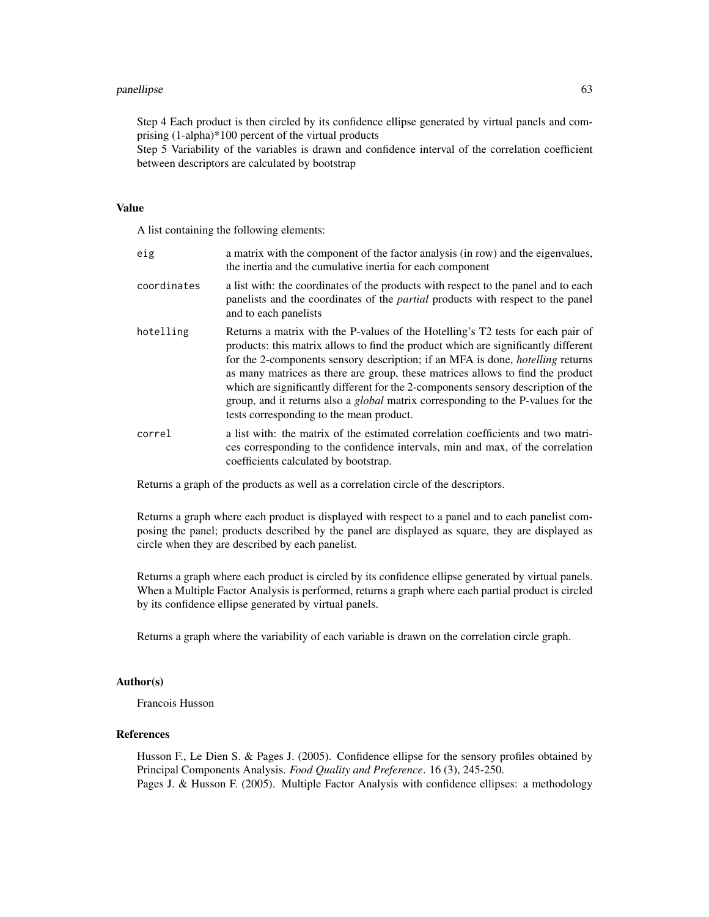#### panellipse 63

Step 4 Each product is then circled by its confidence ellipse generated by virtual panels and comprising (1-alpha)\*100 percent of the virtual products

Step 5 Variability of the variables is drawn and confidence interval of the correlation coefficient between descriptors are calculated by bootstrap

#### Value

A list containing the following elements:

| eig         | a matrix with the component of the factor analysis (in row) and the eigenvalues,<br>the inertia and the cumulative inertia for each component                                                                                                                                                                                                                                                                                                                                                                                                                                |
|-------------|------------------------------------------------------------------------------------------------------------------------------------------------------------------------------------------------------------------------------------------------------------------------------------------------------------------------------------------------------------------------------------------------------------------------------------------------------------------------------------------------------------------------------------------------------------------------------|
| coordinates | a list with: the coordinates of the products with respect to the panel and to each<br>panelists and the coordinates of the <i>partial</i> products with respect to the panel<br>and to each panelists                                                                                                                                                                                                                                                                                                                                                                        |
| hotelling   | Returns a matrix with the P-values of the Hotelling's T2 tests for each pair of<br>products: this matrix allows to find the product which are significantly different<br>for the 2-components sensory description; if an MFA is done, <i>hotelling</i> returns<br>as many matrices as there are group, these matrices allows to find the product<br>which are significantly different for the 2-components sensory description of the<br>group, and it returns also a <i>global</i> matrix corresponding to the P-values for the<br>tests corresponding to the mean product. |
| correl      | a list with: the matrix of the estimated correlation coefficients and two matri-<br>ces corresponding to the confidence intervals, min and max, of the correlation<br>coefficients calculated by bootstrap.                                                                                                                                                                                                                                                                                                                                                                  |

Returns a graph of the products as well as a correlation circle of the descriptors.

Returns a graph where each product is displayed with respect to a panel and to each panelist composing the panel; products described by the panel are displayed as square, they are displayed as circle when they are described by each panelist.

Returns a graph where each product is circled by its confidence ellipse generated by virtual panels. When a Multiple Factor Analysis is performed, returns a graph where each partial product is circled by its confidence ellipse generated by virtual panels.

Returns a graph where the variability of each variable is drawn on the correlation circle graph.

#### Author(s)

Francois Husson

# References

Husson F., Le Dien S. & Pages J. (2005). Confidence ellipse for the sensory profiles obtained by Principal Components Analysis. *Food Quality and Preference*. 16 (3), 245-250. Pages J. & Husson F. (2005). Multiple Factor Analysis with confidence ellipses: a methodology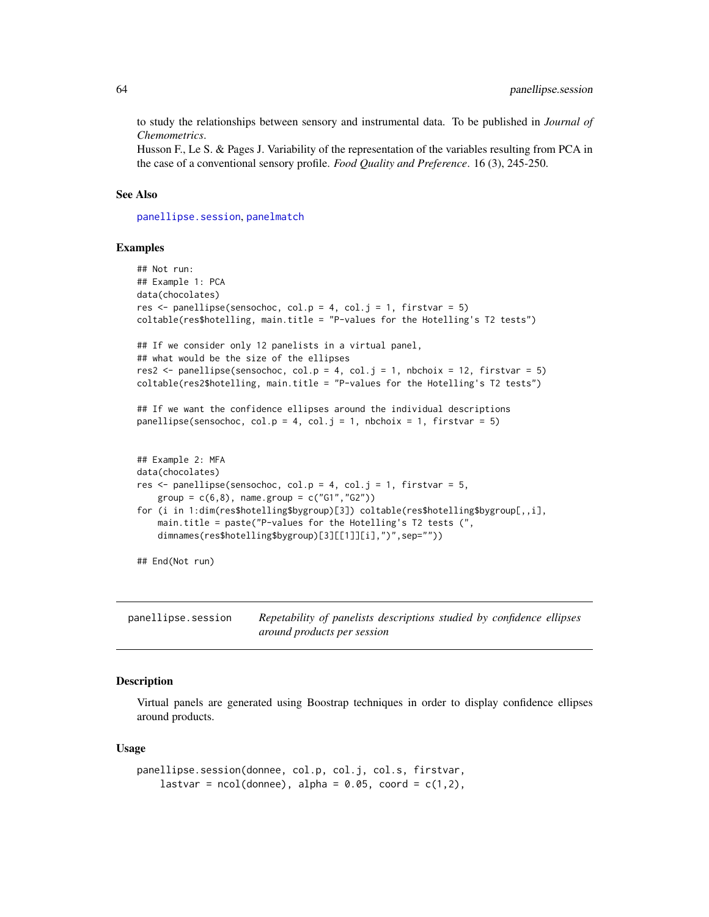to study the relationships between sensory and instrumental data. To be published in *Journal of Chemometrics*.

Husson F., Le S. & Pages J. Variability of the representation of the variables resulting from PCA in the case of a conventional sensory profile. *Food Quality and Preference*. 16 (3), 245-250.

#### See Also

[panellipse.session](#page-63-0), [panelmatch](#page-66-0)

#### Examples

```
## Not run:
## Example 1: PCA
data(chocolates)
res \le panellipse(sensochoc, col.p = 4, col.j = 1, firstvar = 5)
coltable(res$hotelling, main.title = "P-values for the Hotelling's T2 tests")
## If we consider only 12 panelists in a virtual panel,
## what would be the size of the ellipses
res2 <- panellipse(sensochoc, col.p = 4, col.j = 1, nbchoix = 12, firstvar = 5)
coltable(res2$hotelling, main.title = "P-values for the Hotelling's T2 tests")
## If we want the confidence ellipses around the individual descriptions
panellipse(sensochoc, col.p = 4, col.j = 1, nbchoix = 1, firstvar = 5)
## Example 2: MFA
data(chocolates)
res \leq panellipse(sensochoc, col.p = 4, col.j = 1, firstvar = 5,
   group = c(6,8), name.group = c("G1", "G2")for (i in 1:dim(res$hotelling$bygroup)[3]) coltable(res$hotelling$bygroup[,,i],
    main.title = paste("P-values for the Hotelling's T2 tests (",
    dimnames(res$hotelling$bygroup)[3][[1]][i],")",sep=""))
## End(Not run)
```
<span id="page-63-0"></span>panellipse.session *Repetability of panelists descriptions studied by confidence ellipses around products per session*

### Description

Virtual panels are generated using Boostrap techniques in order to display confidence ellipses around products.

#### Usage

```
panellipse.session(donnee, col.p, col.j, col.s, firstvar,
   lastvar = ncol(donnee), alpha = 0.05, coord = c(1,2),
```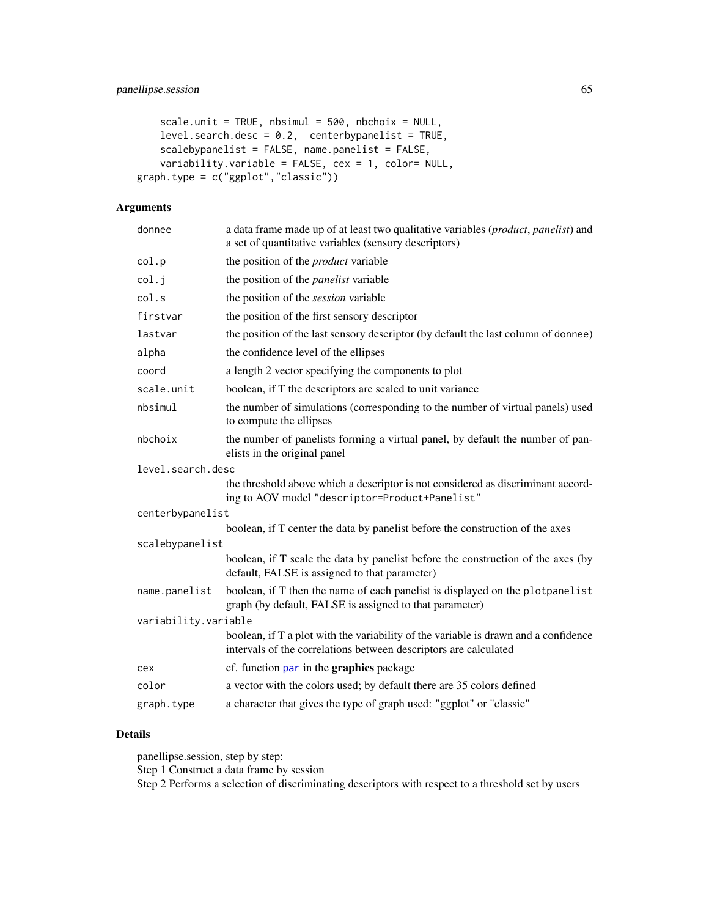```
scale.unit = TRUE, nbsimul = 500, nbchoix = NULL,
    level.search.desc = 0.2, centerbypanelist = TRUE,
    scalebypanelist = FALSE, name.panelist = FALSE,
    variability.variable = FALSE, cex = 1, color= NULL,
graph.type = c("ggplot","classic"))
```
# Arguments

| donnee               | a data frame made up of at least two qualitative variables (product, panelist) and<br>a set of quantitative variables (sensory descriptors)             |  |
|----------------------|---------------------------------------------------------------------------------------------------------------------------------------------------------|--|
| col.p                | the position of the <i>product</i> variable                                                                                                             |  |
| col.j                | the position of the <i>panelist</i> variable                                                                                                            |  |
| col.s                | the position of the session variable                                                                                                                    |  |
| firstvar             | the position of the first sensory descriptor                                                                                                            |  |
| lastvar              | the position of the last sensory descriptor (by default the last column of donnee)                                                                      |  |
| alpha                | the confidence level of the ellipses                                                                                                                    |  |
| coord                | a length 2 vector specifying the components to plot                                                                                                     |  |
| scale.unit           | boolean, if T the descriptors are scaled to unit variance                                                                                               |  |
| nbsimul              | the number of simulations (corresponding to the number of virtual panels) used<br>to compute the ellipses                                               |  |
| nbchoix              | the number of panelists forming a virtual panel, by default the number of pan-<br>elists in the original panel                                          |  |
| level.search.desc    |                                                                                                                                                         |  |
|                      | the threshold above which a descriptor is not considered as discriminant accord-<br>ing to AOV model "descriptor=Product+Panelist"                      |  |
| centerbypanelist     |                                                                                                                                                         |  |
|                      | boolean, if T center the data by panelist before the construction of the axes                                                                           |  |
| scalebypanelist      |                                                                                                                                                         |  |
|                      | boolean, if T scale the data by panelist before the construction of the axes (by<br>default, FALSE is assigned to that parameter)                       |  |
| name.panelist        | boolean, if T then the name of each panelist is displayed on the plotpanelist<br>graph (by default, FALSE is assigned to that parameter)                |  |
| variability.variable |                                                                                                                                                         |  |
|                      | boolean, if T a plot with the variability of the variable is drawn and a confidence<br>intervals of the correlations between descriptors are calculated |  |
| cex                  | cf. function par in the <b>graphics</b> package                                                                                                         |  |
| color                | a vector with the colors used; by default there are 35 colors defined                                                                                   |  |
| graph.type           | a character that gives the type of graph used: "ggplot" or "classic"                                                                                    |  |
|                      |                                                                                                                                                         |  |

# Details

panellipse.session, step by step: Step 1 Construct a data frame by session Step 2 Performs a selection of discriminating descriptors with respect to a threshold set by users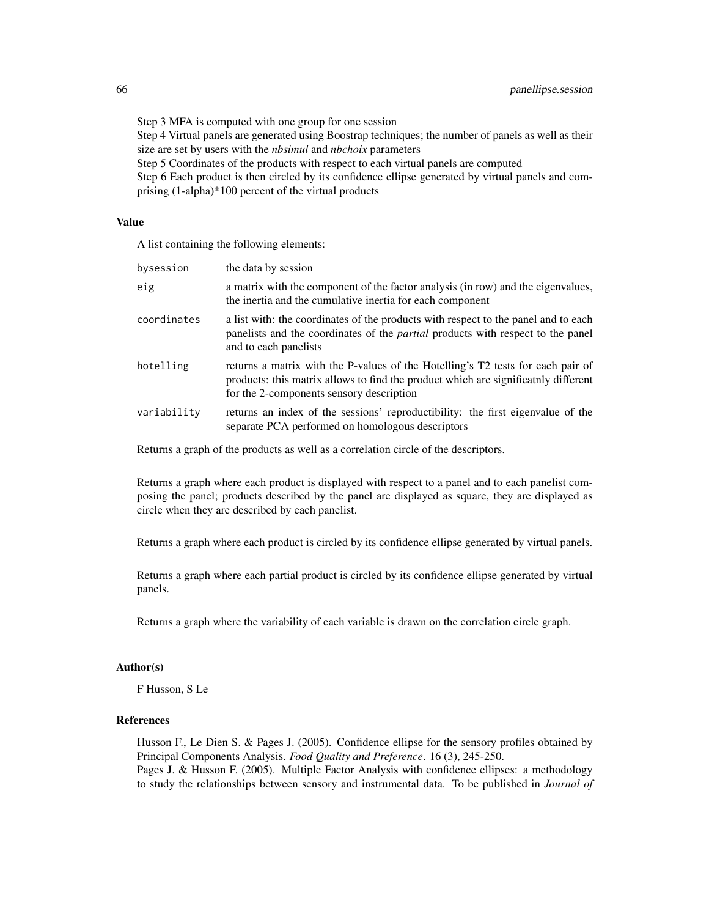Step 3 MFA is computed with one group for one session Step 4 Virtual panels are generated using Boostrap techniques; the number of panels as well as their size are set by users with the *nbsimul* and *nbchoix* parameters

Step 5 Coordinates of the products with respect to each virtual panels are computed

Step 6 Each product is then circled by its confidence ellipse generated by virtual panels and comprising (1-alpha)\*100 percent of the virtual products

### Value

A list containing the following elements:

| bysession   | the data by session                                                                                                                                                                                               |
|-------------|-------------------------------------------------------------------------------------------------------------------------------------------------------------------------------------------------------------------|
| eig         | a matrix with the component of the factor analysis (in row) and the eigenvalues,<br>the inertia and the cumulative inertia for each component                                                                     |
| coordinates | a list with: the coordinates of the products with respect to the panel and to each<br>panelists and the coordinates of the <i>partial</i> products with respect to the panel<br>and to each panelists             |
| hotelling   | returns a matrix with the P-values of the Hotelling's T2 tests for each pair of<br>products: this matrix allows to find the product which are significatily different<br>for the 2-components sensory description |
| variability | returns an index of the sessions' reproductibility: the first eigenvalue of the<br>separate PCA performed on homologous descriptors                                                                               |

Returns a graph of the products as well as a correlation circle of the descriptors.

Returns a graph where each product is displayed with respect to a panel and to each panelist composing the panel; products described by the panel are displayed as square, they are displayed as circle when they are described by each panelist.

Returns a graph where each product is circled by its confidence ellipse generated by virtual panels.

Returns a graph where each partial product is circled by its confidence ellipse generated by virtual panels.

Returns a graph where the variability of each variable is drawn on the correlation circle graph.

### Author(s)

F Husson, S Le

### References

Husson F., Le Dien S. & Pages J. (2005). Confidence ellipse for the sensory profiles obtained by Principal Components Analysis. *Food Quality and Preference*. 16 (3), 245-250. Pages J. & Husson F. (2005). Multiple Factor Analysis with confidence ellipses: a methodology to study the relationships between sensory and instrumental data. To be published in *Journal of*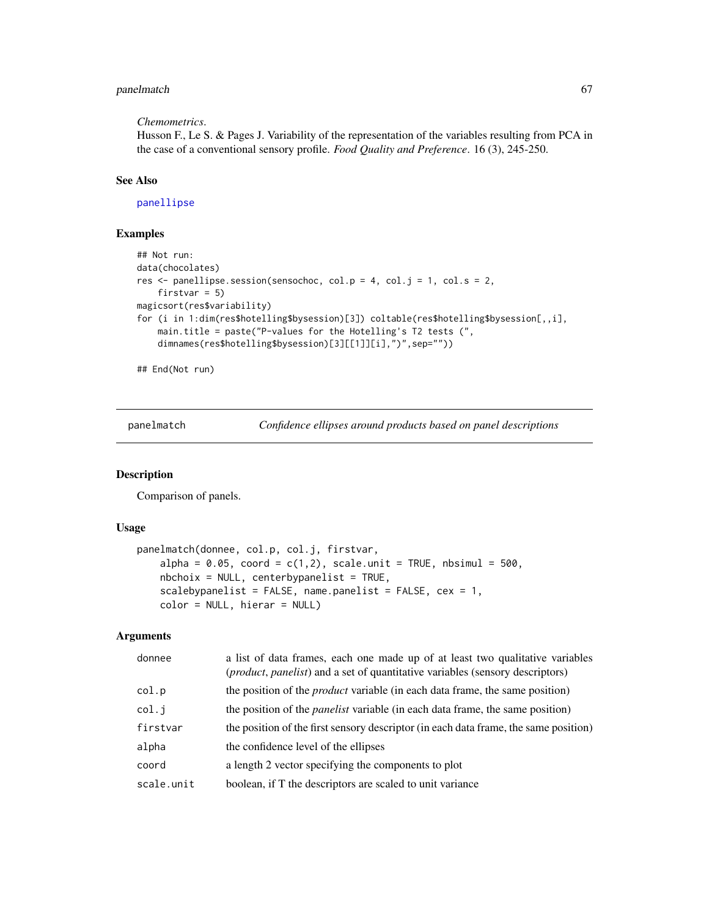# panelmatch 67

#### *Chemometrics*.

Husson F., Le S. & Pages J. Variability of the representation of the variables resulting from PCA in the case of a conventional sensory profile. *Food Quality and Preference*. 16 (3), 245-250.

### See Also

[panellipse](#page-60-0)

# Examples

```
## Not run:
data(chocolates)
res \le- panellipse.session(sensochoc, col.p = 4, col.j = 1, col.s = 2,
    firstvar = 5)
magicsort(res$variability)
for (i in 1:dim(res$hotelling$bysession)[3]) coltable(res$hotelling$bysession[,,i],
    main.title = paste("P-values for the Hotelling's T2 tests (",
    dimnames(res$hotelling$bysession)[3][[1]][i],")",sep=""))
```
## End(Not run)

<span id="page-66-0"></span>panelmatch *Confidence ellipses around products based on panel descriptions*

#### Description

Comparison of panels.

#### Usage

```
panelmatch(donnee, col.p, col.j, firstvar,
   alpha = 0.05, coord = c(1,2), scale.unit = TRUE, nbsimul = 500,
   nbchoix = NULL, centerbypanelist = TRUE,
   scalebypanelist = FALSE, name.panelist = FALSE, cex = 1,
   color = NULL, hierar = NULL)
```
# Arguments

| donnee     | a list of data frames, each one made up of at least two qualitative variables<br>(product, panelist) and a set of quantitative variables (sensory descriptors) |
|------------|----------------------------------------------------------------------------------------------------------------------------------------------------------------|
| col.p      | the position of the <i>product</i> variable (in each data frame, the same position)                                                                            |
| col.i      | the position of the <i>panelist</i> variable (in each data frame, the same position)                                                                           |
| firstvar   | the position of the first sensory descriptor (in each data frame, the same position)                                                                           |
| alpha      | the confidence level of the ellipses                                                                                                                           |
| coord      | a length 2 vector specifying the components to plot                                                                                                            |
| scale.unit | boolean, if T the descriptors are scaled to unit variance                                                                                                      |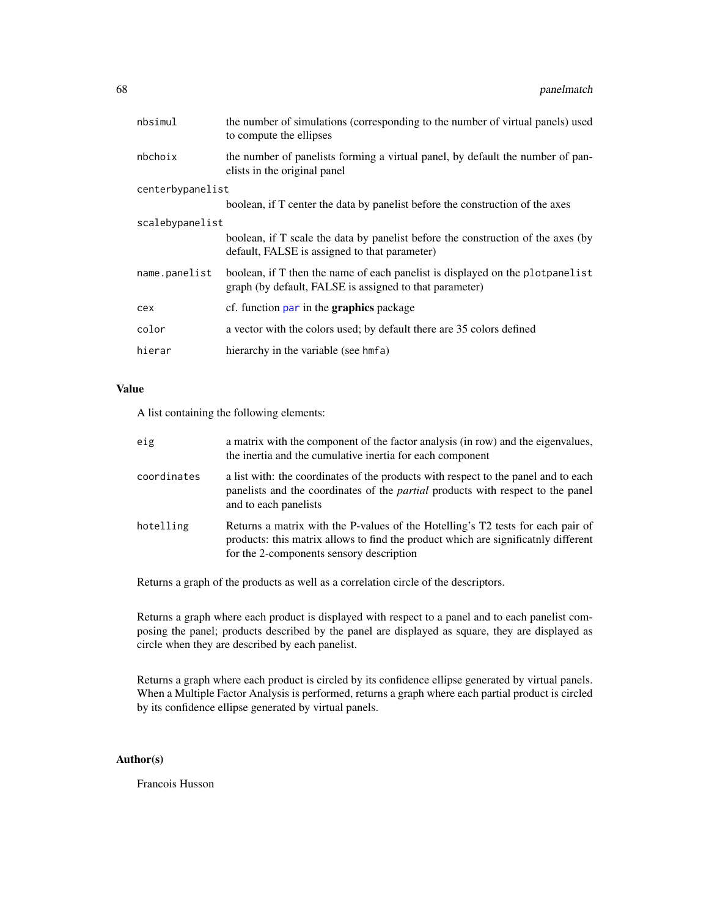| nbsimul          | the number of simulations (corresponding to the number of virtual panels) used<br>to compute the ellipses                                 |  |
|------------------|-------------------------------------------------------------------------------------------------------------------------------------------|--|
| nbchoix          | the number of panelists forming a virtual panel, by default the number of pan-<br>elists in the original panel                            |  |
| centerbypanelist |                                                                                                                                           |  |
|                  | boolean, if T center the data by panelist before the construction of the axes                                                             |  |
| scalebypanelist  |                                                                                                                                           |  |
|                  | boolean, if T scale the data by panelist before the construction of the axes (by<br>default, FALSE is assigned to that parameter)         |  |
| name.panelist    | boolean, if T then the name of each panelist is displayed on the plot panelist<br>graph (by default, FALSE is assigned to that parameter) |  |
| cex              | cf. function par in the <b>graphics</b> package                                                                                           |  |
| color            | a vector with the colors used; by default there are 35 colors defined                                                                     |  |
| hierar           | hierarchy in the variable (see hmfa)                                                                                                      |  |

# Value

A list containing the following elements:

| eig         | a matrix with the component of the factor analysis (in row) and the eigenvalues,<br>the inertia and the cumulative inertia for each component                                                                     |
|-------------|-------------------------------------------------------------------------------------------------------------------------------------------------------------------------------------------------------------------|
| coordinates | a list with: the coordinates of the products with respect to the panel and to each<br>panelists and the coordinates of the <i>partial</i> products with respect to the panel<br>and to each panelists             |
| hotelling   | Returns a matrix with the P-values of the Hotelling's T2 tests for each pair of<br>products: this matrix allows to find the product which are significatily different<br>for the 2-components sensory description |

Returns a graph of the products as well as a correlation circle of the descriptors.

Returns a graph where each product is displayed with respect to a panel and to each panelist composing the panel; products described by the panel are displayed as square, they are displayed as circle when they are described by each panelist.

Returns a graph where each product is circled by its confidence ellipse generated by virtual panels. When a Multiple Factor Analysis is performed, returns a graph where each partial product is circled by its confidence ellipse generated by virtual panels.

# Author(s)

Francois Husson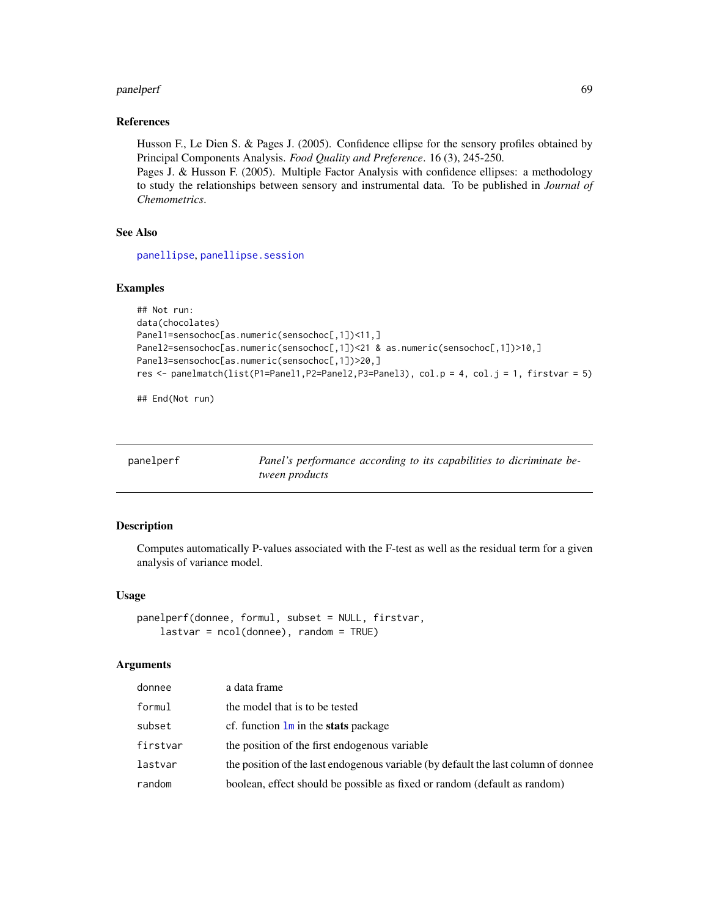#### panelperf 69 and the contract of the contract of the contract of the contract of the contract of the contract of the contract of the contract of the contract of the contract of the contract of the contract of the contract

#### References

Husson F., Le Dien S. & Pages J. (2005). Confidence ellipse for the sensory profiles obtained by Principal Components Analysis. *Food Quality and Preference*. 16 (3), 245-250.

Pages J. & Husson F. (2005). Multiple Factor Analysis with confidence ellipses: a methodology to study the relationships between sensory and instrumental data. To be published in *Journal of Chemometrics*.

### See Also

[panellipse](#page-60-0), [panellipse.session](#page-63-0)

# Examples

```
## Not run:
data(chocolates)
Panel1=sensochoc[as.numeric(sensochoc[,1])<11,]
Panel2=sensochoc[as.numeric(sensochoc[,1])<21 & as.numeric(sensochoc[,1])>10,]
Panel3=sensochoc[as.numeric(sensochoc[,1])>20,]
res <- panelmatch(list(P1=Panel1,P2=Panel2,P3=Panel3), col.p = 4, col.j = 1, firstvar = 5)
```
## End(Not run)

<span id="page-68-0"></span>

| panelperf | Panel's performance according to its capabilities to dicriminate be- |
|-----------|----------------------------------------------------------------------|
|           | <i>tween products</i>                                                |

### Description

Computes automatically P-values associated with the F-test as well as the residual term for a given analysis of variance model.

#### Usage

```
panelperf(donnee, formul, subset = NULL, firstvar,
   lastvar = ncol(donne), random = TRUE)
```
#### Arguments

| donnee   | a data frame                                                                       |
|----------|------------------------------------------------------------------------------------|
| formul   | the model that is to be tested                                                     |
| subset   | cf. function $\text{Im}$ in the stats package                                      |
| firstvar | the position of the first endogenous variable                                      |
| lastvar  | the position of the last endogenous variable (by default the last column of donnee |
| random   | boolean, effect should be possible as fixed or random (default as random)          |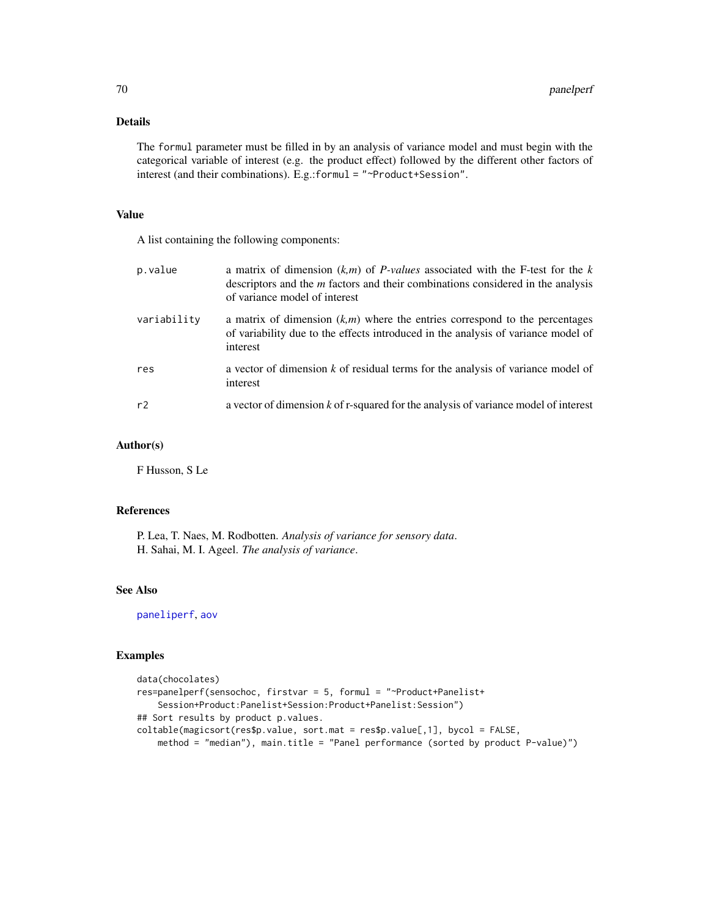### Details

The formul parameter must be filled in by an analysis of variance model and must begin with the categorical variable of interest (e.g. the product effect) followed by the different other factors of interest (and their combinations). E.g.:formul = "~Product+Session".

# Value

A list containing the following components:

| p.value     | a matrix of dimension $(k,m)$ of <i>P-values</i> associated with the <i>F</i> -test for the k<br>descriptors and the <i>m</i> factors and their combinations considered in the analysis<br>of variance model of interest |
|-------------|--------------------------------------------------------------------------------------------------------------------------------------------------------------------------------------------------------------------------|
| variability | a matrix of dimension $(k,m)$ where the entries correspond to the percentages<br>of variability due to the effects introduced in the analysis of variance model of<br>interest                                           |
| res         | a vector of dimension $k$ of residual terms for the analysis of variance model of<br>interest                                                                                                                            |
| r2          | a vector of dimension k of r-squared for the analysis of variance model of interest                                                                                                                                      |

# Author(s)

F Husson, S Le

### References

P. Lea, T. Naes, M. Rodbotten. *Analysis of variance for sensory data*. H. Sahai, M. I. Ageel. *The analysis of variance*.

### See Also

[paneliperf](#page-58-0), [aov](#page-0-0)

# Examples

```
data(chocolates)
res=panelperf(sensochoc, firstvar = 5, formul = "~Product+Panelist+
    Session+Product:Panelist+Session:Product+Panelist:Session")
## Sort results by product p.values.
coltable(magicsort(res$p.value, sort.mat = res$p.value[,1], bycol = FALSE,
    method = "median"), main.title = "Panel performance (sorted by product P-value)")
```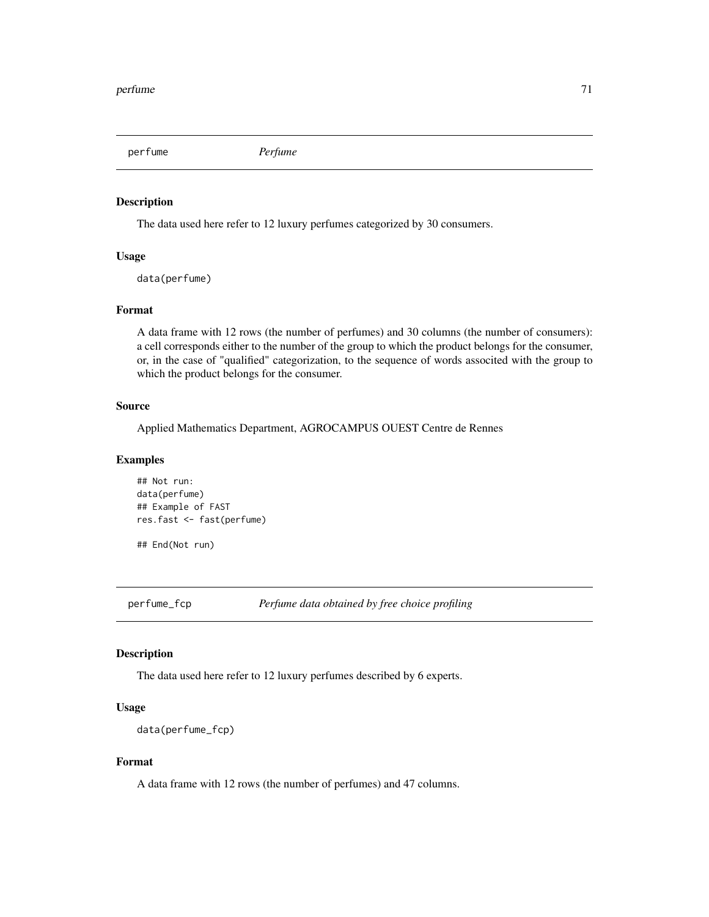perfume *Perfume*

### Description

The data used here refer to 12 luxury perfumes categorized by 30 consumers.

## Usage

data(perfume)

#### Format

A data frame with 12 rows (the number of perfumes) and 30 columns (the number of consumers): a cell corresponds either to the number of the group to which the product belongs for the consumer, or, in the case of "qualified" categorization, to the sequence of words associted with the group to which the product belongs for the consumer.

#### Source

Applied Mathematics Department, AGROCAMPUS OUEST Centre de Rennes

### Examples

```
## Not run:
data(perfume)
## Example of FAST
res.fast <- fast(perfume)
```
## End(Not run)

perfume\_fcp *Perfume data obtained by free choice profiling*

### Description

The data used here refer to 12 luxury perfumes described by 6 experts.

# Usage

```
data(perfume_fcp)
```
### Format

A data frame with 12 rows (the number of perfumes) and 47 columns.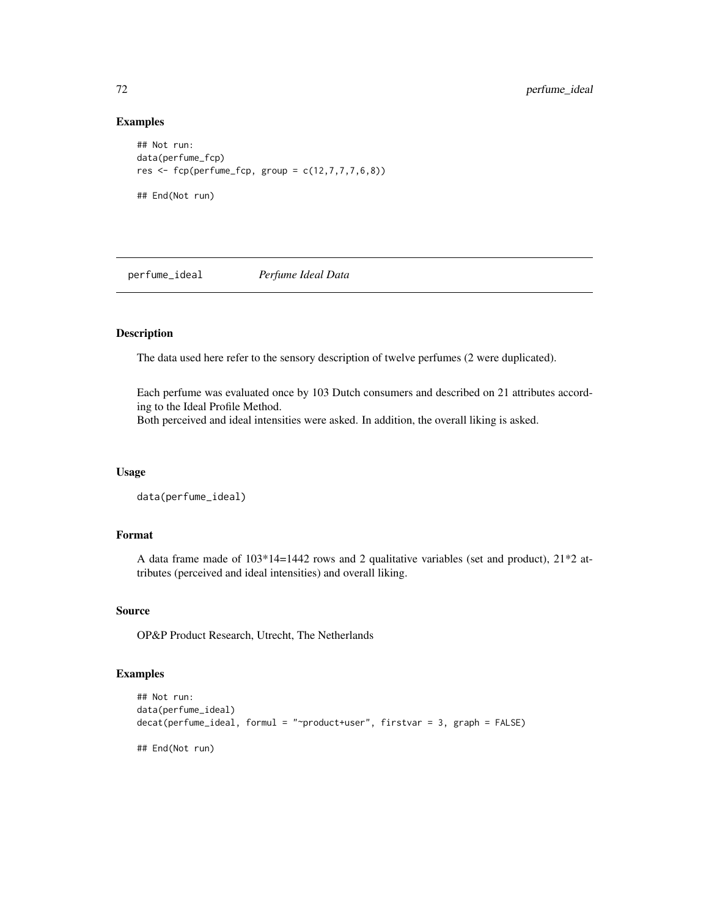### Examples

```
## Not run:
data(perfume_fcp)
res \leftarrow fcp(perfume_fcp, group = c(12,7,7,7,6,8))## End(Not run)
```
perfume\_ideal *Perfume Ideal Data*

# Description

The data used here refer to the sensory description of twelve perfumes (2 were duplicated).

Each perfume was evaluated once by 103 Dutch consumers and described on 21 attributes according to the Ideal Profile Method. Both perceived and ideal intensities were asked. In addition, the overall liking is asked.

# Usage

```
data(perfume_ideal)
```
# Format

A data frame made of 103\*14=1442 rows and 2 qualitative variables (set and product), 21\*2 attributes (perceived and ideal intensities) and overall liking.

#### Source

OP&P Product Research, Utrecht, The Netherlands

#### Examples

```
## Not run:
data(perfume_ideal)
decat(perfume_ideal, formul = "~product+user", firstvar = 3, graph = FALSE)
## End(Not run)
```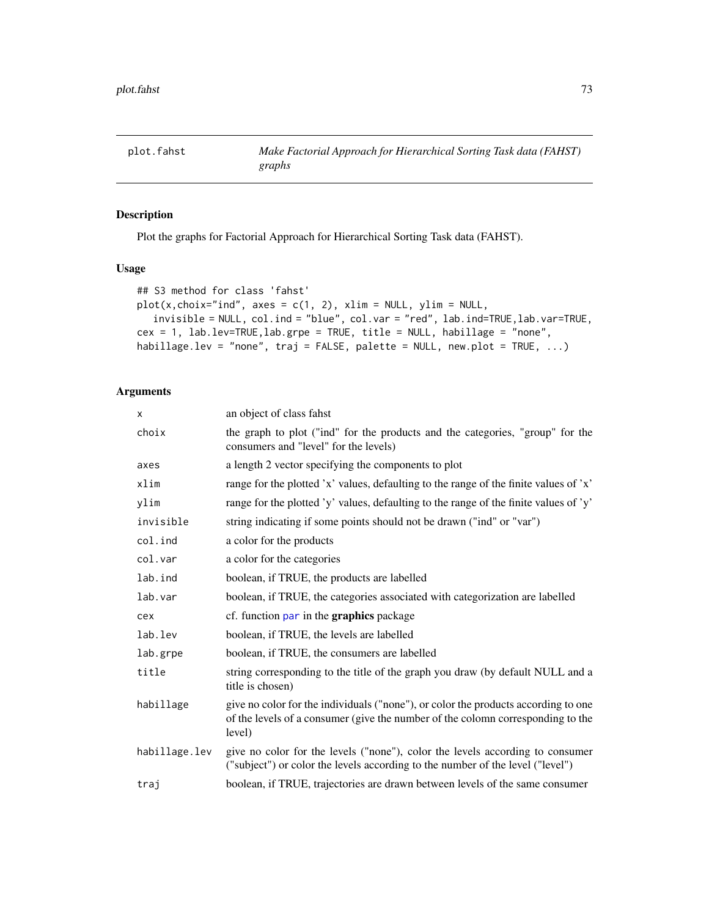<span id="page-72-0"></span>

# Description

Plot the graphs for Factorial Approach for Hierarchical Sorting Task data (FAHST).

#### Usage

```
## S3 method for class 'fahst'
plot(x, choix="ind", axes = c(1, 2), xlim = NULL, ylim = NULL,invisible = NULL, col.ind = "blue", col.var = "red", lab.ind=TRUE,lab.var=TRUE,
cex = 1, lab.lev=TRUE,lab.grpe = TRUE, title = NULL, habillage = "none",
habillage.lev = "none", traj = FALSE, palette = NULL, new.plot = TRUE, ...)
```
# Arguments

| X             | an object of class fahst                                                                                                                                                        |
|---------------|---------------------------------------------------------------------------------------------------------------------------------------------------------------------------------|
| choix         | the graph to plot ("ind" for the products and the categories, "group" for the<br>consumers and "level" for the levels)                                                          |
| axes          | a length 2 vector specifying the components to plot                                                                                                                             |
| xlim          | range for the plotted 'x' values, defaulting to the range of the finite values of 'x'                                                                                           |
| ylim          | range for the plotted 'y' values, defaulting to the range of the finite values of 'y'                                                                                           |
| invisible     | string indicating if some points should not be drawn ("ind" or "var")                                                                                                           |
| col.ind       | a color for the products                                                                                                                                                        |
| col.var       | a color for the categories                                                                                                                                                      |
| lab.ind       | boolean, if TRUE, the products are labelled                                                                                                                                     |
| lab.var       | boolean, if TRUE, the categories associated with categorization are labelled                                                                                                    |
| cex           | cf. function par in the graphics package                                                                                                                                        |
| lab.lev       | boolean, if TRUE, the levels are labelled                                                                                                                                       |
| lab.grpe      | boolean, if TRUE, the consumers are labelled                                                                                                                                    |
| title         | string corresponding to the title of the graph you draw (by default NULL and a<br>title is chosen)                                                                              |
| habillage     | give no color for the individuals ("none"), or color the products according to one<br>of the levels of a consumer (give the number of the colomn corresponding to the<br>level) |
| habillage.lev | give no color for the levels ("none"), color the levels according to consumer<br>("subject") or color the levels according to the number of the level ("level")                 |
| traj          | boolean, if TRUE, trajectories are drawn between levels of the same consumer                                                                                                    |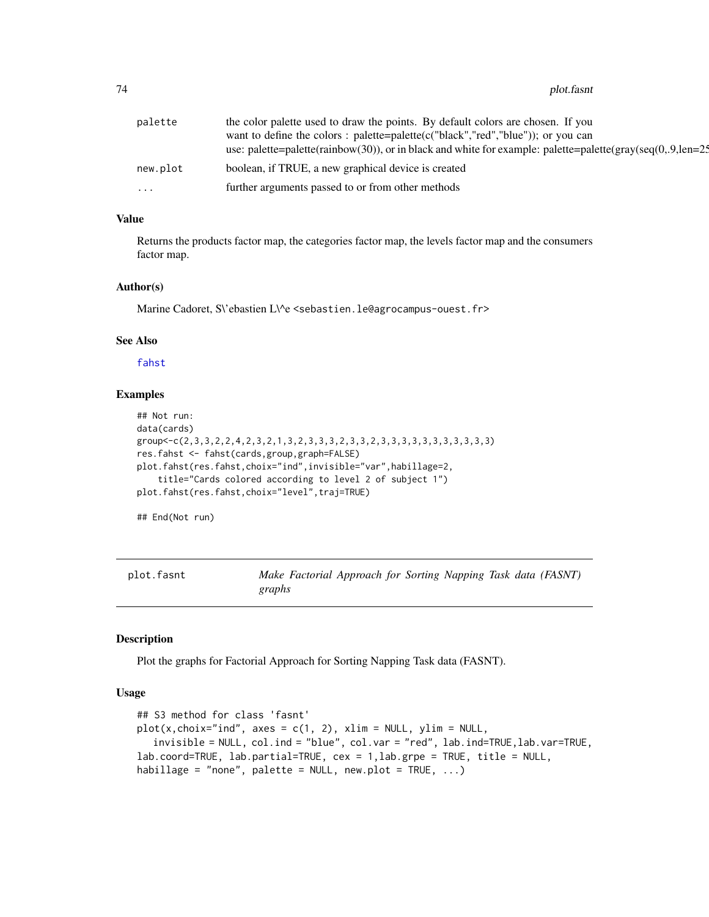#### <span id="page-73-0"></span>74 plot.fasnt

| palette  | the color palette used to draw the points. By default colors are chosen. If you                              |
|----------|--------------------------------------------------------------------------------------------------------------|
|          | want to define the colors : palette=palette( $c("black", "red", "blue"))$ ; or you can                       |
|          | use: palette=palette(rainbow(30)), or in black and white for example: palette=palette(gray(seq(0,.9, len=2.5 |
| new.plot | boolean, if TRUE, a new graphical device is created                                                          |
| .        | further arguments passed to or from other methods                                                            |

# Value

Returns the products factor map, the categories factor map, the levels factor map and the consumers factor map.

#### Author(s)

Marine Cadoret, S\'ebastien L\^e <sebastien.le@agrocampus-ouest.fr>

# See Also

[fahst](#page-31-0)

# Examples

```
## Not run:
data(cards)
group<-c(2,3,3,2,2,4,2,3,2,1,3,2,3,3,3,2,3,3,2,3,3,3,3,3,3,3,3,3,3,3)
res.fahst <- fahst(cards,group,graph=FALSE)
plot.fahst(res.fahst,choix="ind",invisible="var",habillage=2,
    title="Cards colored according to level 2 of subject 1")
plot.fahst(res.fahst,choix="level",traj=TRUE)
```
## End(Not run)

plot.fasnt *Make Factorial Approach for Sorting Napping Task data (FASNT) graphs*

#### Description

Plot the graphs for Factorial Approach for Sorting Napping Task data (FASNT).

```
## S3 method for class 'fasnt'
plot(x, choix="ind", axes = c(1, 2), xlim = NULL, ylim = NULL,invisible = NULL, col.ind = "blue", col.var = "red", lab.ind=TRUE,lab.var=TRUE,
lab.coord=TRUE, lab.partial=TRUE, cex = 1,lab.grpe = TRUE, title = NULL,
habillage = "none", palette = NULL, new.plot = TRUE, ...)
```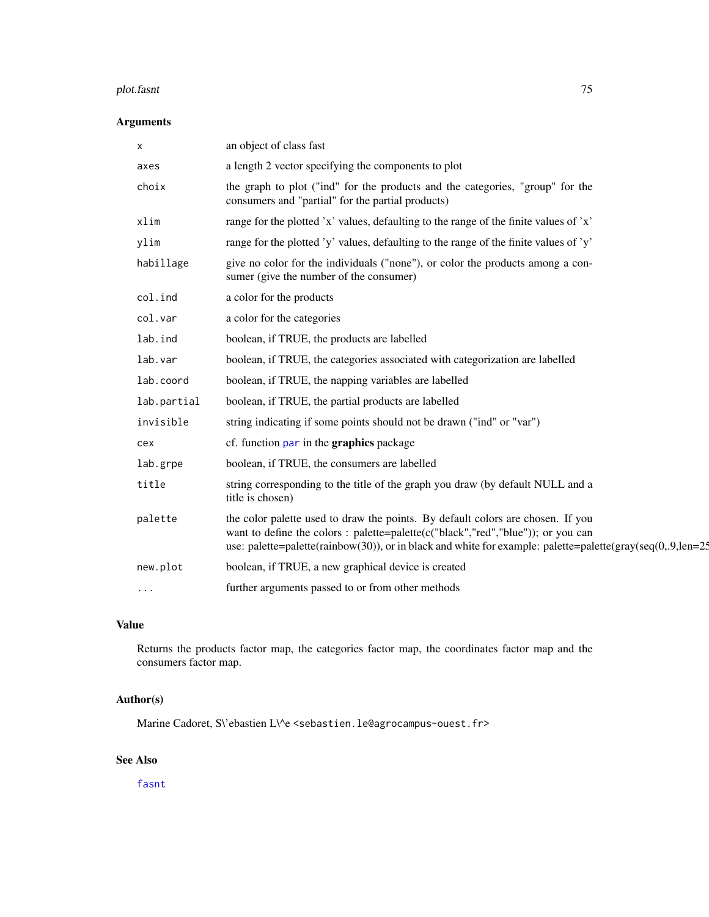#### <span id="page-74-0"></span>plot.fasnt 75

# Arguments

| x           | an object of class fast                                                                                                                                                                                                                                                           |
|-------------|-----------------------------------------------------------------------------------------------------------------------------------------------------------------------------------------------------------------------------------------------------------------------------------|
| axes        | a length 2 vector specifying the components to plot                                                                                                                                                                                                                               |
| choix       | the graph to plot ("ind" for the products and the categories, "group" for the<br>consumers and "partial" for the partial products)                                                                                                                                                |
| xlim        | range for the plotted 'x' values, defaulting to the range of the finite values of 'x'                                                                                                                                                                                             |
| ylim        | range for the plotted 'y' values, defaulting to the range of the finite values of 'y'                                                                                                                                                                                             |
| habillage   | give no color for the individuals ("none"), or color the products among a con-<br>sumer (give the number of the consumer)                                                                                                                                                         |
| col.ind     | a color for the products                                                                                                                                                                                                                                                          |
| col.var     | a color for the categories                                                                                                                                                                                                                                                        |
| lab.ind     | boolean, if TRUE, the products are labelled                                                                                                                                                                                                                                       |
| lab.var     | boolean, if TRUE, the categories associated with categorization are labelled                                                                                                                                                                                                      |
| lab.coord   | boolean, if TRUE, the napping variables are labelled                                                                                                                                                                                                                              |
| lab.partial | boolean, if TRUE, the partial products are labelled                                                                                                                                                                                                                               |
| invisible   | string indicating if some points should not be drawn ("ind" or "var")                                                                                                                                                                                                             |
| cex         | cf. function par in the <b>graphics</b> package                                                                                                                                                                                                                                   |
| lab.grpe    | boolean, if TRUE, the consumers are labelled                                                                                                                                                                                                                                      |
| title       | string corresponding to the title of the graph you draw (by default NULL and a<br>title is chosen)                                                                                                                                                                                |
| palette     | the color palette used to draw the points. By default colors are chosen. If you<br>want to define the colors: palette=palette(c("black","red","blue")); or you can<br>use: palette=palette(rainbow(30)), or in black and white for example: palette=palette(gray(seq(0,.9,len=25) |
| new.plot    | boolean, if TRUE, a new graphical device is created                                                                                                                                                                                                                               |
| $\cdots$    | further arguments passed to or from other methods                                                                                                                                                                                                                                 |
|             |                                                                                                                                                                                                                                                                                   |

# Value

Returns the products factor map, the categories factor map, the coordinates factor map and the consumers factor map.

# Author(s)

Marine Cadoret, S\'ebastien L\^e <sebastien.le@agrocampus-ouest.fr>

# See Also

[fasnt](#page-32-0)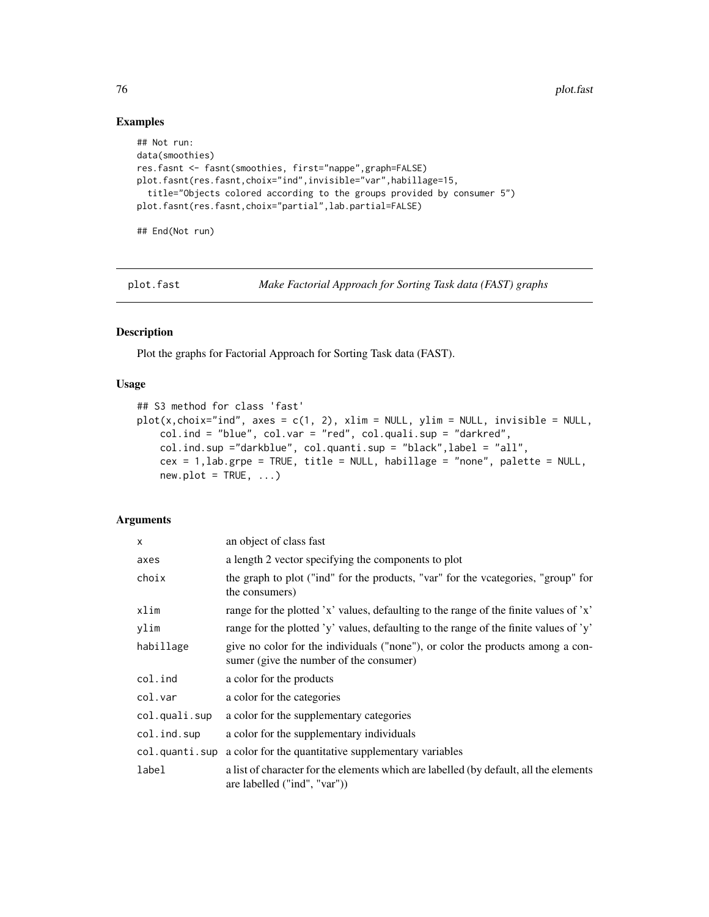# Examples

```
## Not run:
data(smoothies)
res.fasnt <- fasnt(smoothies, first="nappe",graph=FALSE)
plot.fasnt(res.fasnt,choix="ind",invisible="var",habillage=15,
  title="Objects colored according to the groups provided by consumer 5")
plot.fasnt(res.fasnt,choix="partial",lab.partial=FALSE)
## End(Not run)
```
plot.fast *Make Factorial Approach for Sorting Task data (FAST) graphs*

#### Description

Plot the graphs for Factorial Approach for Sorting Task data (FAST).

#### Usage

```
## S3 method for class 'fast'
plot(x, choix="ind", axes = c(1, 2), xlim = NULL, ylim = NULL, invisible = NULL,col.ind = "blue", col.var = "red", col.quali.sup = "darkred",
   col.ind.sup ="darkblue", col.quanti.sup = "black",label = "all",
   cex = 1,lab.grpe = TRUE, title = NULL, habillage = "none", palette = NULL,
   new.plot = TRUE, ...)
```
#### Arguments

| $\mathsf{x}$   | an object of class fast                                                                                                   |  |
|----------------|---------------------------------------------------------------------------------------------------------------------------|--|
| axes           | a length 2 vector specifying the components to plot                                                                       |  |
| choix          | the graph to plot ("ind" for the products, "var" for the vcategories, "group" for<br>the consumers)                       |  |
| xlim           | range for the plotted 'x' values, defaulting to the range of the finite values of 'x'                                     |  |
| ylim           | range for the plotted 'y' values, defaulting to the range of the finite values of 'y'                                     |  |
| habillage      | give no color for the individuals ("none"), or color the products among a con-<br>sumer (give the number of the consumer) |  |
| col.ind        | a color for the products                                                                                                  |  |
| col.var        | a color for the categories                                                                                                |  |
| col.quali.sup  | a color for the supplementary categories                                                                                  |  |
| col.ind.sup    | a color for the supplementary individuals                                                                                 |  |
| col.quanti.sup | a color for the quantitative supplementary variables                                                                      |  |
| label          | a list of character for the elements which are labelled (by default, all the elements<br>are labelled ("ind", "var"))     |  |

<span id="page-75-0"></span>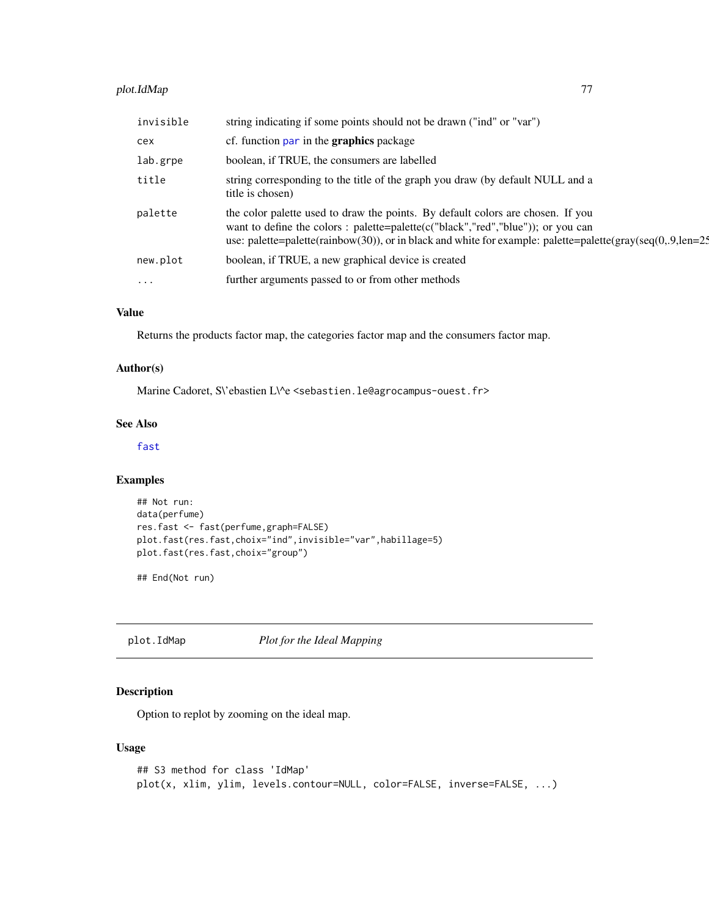# <span id="page-76-0"></span>plot.IdMap 77

| invisible | string indicating if some points should not be drawn ("ind" or "var")                                                                                                                                                                                                                   |
|-----------|-----------------------------------------------------------------------------------------------------------------------------------------------------------------------------------------------------------------------------------------------------------------------------------------|
| cex       | cf. function par in the <b>graphics</b> package                                                                                                                                                                                                                                         |
| lab.grpe  | boolean, if TRUE, the consumers are labelled                                                                                                                                                                                                                                            |
| title     | string corresponding to the title of the graph you draw (by default NULL and a<br>title is chosen)                                                                                                                                                                                      |
| palette   | the color palette used to draw the points. By default colors are chosen. If you<br>want to define the colors : palette=palette( $c("black", "red", "blue"))$ ; or you can<br>use: palette=palette(rainbow(30)), or in black and white for example: palette=palette(gray(seq(0,.9,len=2. |
| new.plot  | boolean, if TRUE, a new graphical device is created                                                                                                                                                                                                                                     |
| $\cdots$  | further arguments passed to or from other methods                                                                                                                                                                                                                                       |

# Value

Returns the products factor map, the categories factor map and the consumers factor map.

# Author(s)

Marine Cadoret, S\'ebastien L\^e <sebastien.le@agrocampus-ouest.fr>

# See Also

# [fast](#page-34-0)

#### Examples

```
## Not run:
data(perfume)
res.fast <- fast(perfume,graph=FALSE)
plot.fast(res.fast,choix="ind",invisible="var",habillage=5)
plot.fast(res.fast,choix="group")
```
## End(Not run)

plot.IdMap *Plot for the Ideal Mapping*

# Description

Option to replot by zooming on the ideal map.

```
## S3 method for class 'IdMap'
plot(x, xlim, ylim, levels.contour=NULL, color=FALSE, inverse=FALSE, ...)
```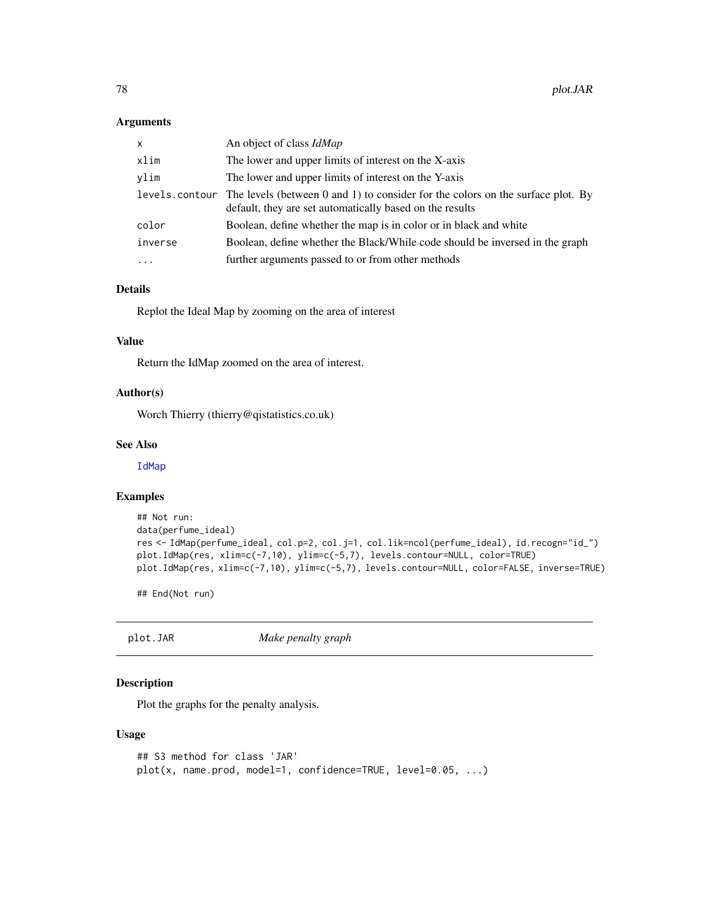#### <span id="page-77-0"></span>Arguments

| $\mathsf{x}$   | An object of class <i>IdMap</i>                                                                                                                  |
|----------------|--------------------------------------------------------------------------------------------------------------------------------------------------|
| xlim           | The lower and upper limits of interest on the X-axis                                                                                             |
| vlim           | The lower and upper limits of interest on the Y-axis                                                                                             |
| levels.contour | The levels (between $0$ and $1$ ) to consider for the colors on the surface plot. By<br>default, they are set automatically based on the results |
| color          | Boolean, define whether the map is in color or in black and white                                                                                |
| inverse        | Boolean, define whether the Black/While code should be inversed in the graph                                                                     |
| $\ddotsc$      | further arguments passed to or from other methods                                                                                                |

# Details

Replot the Ideal Map by zooming on the area of interest

#### Value

Return the IdMap zoomed on the area of interest.

#### Author(s)

Worch Thierry (thierry@qistatistics.co.uk)

#### See Also

[IdMap](#page-42-0)

# Examples

```
## Not run:
data(perfume_ideal)
res <- IdMap(perfume_ideal, col.p=2, col.j=1, col.lik=ncol(perfume_ideal), id.recogn="id_")
plot.IdMap(res, xlim=c(-7,10), ylim=c(-5,7), levels.contour=NULL, color=TRUE)
plot.IdMap(res, xlim=c(-7,10), ylim=c(-5,7), levels.contour=NULL, color=FALSE, inverse=TRUE)
```
## End(Not run)

plot.JAR *Make penalty graph*

# Description

Plot the graphs for the penalty analysis.

```
## S3 method for class 'JAR'
plot(x, name.prod, model=1, confidence=TRUE, level=0.05, ...)
```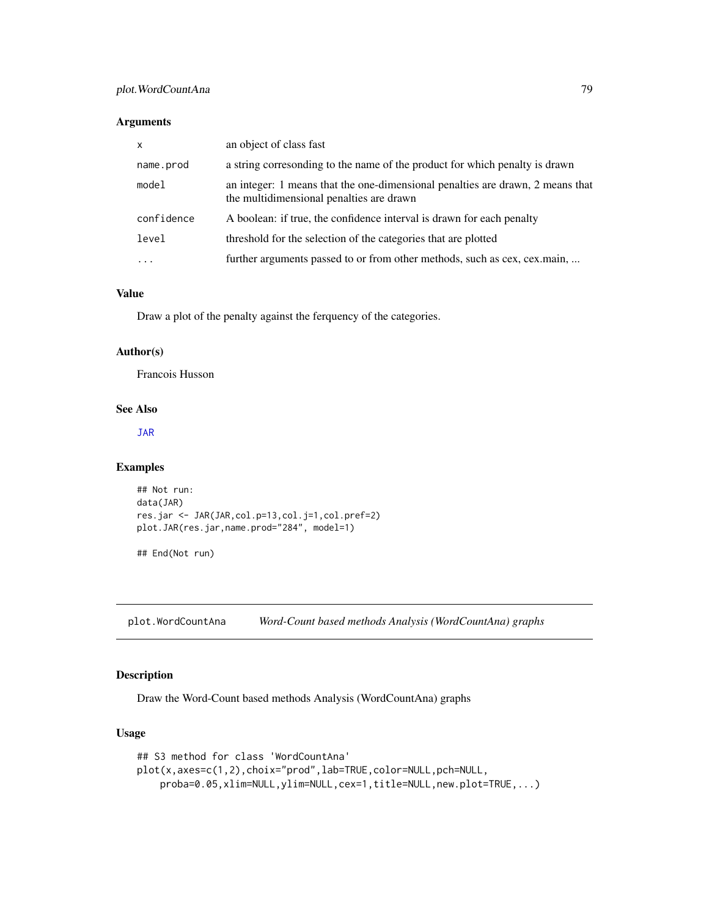# <span id="page-78-1"></span>Arguments

| $\times$   | an object of class fast                                                                                                    |
|------------|----------------------------------------------------------------------------------------------------------------------------|
| name.prod  | a string corresonding to the name of the product for which penalty is drawn                                                |
| model      | an integer: 1 means that the one-dimensional penalties are drawn, 2 means that<br>the multidimensional penalties are drawn |
| confidence | A boolean: if true, the confidence interval is drawn for each penalty                                                      |
| level      | threshold for the selection of the categories that are plotted                                                             |
| .          | further arguments passed to or from other methods, such as cex, cex.main,                                                  |

# Value

Draw a plot of the penalty against the ferquency of the categories.

# Author(s)

Francois Husson

# See Also

[JAR](#page-49-0)

#### Examples

```
## Not run:
data(JAR)
res.jar <- JAR(JAR,col.p=13,col.j=1,col.pref=2)
plot.JAR(res.jar,name.prod="284", model=1)
```
## End(Not run)

<span id="page-78-0"></span>plot.WordCountAna *Word-Count based methods Analysis (WordCountAna) graphs*

# Description

Draw the Word-Count based methods Analysis (WordCountAna) graphs

```
## S3 method for class 'WordCountAna'
plot(x,axes=c(1,2),choix="prod",lab=TRUE,color=NULL,pch=NULL,
    proba=0.05,xlim=NULL,ylim=NULL,cex=1,title=NULL,new.plot=TRUE,...)
```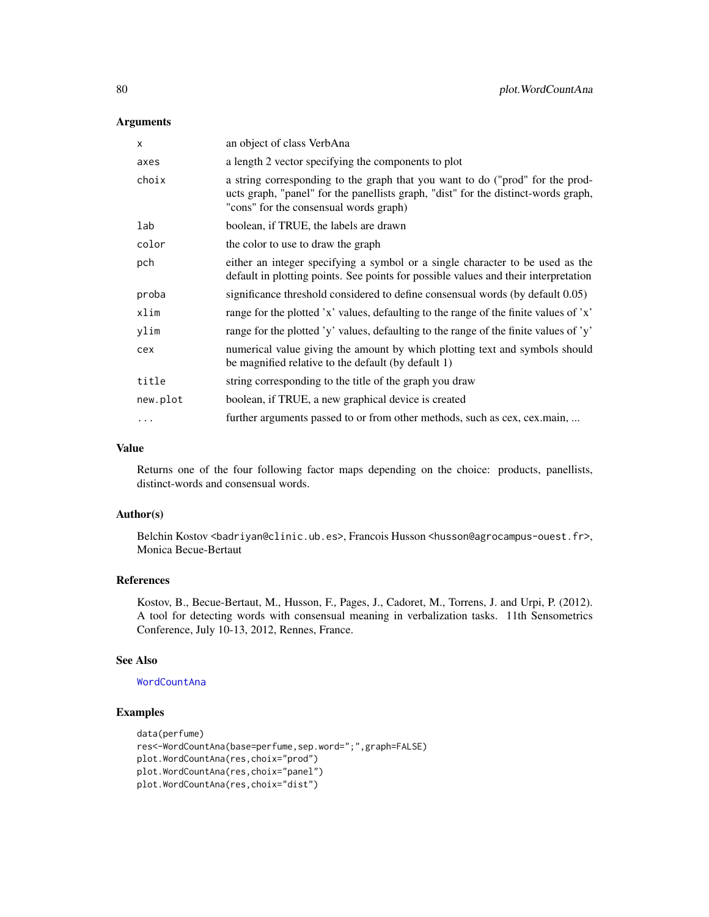# <span id="page-79-0"></span>Arguments

| X        | an object of class VerbAna                                                                                                                                                                                    |
|----------|---------------------------------------------------------------------------------------------------------------------------------------------------------------------------------------------------------------|
| axes     | a length 2 vector specifying the components to plot                                                                                                                                                           |
| choix    | a string corresponding to the graph that you want to do ("prod" for the prod-<br>ucts graph, "panel" for the panellists graph, "dist" for the distinct-words graph,<br>"cons" for the consensual words graph) |
| lab      | boolean, if TRUE, the labels are drawn                                                                                                                                                                        |
| color    | the color to use to draw the graph                                                                                                                                                                            |
| pch      | either an integer specifying a symbol or a single character to be used as the<br>default in plotting points. See points for possible values and their interpretation                                          |
| proba    | significance threshold considered to define consensual words (by default 0.05)                                                                                                                                |
| xlim     | range for the plotted 'x' values, defaulting to the range of the finite values of 'x'                                                                                                                         |
| ylim     | range for the plotted 'y' values, defaulting to the range of the finite values of 'y'                                                                                                                         |
| cex      | numerical value giving the amount by which plotting text and symbols should<br>be magnified relative to the default (by default 1)                                                                            |
| title    | string corresponding to the title of the graph you draw                                                                                                                                                       |
| new.plot | boolean, if TRUE, a new graphical device is created                                                                                                                                                           |
| .        | further arguments passed to or from other methods, such as cex, cex.main,                                                                                                                                     |

#### Value

Returns one of the four following factor maps depending on the choice: products, panellists, distinct-words and consensual words.

# Author(s)

Belchin Kostov <br/>badriyan@clinic.ub.es>, Francois Husson <husson@agrocampus-ouest.fr>, Monica Becue-Bertaut

# References

Kostov, B., Becue-Bertaut, M., Husson, F., Pages, J., Cadoret, M., Torrens, J. and Urpi, P. (2012). A tool for detecting words with consensual meaning in verbalization tasks. 11th Sensometrics Conference, July 10-13, 2012, Rennes, France.

#### See Also

# [WordCountAna](#page-93-0)

# Examples

```
data(perfume)
res<-WordCountAna(base=perfume,sep.word=";",graph=FALSE)
plot.WordCountAna(res,choix="prod")
plot.WordCountAna(res,choix="panel")
plot.WordCountAna(res,choix="dist")
```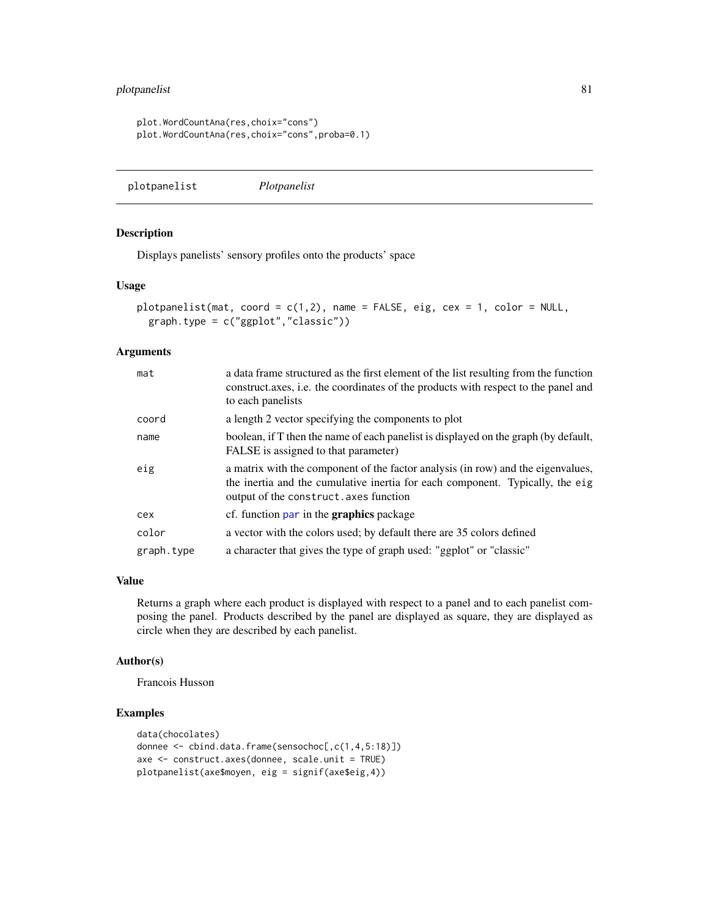# <span id="page-80-0"></span>plotpanelist 81

```
plot.WordCountAna(res,choix="cons")
plot.WordCountAna(res,choix="cons",proba=0.1)
```

```
plotpanelist Plotpanelist
```
# Description

Displays panelists' sensory profiles onto the products' space

#### Usage

```
plotpanelist(mat, coord = c(1,2), name = FALSE, eig, cex = 1, color = NULL,
 graph.type = c("ggplot","classic"))
```
# Arguments

| mat        | a data frame structured as the first element of the list resulting from the function<br>construct axes, i.e. the coordinates of the products with respect to the panel and<br>to each panelists             |
|------------|-------------------------------------------------------------------------------------------------------------------------------------------------------------------------------------------------------------|
| coord      | a length 2 vector specifying the components to plot                                                                                                                                                         |
| name       | boolean, if T then the name of each panelist is displayed on the graph (by default,<br>FALSE is assigned to that parameter)                                                                                 |
| eig        | a matrix with the component of the factor analysis (in row) and the eigenvalues,<br>the inertia and the cumulative inertia for each component. Typically, the eig<br>output of the construct. axes function |
| cex        | cf. function par in the <b>graphics</b> package                                                                                                                                                             |
| color      | a vector with the colors used; by default there are 35 colors defined                                                                                                                                       |
| graph.type | a character that gives the type of graph used: "ggplot" or "classic"                                                                                                                                        |

#### Value

Returns a graph where each product is displayed with respect to a panel and to each panelist composing the panel. Products described by the panel are displayed as square, they are displayed as circle when they are described by each panelist.

#### Author(s)

Francois Husson

# Examples

```
data(chocolates)
donnee <- cbind.data.frame(sensochoc[,c(1,4,5:18)])
axe <- construct.axes(donnee, scale.unit = TRUE)
plotpanelist(axe$moyen, eig = signif(axe$eig,4))
```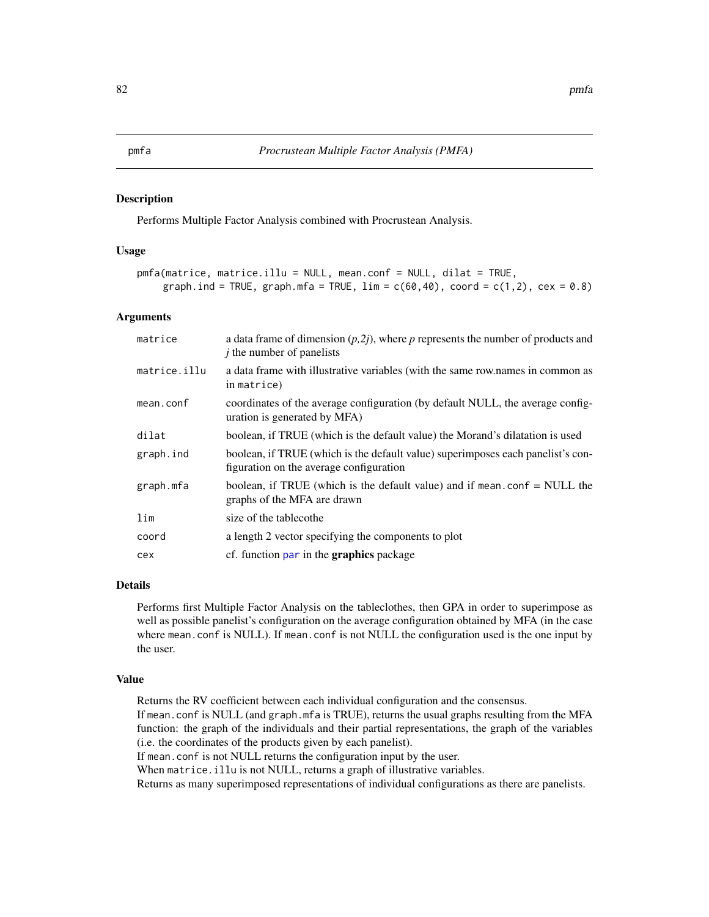#### <span id="page-81-0"></span>Description

Performs Multiple Factor Analysis combined with Procrustean Analysis.

#### Usage

```
pmfa(matrice, matrice.illu = NULL, mean.conf = NULL, dilat = TRUE,
    graph.ind = TRUE, graph.mfa = TRUE, \lim = c(60, 40), coord = c(1, 2), cex = 0.8)
```
#### Arguments

| matrice      | a data frame of dimension $(p,2j)$ , where p represents the number of products and<br>$\dot{j}$ the number of panelists    |
|--------------|----------------------------------------------------------------------------------------------------------------------------|
| matrice.illu | a data frame with illustrative variables (with the same row.names in common as<br>in matrice)                              |
| mean.conf    | coordinates of the average configuration (by default NULL, the average config-<br>uration is generated by MFA)             |
| dilat        | boolean, if TRUE (which is the default value) the Morand's dilatation is used                                              |
| graph.ind    | boolean, if TRUE (which is the default value) superimposes each panelist's con-<br>figuration on the average configuration |
| graph.mfa    | boolean, if TRUE (which is the default value) and if mean.con $f = NULL$ the<br>graphs of the MFA are drawn                |
| lim          | size of the tablecothe                                                                                                     |
| coord        | a length 2 vector specifying the components to plot                                                                        |
| cex          | cf. function par in the <b>graphics</b> package                                                                            |

# Details

Performs first Multiple Factor Analysis on the tableclothes, then GPA in order to superimpose as well as possible panelist's configuration on the average configuration obtained by MFA (in the case where mean.conf is NULL). If mean.conf is not NULL the configuration used is the one input by the user.

#### Value

Returns the RV coefficient between each individual configuration and the consensus. If mean.conf is NULL (and graph.mfa is TRUE), returns the usual graphs resulting from the MFA function: the graph of the individuals and their partial representations, the graph of the variables (i.e. the coordinates of the products given by each panelist). If mean.conf is not NULL returns the configuration input by the user. When matrice.illu is not NULL, returns a graph of illustrative variables.

Returns as many superimposed representations of individual configurations as there are panelists.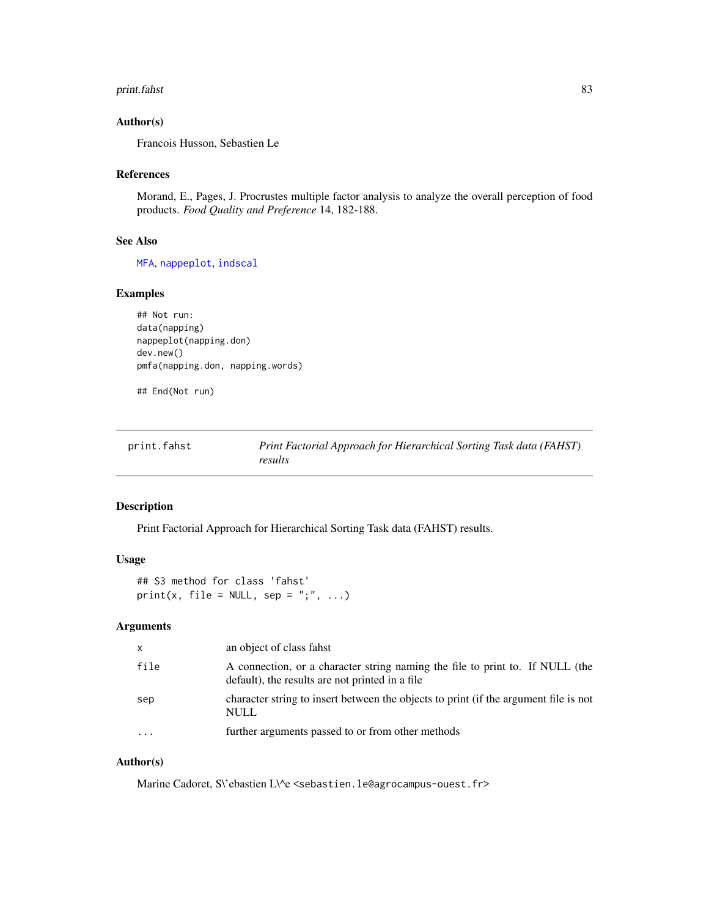#### <span id="page-82-0"></span>print.fahst 83

# Author(s)

Francois Husson, Sebastien Le

#### References

Morand, E., Pages, J. Procrustes multiple factor analysis to analyze the overall perception of food products. *Food Quality and Preference* 14, 182-188.

# See Also

[MFA](#page-0-0), [nappeplot](#page-53-0), [indscal](#page-46-0)

# Examples

```
## Not run:
data(napping)
nappeplot(napping.don)
dev.new()
pmfa(napping.don, napping.words)
```
## End(Not run)

| print.fahst | Print Factorial Approach for Hierarchical Sorting Task data (FAHST) |
|-------------|---------------------------------------------------------------------|
|             | results                                                             |

#### Description

Print Factorial Approach for Hierarchical Sorting Task data (FAHST) results.

#### Usage

```
## S3 method for class 'fahst'
print(x, file = NULL, sep = ";", ...)
```
# Arguments

| x         | an object of class fahst                                                                                                         |
|-----------|----------------------------------------------------------------------------------------------------------------------------------|
| file      | A connection, or a character string naming the file to print to. If NULL (the<br>default), the results are not printed in a file |
| sep       | character string to insert between the objects to print (if the argument file is not<br>NULL                                     |
| $\ddotsc$ | further arguments passed to or from other methods                                                                                |
|           |                                                                                                                                  |

# Author(s)

Marine Cadoret, S\'ebastien L\^e <sebastien.le@agrocampus-ouest.fr>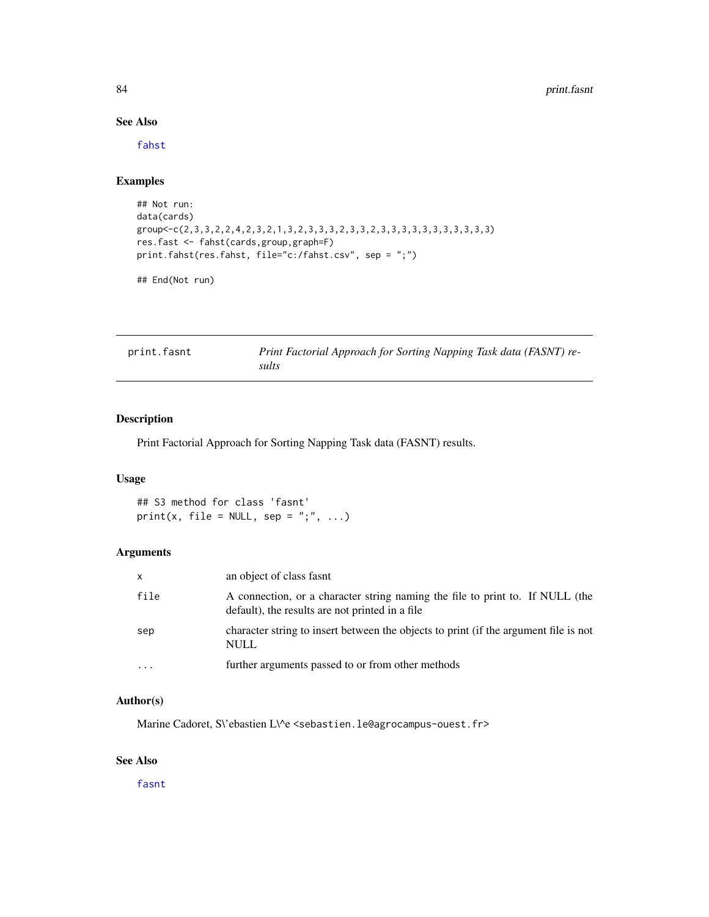# See Also

[fahst](#page-31-0)

# Examples

```
## Not run:
data(cards)
group<-c(2,3,3,2,2,4,2,3,2,1,3,2,3,3,3,2,3,3,2,3,3,3,3,3,3,3,3,3,3,3)
res.fast <- fahst(cards,group,graph=F)
print.fahst(res.fahst, file="c:/fahst.csv", sep = ";")
```

```
## End(Not run)
```

| print.fasnt | Print Factorial Approach for Sorting Napping Task data (FASNT) re- |
|-------------|--------------------------------------------------------------------|
|             | sults                                                              |

# Description

Print Factorial Approach for Sorting Napping Task data (FASNT) results.

# Usage

## S3 method for class 'fasnt' print(x, file = NULL, sep = ";", ...)

# Arguments

| $\mathsf{x}$ | an object of class fasnt                                                                                                         |
|--------------|----------------------------------------------------------------------------------------------------------------------------------|
| file         | A connection, or a character string naming the file to print to. If NULL (the<br>default), the results are not printed in a file |
| sep          | character string to insert between the objects to print (if the argument file is not<br><b>NULL</b>                              |
|              | further arguments passed to or from other methods                                                                                |

# Author(s)

Marine Cadoret, S\'ebastien L\^e <sebastien.le@agrocampus-ouest.fr>

# See Also

[fasnt](#page-32-0)

<span id="page-83-0"></span>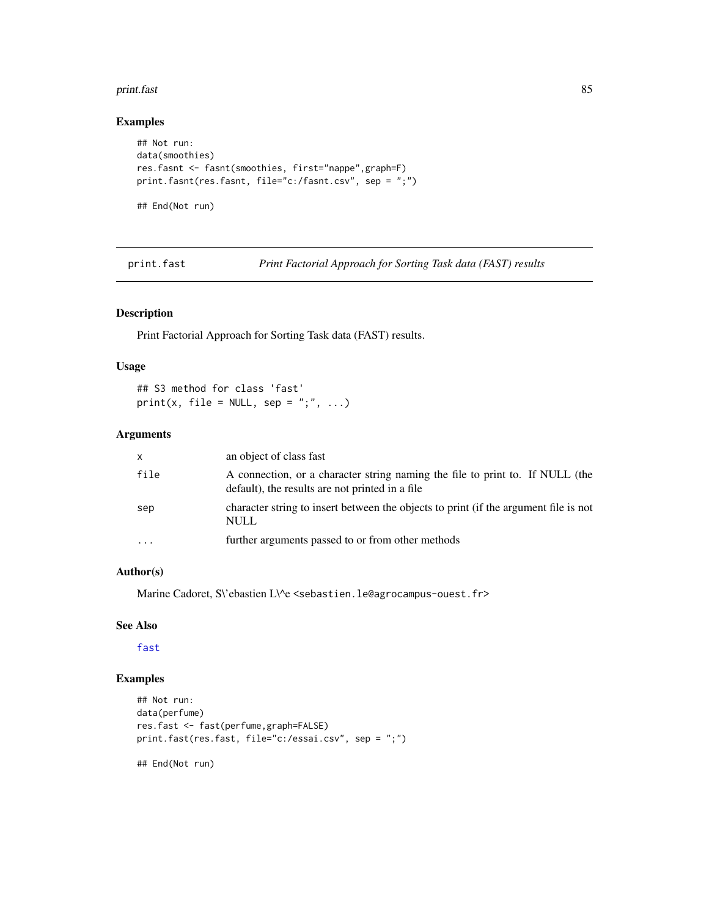#### <span id="page-84-0"></span>print.fast 85

# Examples

```
## Not run:
data(smoothies)
res.fasnt <- fasnt(smoothies, first="nappe",graph=F)
print.fasnt(res.fasnt, file="c:/fasnt.csv", sep = ";")
## End(Not run)
```
print.fast *Print Factorial Approach for Sorting Task data (FAST) results*

# Description

Print Factorial Approach for Sorting Task data (FAST) results.

#### Usage

## S3 method for class 'fast' print(x, file = NULL, sep = ";", ...)

# Arguments

| X    | an object of class fast                                                                                                          |
|------|----------------------------------------------------------------------------------------------------------------------------------|
| file | A connection, or a character string naming the file to print to. If NULL (the<br>default), the results are not printed in a file |
| sep  | character string to insert between the objects to print (if the argument file is not<br>NULL                                     |
| .    | further arguments passed to or from other methods                                                                                |

# Author(s)

Marine Cadoret, S\'ebastien L\^e <sebastien.le@agrocampus-ouest.fr>

# See Also

[fast](#page-34-0)

# Examples

```
## Not run:
data(perfume)
res.fast <- fast(perfume,graph=FALSE)
print.fast(res.fast, file="c:/essai.csv", sep = ";")
```
## End(Not run)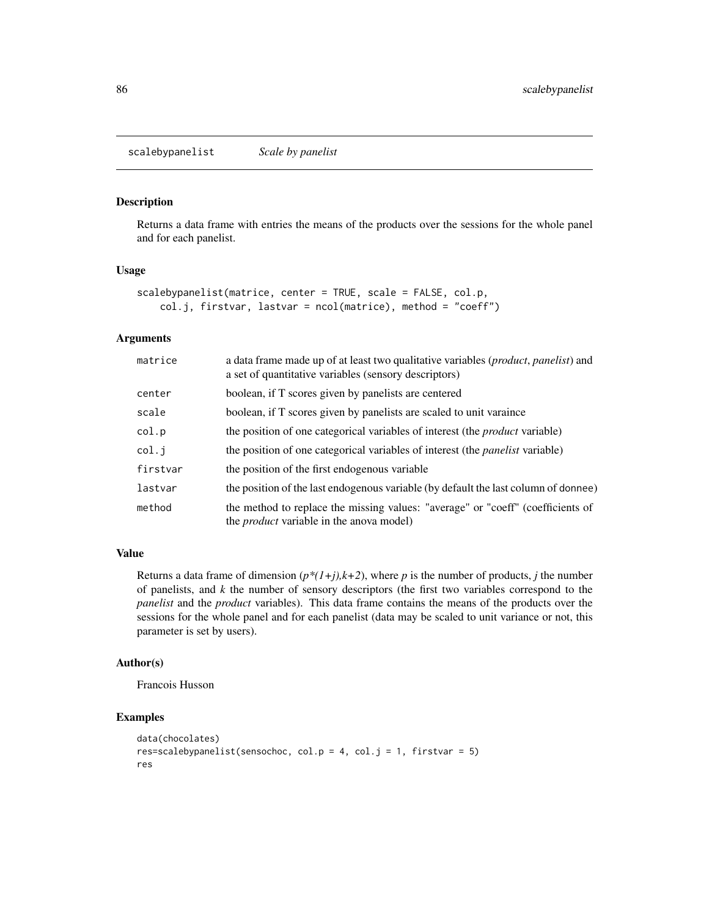<span id="page-85-0"></span>scalebypanelist *Scale by panelist*

#### Description

Returns a data frame with entries the means of the products over the sessions for the whole panel and for each panelist.

#### Usage

```
scalebypanelist(matrice, center = TRUE, scale = FALSE, col.p,
   col.j, firstvar, lastvar = ncol(matrice), method = "coeff")
```
#### Arguments

| matrice  | a data frame made up of at least two qualitative variables ( <i>product, panelist</i> ) and<br>a set of quantitative variables (sensory descriptors) |
|----------|------------------------------------------------------------------------------------------------------------------------------------------------------|
| center   | boolean, if T scores given by panelists are centered                                                                                                 |
| scale    | boolean, if T scores given by panelists are scaled to unit varaince                                                                                  |
| col.p    | the position of one categorical variables of interest (the <i>product</i> variable)                                                                  |
| col.j    | the position of one categorical variables of interest (the <i>panelist</i> variable)                                                                 |
| firstvar | the position of the first endogenous variable                                                                                                        |
| lastvar  | the position of the last endogenous variable (by default the last column of donnee)                                                                  |
| method   | the method to replace the missing values: "average" or "coeff" (coefficients of<br>the <i>product</i> variable in the anova model)                   |

# Value

Returns a data frame of dimension  $(p*(1+j),k+2)$ , where *p* is the number of products, *j* the number of panelists, and *k* the number of sensory descriptors (the first two variables correspond to the *panelist* and the *product* variables). This data frame contains the means of the products over the sessions for the whole panel and for each panelist (data may be scaled to unit variance or not, this parameter is set by users).

#### Author(s)

Francois Husson

# Examples

```
data(chocolates)
res=scalebypanelist(sensochoc, col.p = 4, col.j = 1, firstvar = 5)
res
```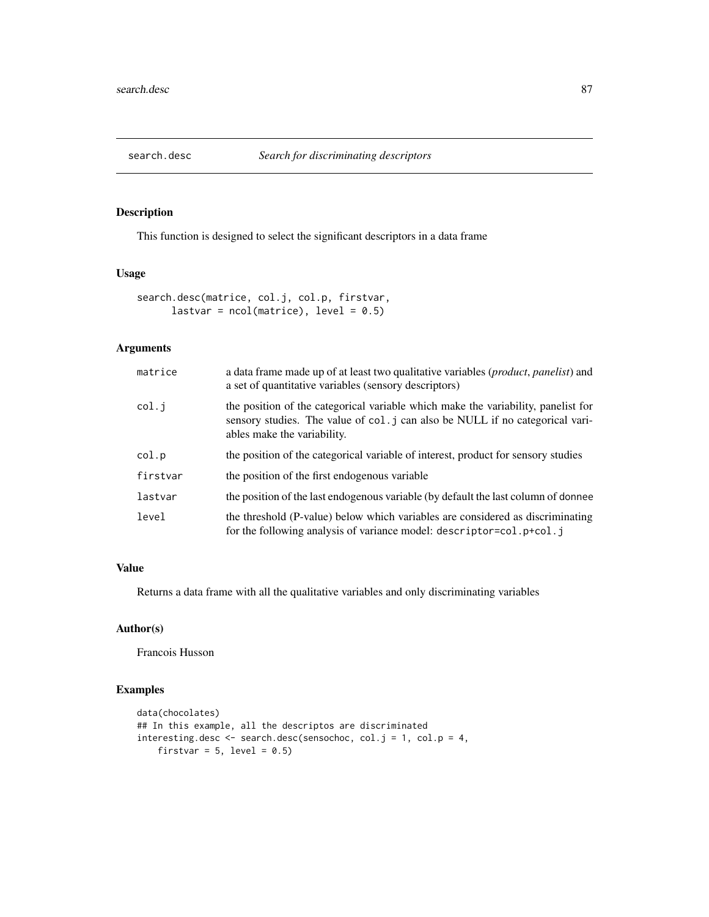<span id="page-86-0"></span>

# Description

This function is designed to select the significant descriptors in a data frame

# Usage

```
search.desc(matrice, col.j, col.p, firstvar,
     lastvar = ncol(matrice), level = 0.5)
```
#### Arguments

| matrice  | a data frame made up of at least two qualitative variables ( <i>product, panelist</i> ) and<br>a set of quantitative variables (sensory descriptors)                                              |
|----------|---------------------------------------------------------------------------------------------------------------------------------------------------------------------------------------------------|
| col.j    | the position of the categorical variable which make the variability, panelist for<br>sensory studies. The value of col. j can also be NULL if no categorical vari-<br>ables make the variability. |
| col.p    | the position of the categorical variable of interest, product for sensory studies                                                                                                                 |
| firstvar | the position of the first endogenous variable                                                                                                                                                     |
| lastvar  | the position of the last endogenous variable (by default the last column of donnee                                                                                                                |
| level    | the threshold (P-value) below which variables are considered as discriminating<br>for the following analysis of variance model: descriptor=col.p+col.j                                            |

# Value

Returns a data frame with all the qualitative variables and only discriminating variables

# Author(s)

Francois Husson

#### Examples

```
data(chocolates)
## In this example, all the descriptos are discriminated
interesting.desc <- search.desc(sensochoc, col.j = 1, col.p = 4,
    firstvar = 5, level = 0.5)
```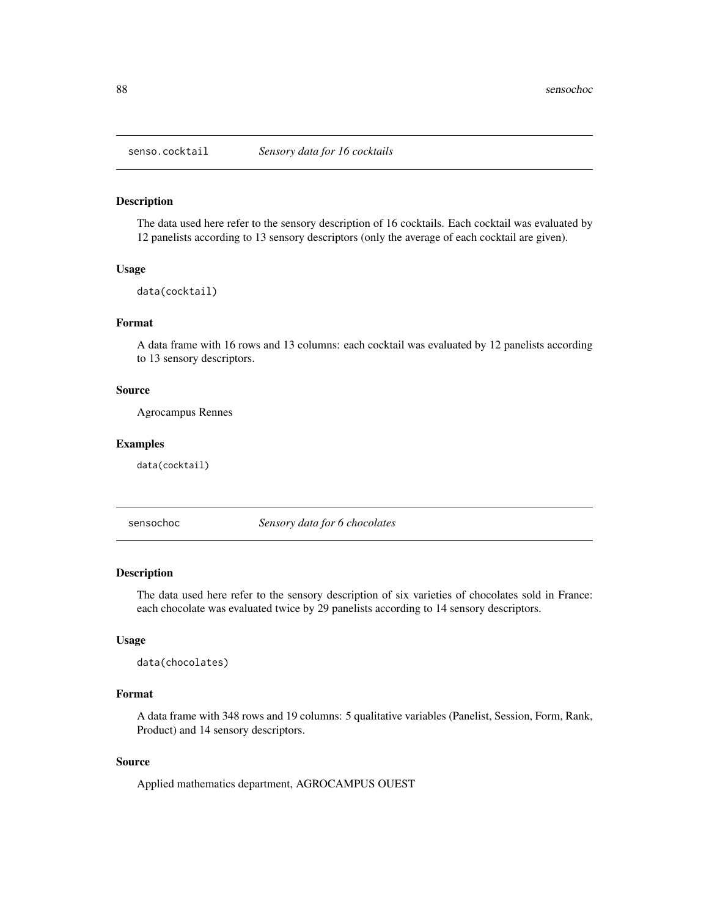<span id="page-87-0"></span>

#### Description

The data used here refer to the sensory description of 16 cocktails. Each cocktail was evaluated by 12 panelists according to 13 sensory descriptors (only the average of each cocktail are given).

#### Usage

data(cocktail)

# Format

A data frame with 16 rows and 13 columns: each cocktail was evaluated by 12 panelists according to 13 sensory descriptors.

#### Source

Agrocampus Rennes

#### Examples

data(cocktail)

sensochoc *Sensory data for 6 chocolates*

# Description

The data used here refer to the sensory description of six varieties of chocolates sold in France: each chocolate was evaluated twice by 29 panelists according to 14 sensory descriptors.

#### Usage

```
data(chocolates)
```
# Format

A data frame with 348 rows and 19 columns: 5 qualitative variables (Panelist, Session, Form, Rank, Product) and 14 sensory descriptors.

#### Source

Applied mathematics department, AGROCAMPUS OUEST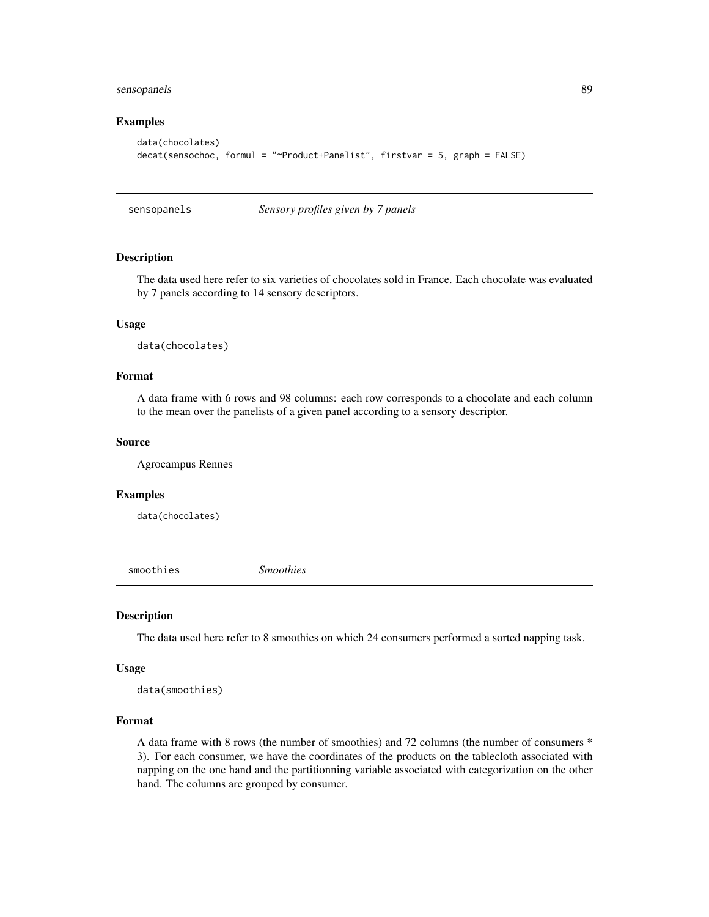# <span id="page-88-0"></span>sensopanels 89

#### Examples

```
data(chocolates)
decat(sensochoc, formul = "~Product+Panelist", firstvar = 5, graph = FALSE)
```
sensopanels *Sensory profiles given by 7 panels*

#### Description

The data used here refer to six varieties of chocolates sold in France. Each chocolate was evaluated by 7 panels according to 14 sensory descriptors.

#### Usage

data(chocolates)

# Format

A data frame with 6 rows and 98 columns: each row corresponds to a chocolate and each column to the mean over the panelists of a given panel according to a sensory descriptor.

#### Source

Agrocampus Rennes

#### Examples

data(chocolates)

smoothies *Smoothies*

#### Description

The data used here refer to 8 smoothies on which 24 consumers performed a sorted napping task.

# Usage

```
data(smoothies)
```
#### Format

A data frame with 8 rows (the number of smoothies) and 72 columns (the number of consumers \* 3). For each consumer, we have the coordinates of the products on the tablecloth associated with napping on the one hand and the partitionning variable associated with categorization on the other hand. The columns are grouped by consumer.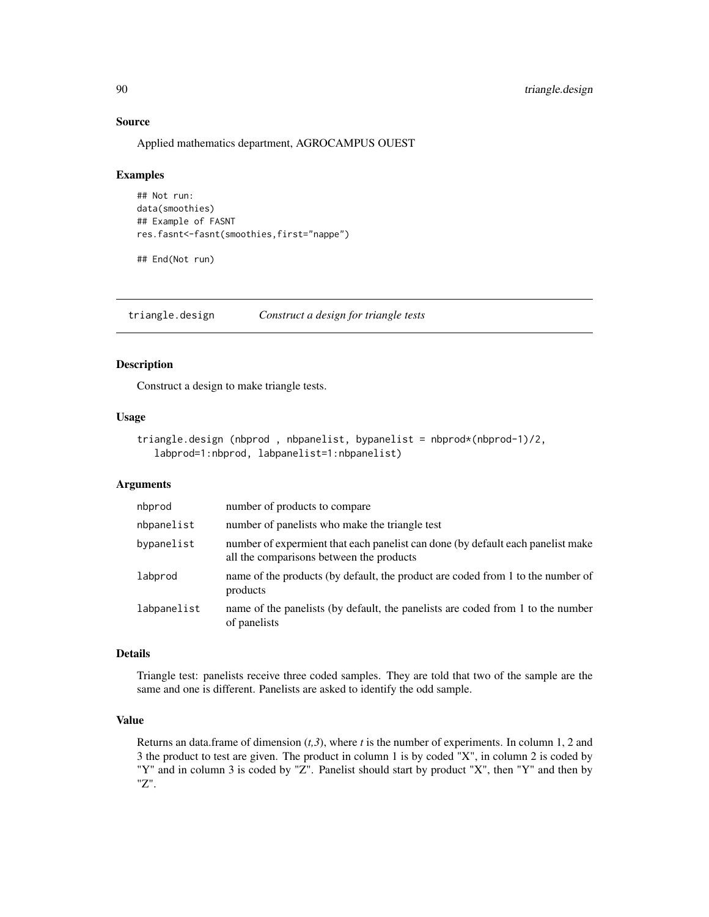#### Source

Applied mathematics department, AGROCAMPUS OUEST

#### Examples

```
## Not run:
data(smoothies)
## Example of FASNT
res.fasnt<-fasnt(smoothies,first="nappe")
```
## End(Not run)

<span id="page-89-0"></span>triangle.design *Construct a design for triangle tests*

# Description

Construct a design to make triangle tests.

#### Usage

```
triangle.design (nbprod , nbpanelist, bypanelist = nbprod*(nbprod-1)/2,
   labprod=1:nbprod, labpanelist=1:nbpanelist)
```
# Arguments

| nbprod      | number of products to compare                                                                                               |
|-------------|-----------------------------------------------------------------------------------------------------------------------------|
| nbpanelist  | number of panelists who make the triangle test                                                                              |
| bypanelist  | number of expermient that each panelist can done (by default each panelist make<br>all the comparisons between the products |
| labprod     | name of the products (by default, the product are coded from 1 to the number of<br>products                                 |
| labpanelist | name of the panelists (by default, the panelists are coded from 1 to the number<br>of panelists                             |

#### Details

Triangle test: panelists receive three coded samples. They are told that two of the sample are the same and one is different. Panelists are asked to identify the odd sample.

# Value

Returns an data.frame of dimension (*t,3*), where *t* is the number of experiments. In column 1, 2 and 3 the product to test are given. The product in column 1 is by coded "X", in column 2 is coded by "Y" and in column 3 is coded by "Z". Panelist should start by product "X", then "Y" and then by "Z".

<span id="page-89-1"></span>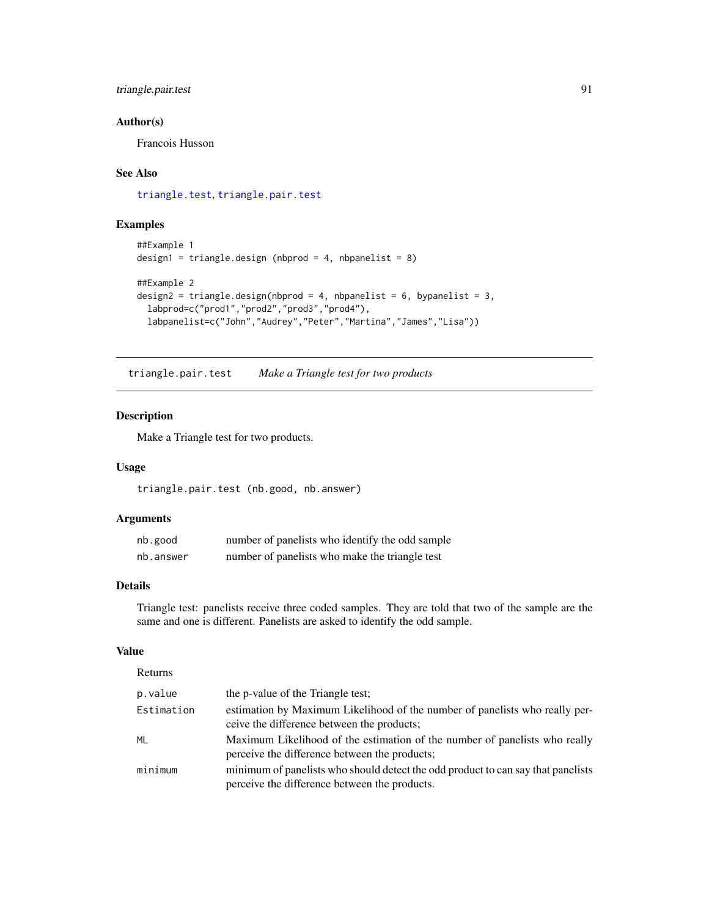# <span id="page-90-1"></span>triangle.pair.test 91

# Author(s)

Francois Husson

# See Also

[triangle.test](#page-91-0), [triangle.pair.test](#page-90-0)

# Examples

```
##Example 1
design1 = triangle.design (nbprod = 4, nbpanelist = 8)
##Example 2
design2 = triangle.design(nbprod = 4, nbpanelist = 6, bypanelist = 3,
  labprod=c("prod1","prod2","prod3","prod4"),
  labpanelist=c("John","Audrey","Peter","Martina","James","Lisa"))
```
<span id="page-90-0"></span>triangle.pair.test *Make a Triangle test for two products*

#### Description

Make a Triangle test for two products.

#### Usage

triangle.pair.test (nb.good, nb.answer)

#### Arguments

| nb.good   | number of panelists who identify the odd sample |
|-----------|-------------------------------------------------|
| nb.answer | number of panelists who make the triangle test  |

# Details

Triangle test: panelists receive three coded samples. They are told that two of the sample are the same and one is different. Panelists are asked to identify the odd sample.

#### Value

| Returns    |                                                                                                                                   |
|------------|-----------------------------------------------------------------------------------------------------------------------------------|
| p.value    | the p-value of the Triangle test:                                                                                                 |
| Estimation | estimation by Maximum Likelihood of the number of panelists who really per-<br>ceive the difference between the products;         |
| <b>ML</b>  | Maximum Likelihood of the estimation of the number of panelists who really<br>perceive the difference between the products;       |
| minimum    | minimum of panelists who should detect the odd product to can say that panelists<br>perceive the difference between the products. |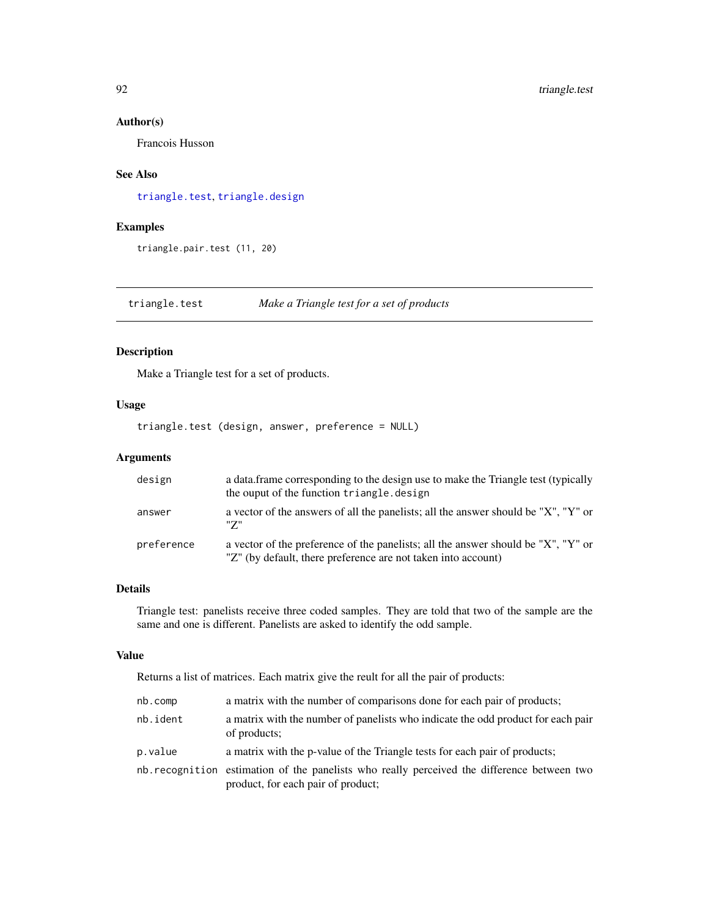#### Author(s)

Francois Husson

# See Also

[triangle.test](#page-91-0), [triangle.design](#page-89-0)

# Examples

triangle.pair.test (11, 20)

<span id="page-91-0"></span>triangle.test *Make a Triangle test for a set of products*

# Description

Make a Triangle test for a set of products.

# Usage

triangle.test (design, answer, preference = NULL)

# Arguments

| design     | a data frame corresponding to the design use to make the Triangle test (typically<br>the ouput of the function triangle.design                     |
|------------|----------------------------------------------------------------------------------------------------------------------------------------------------|
| answer     | a vector of the answers of all the panelists; all the answer should be "X", "Y" or<br>"7"                                                          |
| preference | a vector of the preference of the panelists; all the answer should be "X", "Y" or<br>"Z" (by default, there preference are not taken into account) |

#### Details

Triangle test: panelists receive three coded samples. They are told that two of the sample are the same and one is different. Panelists are asked to identify the odd sample.

#### Value

Returns a list of matrices. Each matrix give the reult for all the pair of products:

| nb.comp  | a matrix with the number of comparisons done for each pair of products;                                                           |
|----------|-----------------------------------------------------------------------------------------------------------------------------------|
| nb.ident | a matrix with the number of panelists who indicate the odd product for each pair<br>of products;                                  |
| p.value  | a matrix with the p-value of the Triangle tests for each pair of products;                                                        |
|          | nb. recognition estimation of the panelists who really perceived the difference between two<br>product, for each pair of product; |

<span id="page-91-1"></span>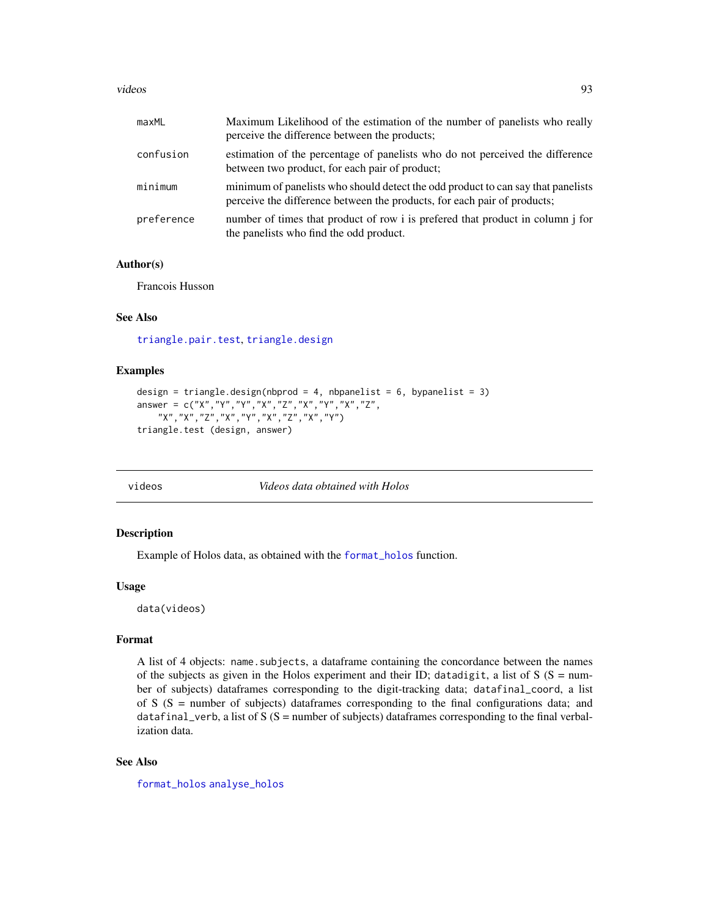#### <span id="page-92-0"></span>videos estableceu estableceu estableceu estableceu estableceu estableceu estableceu estableceu estableceu estableceu estableceu estableceu estableceu estableceu estableceu estableceu estableceu estableceu estableceu establ

| maxML      | Maximum Likelihood of the estimation of the number of panelists who really<br>perceive the difference between the products;                                  |
|------------|--------------------------------------------------------------------------------------------------------------------------------------------------------------|
| confusion  | estimation of the percentage of panelists who do not perceived the difference<br>between two product, for each pair of product;                              |
| minimum    | minimum of panelists who should detect the odd product to can say that panelists<br>perceive the difference between the products, for each pair of products; |
| preference | number of times that product of row i is preferred that product in column j for<br>the panelists who find the odd product.                                   |

#### Author(s)

Francois Husson

# See Also

[triangle.pair.test](#page-90-0), [triangle.design](#page-89-0)

# Examples

```
design = triangle.design(nbprod = 4, nbpanelist = 6, bypanelist = 3)
answer = c("X","Y","Y","X","Z","X","Y","X","Z",
    "X","X","Z","X","Y","X","Z","X","Y")
triangle.test (design, answer)
```
videos *Videos data obtained with Holos*

#### Description

Example of Holos data, as obtained with the [format\\_holos](#page-37-0) function.

#### Usage

data(videos)

# Format

A list of 4 objects: name.subjects, a dataframe containing the concordance between the names of the subjects as given in the Holos experiment and their ID; datadigit, a list of  $S(S = num$ ber of subjects) dataframes corresponding to the digit-tracking data; datafinal\_coord, a list of S  $(S =$  number of subjects) dataframes corresponding to the final configurations data; and datafinal\_verb, a list of  $S(S = number of subjects)$  dataframes corresponding to the final verbalization data.

# See Also

[format\\_holos](#page-37-0) [analyse\\_holos](#page-2-0)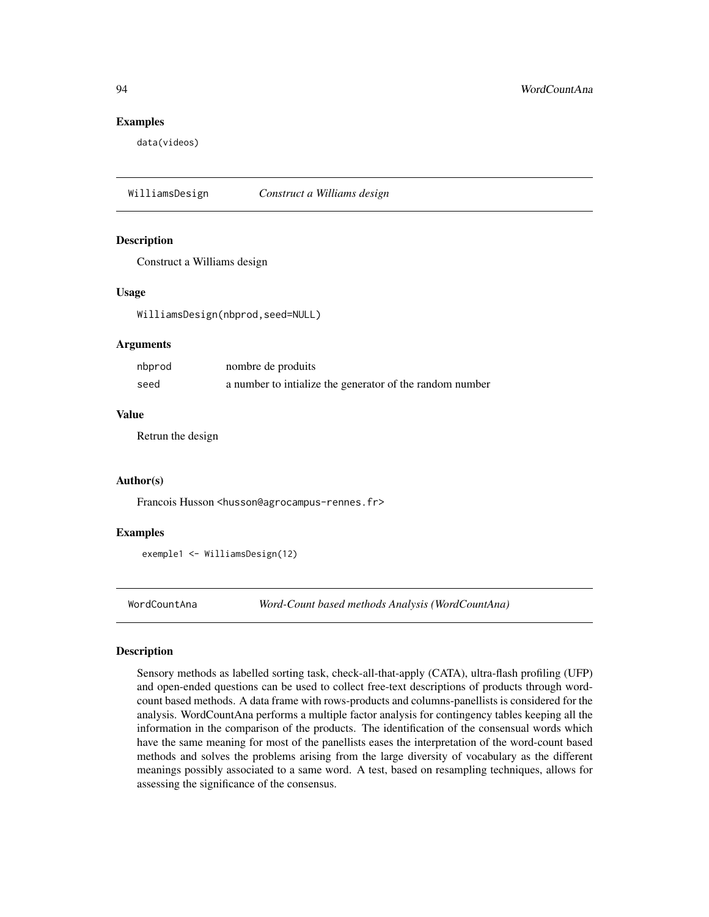#### Examples

data(videos)

WilliamsDesign *Construct a Williams design*

#### Description

Construct a Williams design

#### Usage

WilliamsDesign(nbprod,seed=NULL)

#### Arguments

| nbprod | nombre de produits                                       |
|--------|----------------------------------------------------------|
| seed   | a number to intialize the generator of the random number |

#### Value

Retrun the design

#### Author(s)

Francois Husson <husson@agrocampus-rennes.fr>

#### Examples

exemple1 <- WilliamsDesign(12)

<span id="page-93-0"></span>WordCountAna *Word-Count based methods Analysis (WordCountAna)*

#### Description

Sensory methods as labelled sorting task, check-all-that-apply (CATA), ultra-flash profiling (UFP) and open-ended questions can be used to collect free-text descriptions of products through wordcount based methods. A data frame with rows-products and columns-panellists is considered for the analysis. WordCountAna performs a multiple factor analysis for contingency tables keeping all the information in the comparison of the products. The identification of the consensual words which have the same meaning for most of the panellists eases the interpretation of the word-count based methods and solves the problems arising from the large diversity of vocabulary as the different meanings possibly associated to a same word. A test, based on resampling techniques, allows for assessing the significance of the consensus.

<span id="page-93-1"></span>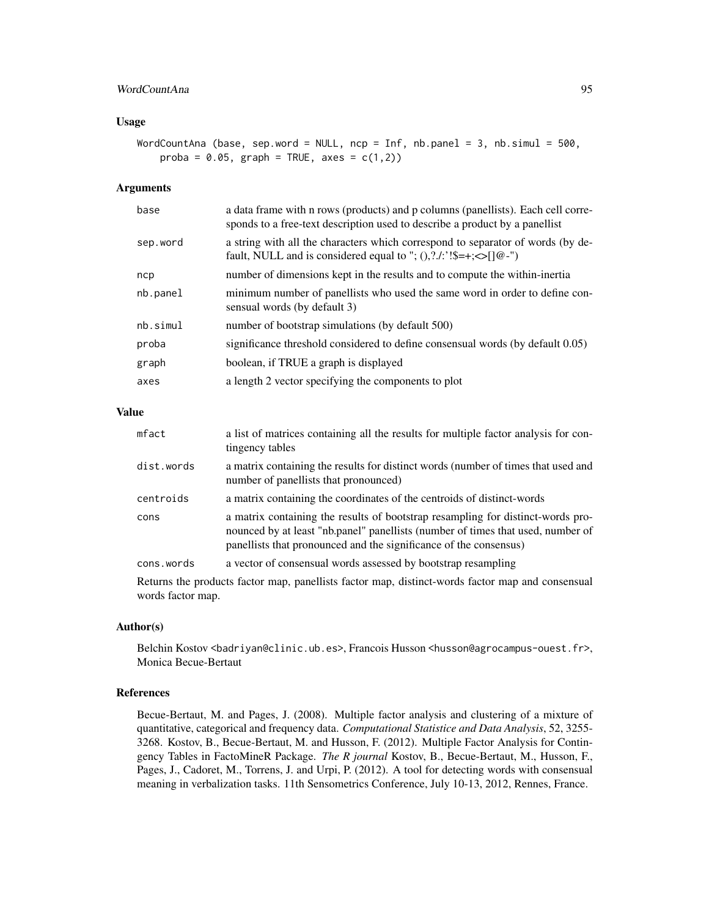# WordCountAna 95

#### Usage

WordCountAna (base, sep.word = NULL, ncp = Inf, nb.panel = 3, nb.simul = 500, proba =  $0.05$ , graph = TRUE, axes =  $c(1,2)$ )

#### Arguments

| base     | a data frame with n rows (products) and p columns (panellists). Each cell corre-<br>sponds to a free-text description used to describe a product by a panellist |
|----------|-----------------------------------------------------------------------------------------------------------------------------------------------------------------|
| sep.word | a string with all the characters which correspond to separator of words (by de-<br>fault, NULL and is considered equal to "; $(0,2.4)$ :'!\$=+; $\leq$ []@-")   |
| ncp      | number of dimensions kept in the results and to compute the within-inertia                                                                                      |
| nb.panel | minimum number of panellists who used the same word in order to define con-<br>sensual words (by default 3)                                                     |
| nb.simul | number of bootstrap simulations (by default 500)                                                                                                                |
| proba    | significance threshold considered to define consensual words (by default 0.05)                                                                                  |
| graph    | boolean, if TRUE a graph is displayed                                                                                                                           |
| axes     | a length 2 vector specifying the components to plot                                                                                                             |

#### Value

| mfact      | a list of matrices containing all the results for multiple factor analysis for con-<br>tingency tables                                                                                                                                  |
|------------|-----------------------------------------------------------------------------------------------------------------------------------------------------------------------------------------------------------------------------------------|
| dist.words | a matrix containing the results for distinct words (number of times that used and<br>number of panellists that pronounced)                                                                                                              |
| centroids  | a matrix containing the coordinates of the centroids of distinct-words                                                                                                                                                                  |
| cons       | a matrix containing the results of bootstrap resampling for distinct-words pro-<br>nounced by at least "nb.panel" panellists (number of times that used, number of<br>panellists that pronounced and the significance of the consensus) |
| cons.words | a vector of consensual words assessed by bootstrap resampling                                                                                                                                                                           |

Returns the products factor map, panellists factor map, distinct-words factor map and consensual words factor map.

#### Author(s)

Belchin Kostov <br/>badriyan@clinic.ub.es>, Francois Husson <husson@agrocampus-ouest.fr>, Monica Becue-Bertaut

#### References

Becue-Bertaut, M. and Pages, J. (2008). Multiple factor analysis and clustering of a mixture of quantitative, categorical and frequency data. *Computational Statistice and Data Analysis*, 52, 3255- 3268. Kostov, B., Becue-Bertaut, M. and Husson, F. (2012). Multiple Factor Analysis for Contingency Tables in FactoMineR Package. *The R journal* Kostov, B., Becue-Bertaut, M., Husson, F., Pages, J., Cadoret, M., Torrens, J. and Urpi, P. (2012). A tool for detecting words with consensual meaning in verbalization tasks. 11th Sensometrics Conference, July 10-13, 2012, Rennes, France.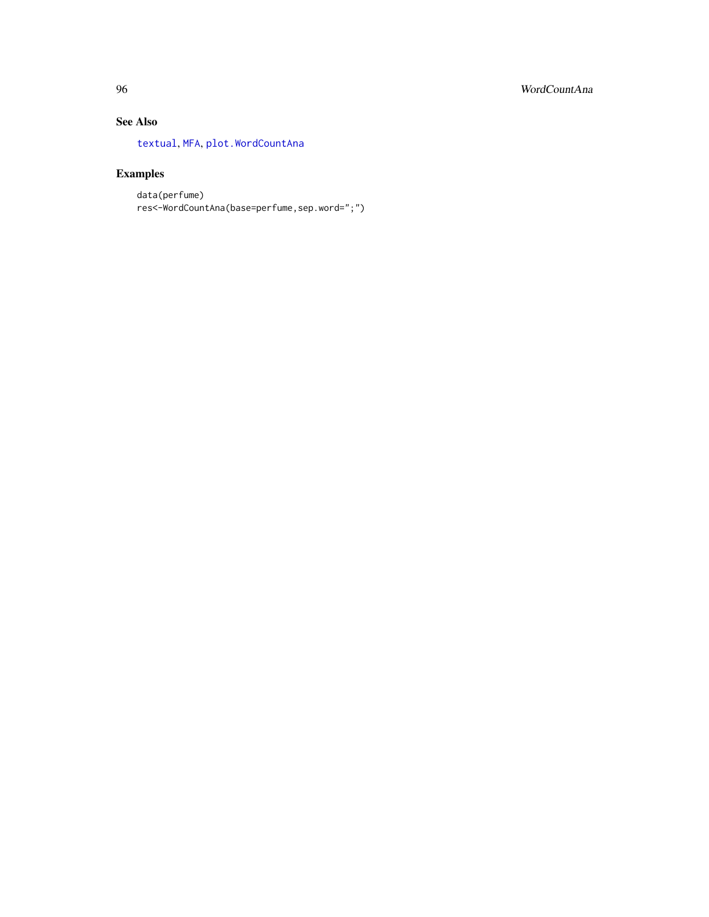# See Also

[textual](#page-0-0), [MFA](#page-0-0), [plot.WordCountAna](#page-78-0)

# Examples

data(perfume) res<-WordCountAna(base=perfume,sep.word=";")

<span id="page-95-0"></span>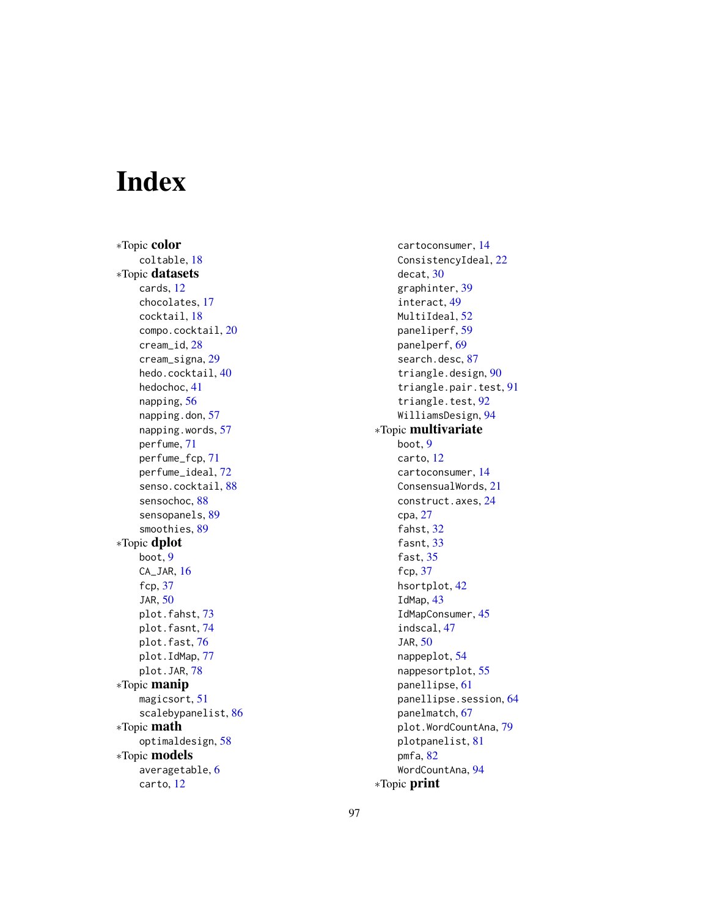# Index

∗Topic color coltable, [18](#page-17-0) ∗Topic datasets cards, [12](#page-11-0) chocolates, [17](#page-16-0) cocktail, [18](#page-17-0) compo.cocktail, [20](#page-19-0) cream\_id, [28](#page-27-0) cream\_signa, [29](#page-28-0) hedo.cocktail, [40](#page-39-0) hedochoc, [41](#page-40-0) napping, [56](#page-55-0) napping.don, [57](#page-56-0) napping.words, [57](#page-56-0) perfume, [71](#page-70-0) perfume\_fcp, [71](#page-70-0) perfume\_ideal, [72](#page-71-0) senso.cocktail, [88](#page-87-0) sensochoc, [88](#page-87-0) sensopanels, [89](#page-88-0) smoothies, [89](#page-88-0) ∗Topic dplot boot, [9](#page-8-0) CA\_JAR, [16](#page-15-0) fcp, [37](#page-36-0) JAR, [50](#page-49-1) plot.fahst, [73](#page-72-0) plot.fasnt, [74](#page-73-0) plot.fast, [76](#page-75-0) plot.IdMap, [77](#page-76-0) plot.JAR, [78](#page-77-0) ∗Topic manip magicsort, [51](#page-50-0) scalebypanelist, [86](#page-85-0) ∗Topic math optimaldesign, [58](#page-57-0) ∗Topic models averagetable, [6](#page-5-0) carto, [12](#page-11-0)

cartoconsumer, [14](#page-13-0) ConsistencyIdeal, [22](#page-21-0) decat, [30](#page-29-0) graphinter, [39](#page-38-0) interact, [49](#page-48-0) MultiIdeal, [52](#page-51-0) paneliperf, [59](#page-58-0) panelperf, [69](#page-68-0) search.desc, [87](#page-86-0) triangle.design, [90](#page-89-1) triangle.pair.test, [91](#page-90-1) triangle.test, [92](#page-91-1) WilliamsDesign, [94](#page-93-1) ∗Topic multivariate boot, [9](#page-8-0) carto, [12](#page-11-0) cartoconsumer, [14](#page-13-0) ConsensualWords, [21](#page-20-0) construct.axes, [24](#page-23-0) cpa, [27](#page-26-0) fahst, [32](#page-31-1) fasnt, [33](#page-32-1) fast, [35](#page-34-1) fcp, [37](#page-36-0) hsortplot, [42](#page-41-0) IdMap, [43](#page-42-1) IdMapConsumer, [45](#page-44-0) indscal, [47](#page-46-1) JAR, [50](#page-49-1) nappeplot, [54](#page-53-1) nappesortplot, [55](#page-54-0) panellipse, [61](#page-60-0) panellipse.session, [64](#page-63-0) panelmatch, [67](#page-66-0) plot.WordCountAna, [79](#page-78-1) plotpanelist, [81](#page-80-0) pmfa, [82](#page-81-0) WordCountAna, [94](#page-93-1) ∗Topic print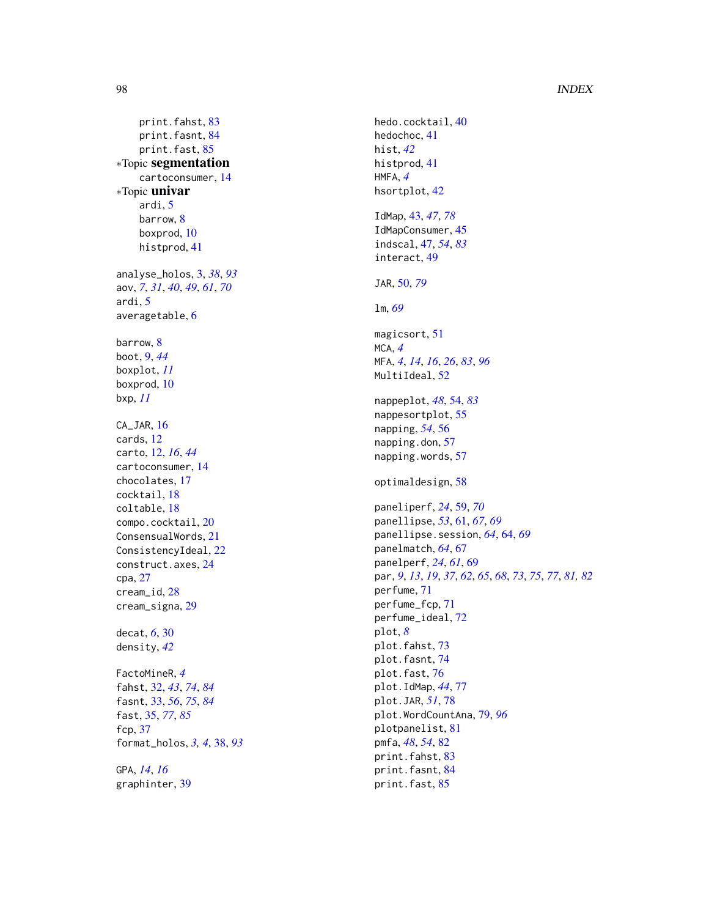#### 98 **INDEX**

print.fahst, [83](#page-82-0) print.fasnt, [84](#page-83-0) print.fast, [85](#page-84-0) ∗Topic segmentation cartoconsumer , [14](#page-13-0) ∗Topic univar ardi , [5](#page-4-0) barrow, <mark>[8](#page-7-0)</mark> boxprod , [10](#page-9-0) histprod , [41](#page-40-0) analyse\_holos , [3](#page-2-1) , *[38](#page-37-1)* , *[93](#page-92-0)* aov , *[7](#page-6-0)* , *[31](#page-30-0)* , *[40](#page-39-0)* , *[49](#page-48-0)* , *[61](#page-60-0)* , *[70](#page-69-0)* ardi , [5](#page-4-0) averagetable, [6](#page-5-0) barrow, <mark>[8](#page-7-0)</mark> boot , [9](#page-8-0) , *[44](#page-43-0)* boxplot , *[11](#page-10-0)* boxprod , [10](#page-9-0) bxp , *[11](#page-10-0)* CA\_JAR, [16](#page-15-0) cards , [12](#page-11-0) carto , [12](#page-11-0) , *[16](#page-15-0)* , *[44](#page-43-0)* cartoconsumer , [14](#page-13-0) chocolates , [17](#page-16-0) cocktail , [18](#page-17-0) coltable , [18](#page-17-0) compo.cocktail , [20](#page-19-0) ConsensualWords , [21](#page-20-0) ConsistencyIdeal , [22](#page-21-0) construct.axes , [24](#page-23-0) cpa , [27](#page-26-0) cream\_id , [28](#page-27-0) cream\_signa , [29](#page-28-0) decat , *[6](#page-5-0)* , [30](#page-29-0) density , *[42](#page-41-0)* FactoMineR , *[4](#page-3-0)* fahst , [32](#page-31-1) , *[43](#page-42-1)* , *[74](#page-73-0)* , *[84](#page-83-0)* fasnt , [33](#page-32-1) , *[56](#page-55-0)* , *[75](#page-74-0)* , *[84](#page-83-0)* fast , [35](#page-34-1) , *[77](#page-76-0)* , *[85](#page-84-0)* fcp , [37](#page-36-0) format\_holos , *[3](#page-2-1) , [4](#page-3-0)* , [38](#page-37-1) , *[93](#page-92-0)* GPA , *[14](#page-13-0)* , *[16](#page-15-0)* graphinter , [39](#page-38-0)

hedo.cocktail, [40](#page-39-0) hedochoc , [41](#page-40-0) hist , *[42](#page-41-0)* histprod , [41](#page-40-0) HMFA , *[4](#page-3-0)* hsortplot , [42](#page-41-0) IdMap , [43](#page-42-1) , *[47](#page-46-1)* , *[78](#page-77-0)* IdMapConsumer, [45](#page-44-0) indscal , [47](#page-46-1) , *[54](#page-53-1)* , *[83](#page-82-0)* interact , [49](#page-48-0) JAR , [50](#page-49-1) , *[79](#page-78-1)* lm , *[69](#page-68-0)* magicsort , [51](#page-50-0) MCA , *[4](#page-3-0)* MFA , *[4](#page-3-0)* , *[14](#page-13-0)* , *[16](#page-15-0)* , *[26](#page-25-0)* , *[83](#page-82-0)* , *[96](#page-95-0)* MultiIdeal, [52](#page-51-0) nappeplot , *[48](#page-47-0)* , [54](#page-53-1) , *[83](#page-82-0)* nappesortplot, [55](#page-54-0) napping , *[54](#page-53-1)* , [56](#page-55-0) napping.don, [57](#page-56-0) napping.words, [57](#page-56-0) optimaldesign , [58](#page-57-0) paneliperf , *[24](#page-23-0)* , [59](#page-58-0) , *[70](#page-69-0)* panellipse , *[53](#page-52-0)* , [61](#page-60-0) , *[67](#page-66-0)* , *[69](#page-68-0)* panellipse.session , *[64](#page-63-0)* , [64](#page-63-0) , *[69](#page-68-0)* panelmatch , *[64](#page-63-0)* , [67](#page-66-0) panelperf , *[24](#page-23-0)* , *[61](#page-60-0)* , [69](#page-68-0) par , *[9](#page-8-0)* , *[13](#page-12-0)* , *[19](#page-18-0)* , *[37](#page-36-0)* , *[62](#page-61-0)* , *[65](#page-64-0)* , *[68](#page-67-0)* , *[73](#page-72-0)* , *[75](#page-74-0)* , *[77](#page-76-0)* , *[81](#page-80-0) , [82](#page-81-0)* perfume , [71](#page-70-0) perfume\_fcp , [71](#page-70-0) perfume\_ideal , [72](#page-71-0) plot , *[8](#page-7-0)* plot.fahst , [73](#page-72-0) plot.fasnt , [74](#page-73-0) plot.fast , [76](#page-75-0) plot.IdMap , *[44](#page-43-0)* , [77](#page-76-0) plot.JAR , *[51](#page-50-0)* , [78](#page-77-0) plot.WordCountAna , [79](#page-78-1) , *[96](#page-95-0)* plotpanelist , [81](#page-80-0) pmfa , *[48](#page-47-0)* , *[54](#page-53-1)* , [82](#page-81-0) print.fahst , [83](#page-82-0) print.fasnt , [84](#page-83-0)

print.fast,  $85$